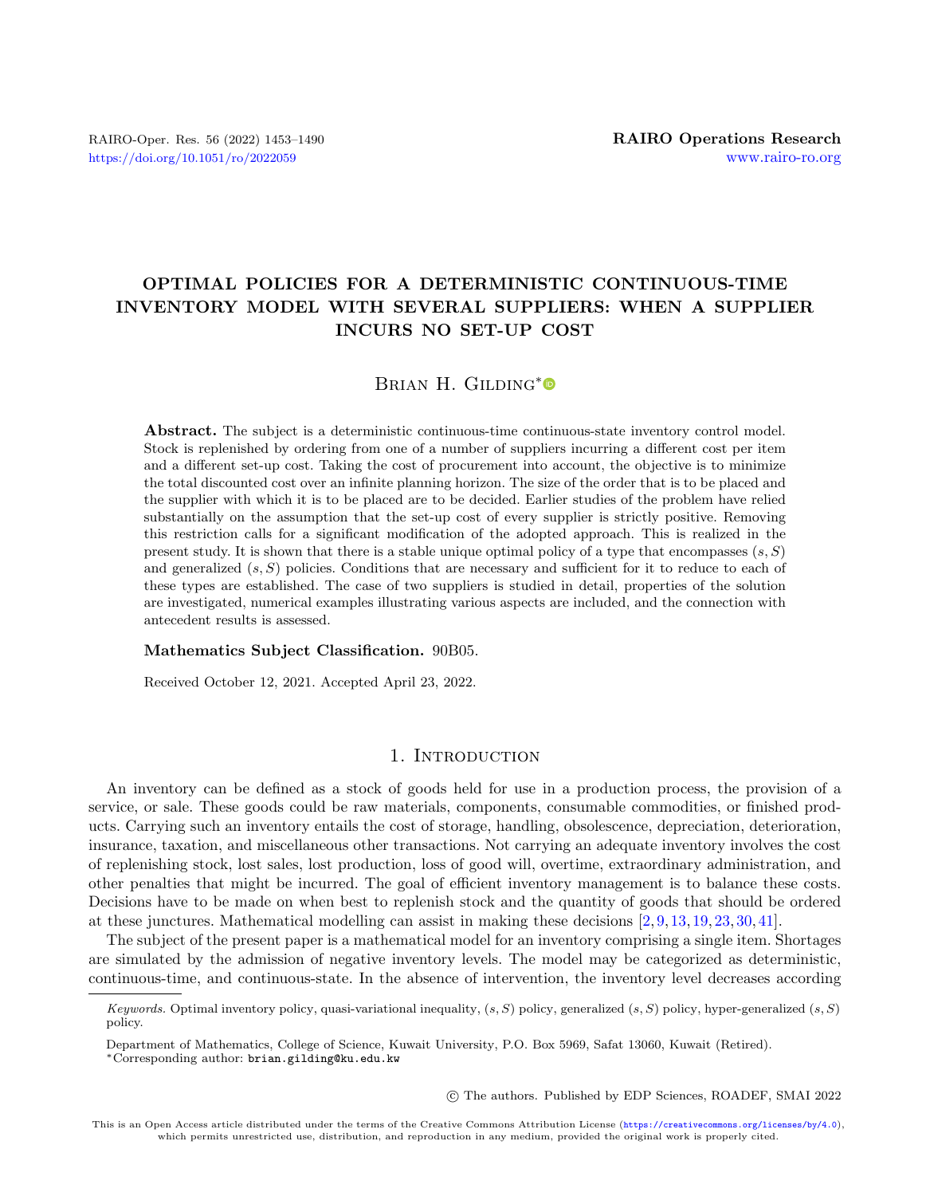## OPTIMAL POLICIES FOR A DETERMINISTIC CONTINUOUS-TIME INVENTORY MODEL WITH SEVERAL SUPPLIERS: WHEN A SUPPLIER INCURS NO SET-UP COST

### BRIAN H. GILDING[\\*](https://orcid.org/0000-0003-1402-3054)<sup>®</sup>

Abstract. The subject is a deterministic continuous-time continuous-state inventory control model. Stock is replenished by ordering from one of a number of suppliers incurring a different cost per item and a different set-up cost. Taking the cost of procurement into account, the objective is to minimize the total discounted cost over an infinite planning horizon. The size of the order that is to be placed and the supplier with which it is to be placed are to be decided. Earlier studies of the problem have relied substantially on the assumption that the set-up cost of every supplier is strictly positive. Removing this restriction calls for a significant modification of the adopted approach. This is realized in the present study. It is shown that there is a stable unique optimal policy of a type that encompasses  $(s, S)$ and generalized  $(s, S)$  policies. Conditions that are necessary and sufficient for it to reduce to each of these types are established. The case of two suppliers is studied in detail, properties of the solution are investigated, numerical examples illustrating various aspects are included, and the connection with antecedent results is assessed.

#### Mathematics Subject Classification. 90B05.

Received October 12, 2021. Accepted April 23, 2022.

### 1. INTRODUCTION

An inventory can be defined as a stock of goods held for use in a production process, the provision of a service, or sale. These goods could be raw materials, components, consumable commodities, or finished products. Carrying such an inventory entails the cost of storage, handling, obsolescence, depreciation, deterioration, insurance, taxation, and miscellaneous other transactions. Not carrying an adequate inventory involves the cost of replenishing stock, lost sales, lost production, loss of good will, overtime, extraordinary administration, and other penalties that might be incurred. The goal of efficient inventory management is to balance these costs. Decisions have to be made on when best to replenish stock and the quantity of goods that should be ordered at these junctures. Mathematical modelling can assist in making these decisions [\[2,](#page-36-0) [9,](#page-36-1) [13,](#page-37-0) [19,](#page-37-1) [23,](#page-37-2) [30,](#page-37-3) [41\]](#page-37-4).

The subject of the present paper is a mathematical model for an inventory comprising a single item. Shortages are simulated by the admission of negative inventory levels. The model may be categorized as deterministic, continuous-time, and continuous-state. In the absence of intervention, the inventory level decreases according

○c The authors. Published by EDP Sciences, ROADEF, SMAI 2022

Keywords. Optimal inventory policy, quasi-variational inequality,  $(s, S)$  policy, generalized  $(s, S)$  policy, hyper-generalized  $(s, S)$ policy.

Department of Mathematics, College of Science, Kuwait University, P.O. Box 5969, Safat 13060, Kuwait (Retired). \*Corresponding author: [brian.gilding@ku.edu.kw](mailto:brian.gilding@ku.edu.kw)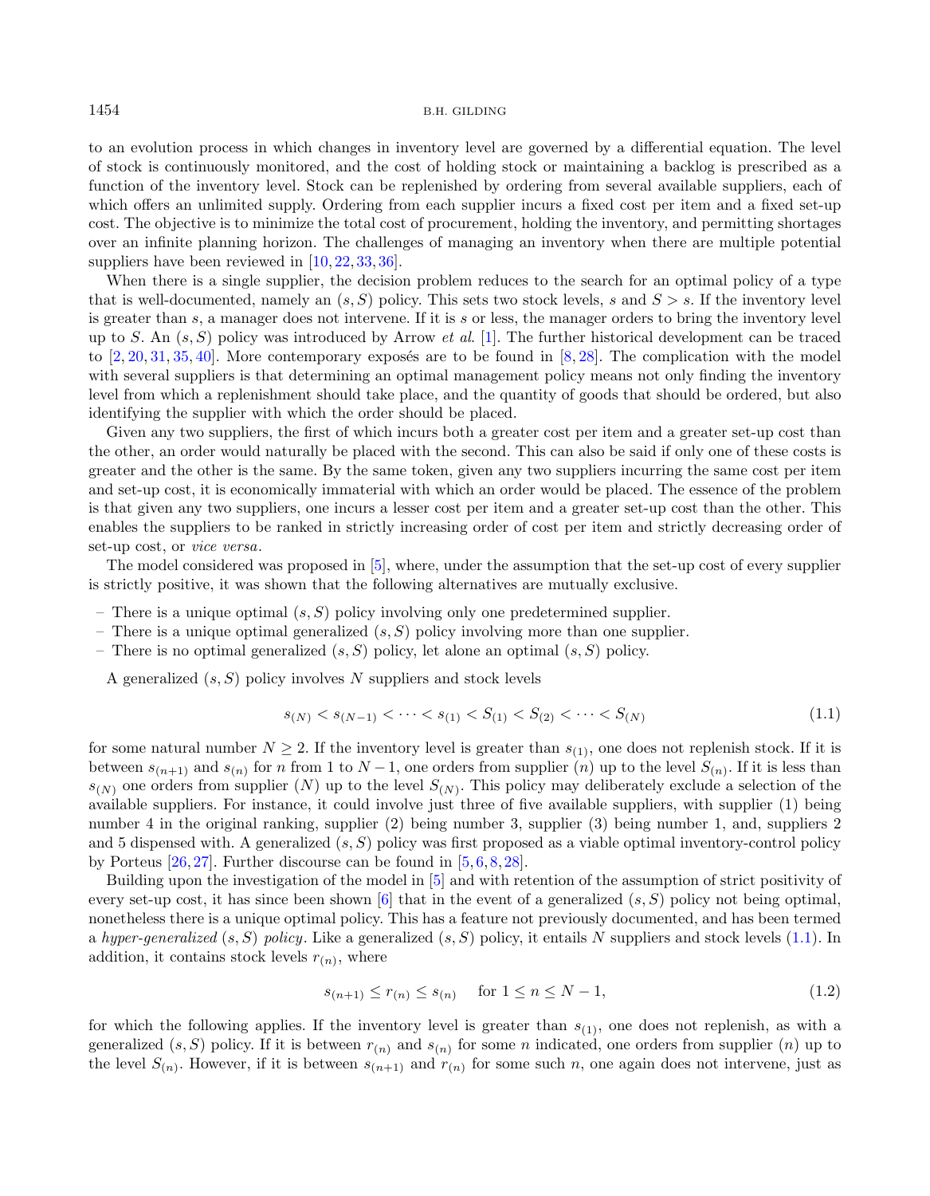to an evolution process in which changes in inventory level are governed by a differential equation. The level of stock is continuously monitored, and the cost of holding stock or maintaining a backlog is prescribed as a function of the inventory level. Stock can be replenished by ordering from several available suppliers, each of which offers an unlimited supply. Ordering from each supplier incurs a fixed cost per item and a fixed set-up cost. The objective is to minimize the total cost of procurement, holding the inventory, and permitting shortages over an infinite planning horizon. The challenges of managing an inventory when there are multiple potential suppliers have been reviewed in [\[10,](#page-36-2) [22,](#page-37-5) [33,](#page-37-6) [36\]](#page-37-7).

When there is a single supplier, the decision problem reduces to the search for an optimal policy of a type that is well-documented, namely an  $(s, S)$  policy. This sets two stock levels, s and  $S > s$ . If the inventory level is greater than  $s$ , a manager does not intervene. If it is  $s$  or less, the manager orders to bring the inventory level up to S. An  $(s, S)$  policy was introduced by Arrow *et al.* [\[1\]](#page-36-3). The further historical development can be traced to  $[2, 20, 31, 35, 40]$  $[2, 20, 31, 35, 40]$  $[2, 20, 31, 35, 40]$  $[2, 20, 31, 35, 40]$  $[2, 20, 31, 35, 40]$  $[2, 20, 31, 35, 40]$  $[2, 20, 31, 35, 40]$  $[2, 20, 31, 35, 40]$  $[2, 20, 31, 35, 40]$ . More contemporary exposés are to be found in  $[8, 28]$  $[8, 28]$  $[8, 28]$ . The complication with the model with several suppliers is that determining an optimal management policy means not only finding the inventory level from which a replenishment should take place, and the quantity of goods that should be ordered, but also identifying the supplier with which the order should be placed.

Given any two suppliers, the first of which incurs both a greater cost per item and a greater set-up cost than the other, an order would naturally be placed with the second. This can also be said if only one of these costs is greater and the other is the same. By the same token, given any two suppliers incurring the same cost per item and set-up cost, it is economically immaterial with which an order would be placed. The essence of the problem is that given any two suppliers, one incurs a lesser cost per item and a greater set-up cost than the other. This enables the suppliers to be ranked in strictly increasing order of cost per item and strictly decreasing order of set-up cost, or vice versa.

The model considered was proposed in [\[5\]](#page-36-5), where, under the assumption that the set-up cost of every supplier is strictly positive, it was shown that the following alternatives are mutually exclusive.

- There is a unique optimal  $(s, S)$  policy involving only one predetermined supplier.
- There is a unique optimal generalized  $(s, S)$  policy involving more than one supplier.
- There is no optimal generalized  $(s, S)$  policy, let alone an optimal  $(s, S)$  policy.

A generalized  $(s, S)$  policy involves N suppliers and stock levels

<span id="page-1-1"></span><span id="page-1-0"></span>
$$
s_{(N)} < s_{(N-1)} < \dots < s_{(1)} < S_{(1)} < S_{(2)} < \dots < S_{(N)} \tag{1.1}
$$

for some natural number  $N \geq 2$ . If the inventory level is greater than  $s_{(1)}$ , one does not replenish stock. If it is between  $s_{(n+1)}$  and  $s_{(n)}$  for n from 1 to  $N-1$ , one orders from supplier  $(n)$  up to the level  $S_{(n)}$ . If it is less than  $s_{(N)}$  one orders from supplier  $(N)$  up to the level  $S_{(N)}$ . This policy may deliberately exclude a selection of the available suppliers. For instance, it could involve just three of five available suppliers, with supplier (1) being number 4 in the original ranking, supplier (2) being number 3, supplier (3) being number 1, and, suppliers 2 and 5 dispensed with. A generalized  $(s, S)$  policy was first proposed as a viable optimal inventory-control policy by Porteus [\[26,](#page-37-13) [27\]](#page-37-14). Further discourse can be found in [\[5,](#page-36-5) [6,](#page-36-6) [8,](#page-36-4) [28\]](#page-37-12).

Building upon the investigation of the model in [\[5\]](#page-36-5) and with retention of the assumption of strict positivity of every set-up cost, it has since been shown  $\left[6\right]$  that in the event of a generalized  $(s, S)$  policy not being optimal. nonetheless there is a unique optimal policy. This has a feature not previously documented, and has been termed a hyper-generalized  $(s, S)$  policy. Like a generalized  $(s, S)$  policy, it entails N suppliers and stock levels [\(1.1\)](#page-1-0). In addition, it contains stock levels  $r_{(n)}$ , where

$$
s_{(n+1)} \le r_{(n)} \le s_{(n)} \quad \text{for } 1 \le n \le N-1,
$$
\n(1.2)

for which the following applies. If the inventory level is greater than  $s_{(1)}$ , one does not replenish, as with a generalized  $(s, S)$  policy. If it is between  $r_{(n)}$  and  $s_{(n)}$  for some n indicated, one orders from supplier  $(n)$  up to the level  $S_{(n)}$ . However, if it is between  $s_{(n+1)}$  and  $r_{(n)}$  for some such n, one again does not intervene, just as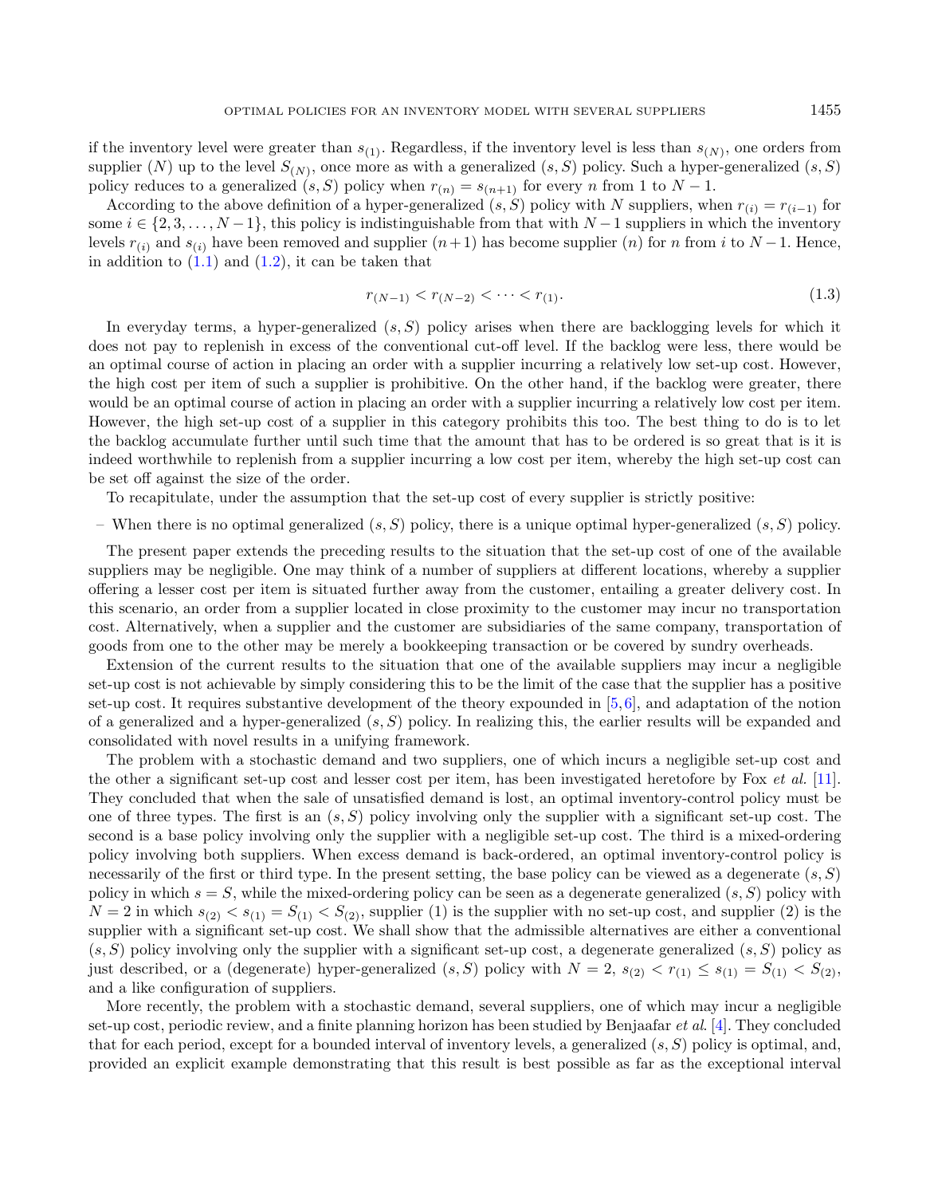if the inventory level were greater than  $s_{(1)}$ . Regardless, if the inventory level is less than  $s_{(N)}$ , one orders from supplier  $(N)$  up to the level  $S_{(N)}$ , once more as with a generalized  $(s, S)$  policy. Such a hyper-generalized  $(s, S)$ policy reduces to a generalized  $(s, S)$  policy when  $r_{(n)} = s_{(n+1)}$  for every n from 1 to  $N - 1$ .

According to the above definition of a hyper-generalized  $(s, S)$  policy with N suppliers, when  $r_{(i)} = r_{(i-1)}$  for some  $i \in \{2, 3, \ldots, N-1\}$ , this policy is indistinguishable from that with  $N-1$  suppliers in which the inventory levels  $r_{(i)}$  and  $s_{(i)}$  have been removed and supplier  $(n+1)$  has become supplier  $(n)$  for n from i to  $N-1$ . Hence, in addition to  $(1.1)$  and  $(1.2)$ , it can be taken that

<span id="page-2-0"></span>
$$
r_{(N-1)} < r_{(N-2)} < \dots < r_{(1)}.\tag{1.3}
$$

In everyday terms, a hyper-generalized  $(s, S)$  policy arises when there are backlogging levels for which it does not pay to replenish in excess of the conventional cut-off level. If the backlog were less, there would be an optimal course of action in placing an order with a supplier incurring a relatively low set-up cost. However, the high cost per item of such a supplier is prohibitive. On the other hand, if the backlog were greater, there would be an optimal course of action in placing an order with a supplier incurring a relatively low cost per item. However, the high set-up cost of a supplier in this category prohibits this too. The best thing to do is to let the backlog accumulate further until such time that the amount that has to be ordered is so great that is it is indeed worthwhile to replenish from a supplier incurring a low cost per item, whereby the high set-up cost can be set off against the size of the order.

To recapitulate, under the assumption that the set-up cost of every supplier is strictly positive:

– When there is no optimal generalized  $(s, S)$  policy, there is a unique optimal hyper-generalized  $(s, S)$  policy.

The present paper extends the preceding results to the situation that the set-up cost of one of the available suppliers may be negligible. One may think of a number of suppliers at different locations, whereby a supplier offering a lesser cost per item is situated further away from the customer, entailing a greater delivery cost. In this scenario, an order from a supplier located in close proximity to the customer may incur no transportation cost. Alternatively, when a supplier and the customer are subsidiaries of the same company, transportation of goods from one to the other may be merely a bookkeeping transaction or be covered by sundry overheads.

Extension of the current results to the situation that one of the available suppliers may incur a negligible set-up cost is not achievable by simply considering this to be the limit of the case that the supplier has a positive set-up cost. It requires substantive development of the theory expounded in  $[5,6]$  $[5,6]$ , and adaptation of the notion of a generalized and a hyper-generalized  $(s, S)$  policy. In realizing this, the earlier results will be expanded and consolidated with novel results in a unifying framework.

The problem with a stochastic demand and two suppliers, one of which incurs a negligible set-up cost and the other a significant set-up cost and lesser cost per item, has been investigated heretofore by Fox et al. [\[11\]](#page-36-7). They concluded that when the sale of unsatisfied demand is lost, an optimal inventory-control policy must be one of three types. The first is an  $(s, S)$  policy involving only the supplier with a significant set-up cost. The second is a base policy involving only the supplier with a negligible set-up cost. The third is a mixed-ordering policy involving both suppliers. When excess demand is back-ordered, an optimal inventory-control policy is necessarily of the first or third type. In the present setting, the base policy can be viewed as a degenerate  $(s, S)$ policy in which  $s = S$ , while the mixed-ordering policy can be seen as a degenerate generalized  $(s, S)$  policy with  $N = 2$  in which  $s_{(2)} < s_{(1)} = S_{(1)} < S_{(2)}$ , supplier (1) is the supplier with no set-up cost, and supplier (2) is the supplier with a significant set-up cost. We shall show that the admissible alternatives are either a conventional  $(s, S)$  policy involving only the supplier with a significant set-up cost, a degenerate generalized  $(s, S)$  policy as just described, or a (degenerate) hyper-generalized  $(s, S)$  policy with  $N = 2$ ,  $s_{(2)} < r_{(1)} \leq s_{(1)} = S_{(1)} < S_{(2)}$ , and a like configuration of suppliers.

More recently, the problem with a stochastic demand, several suppliers, one of which may incur a negligible set-up cost, periodic review, and a finite planning horizon has been studied by Benjaafar et al. [\[4\]](#page-36-8). They concluded that for each period, except for a bounded interval of inventory levels, a generalized  $(s, S)$  policy is optimal, and, provided an explicit example demonstrating that this result is best possible as far as the exceptional interval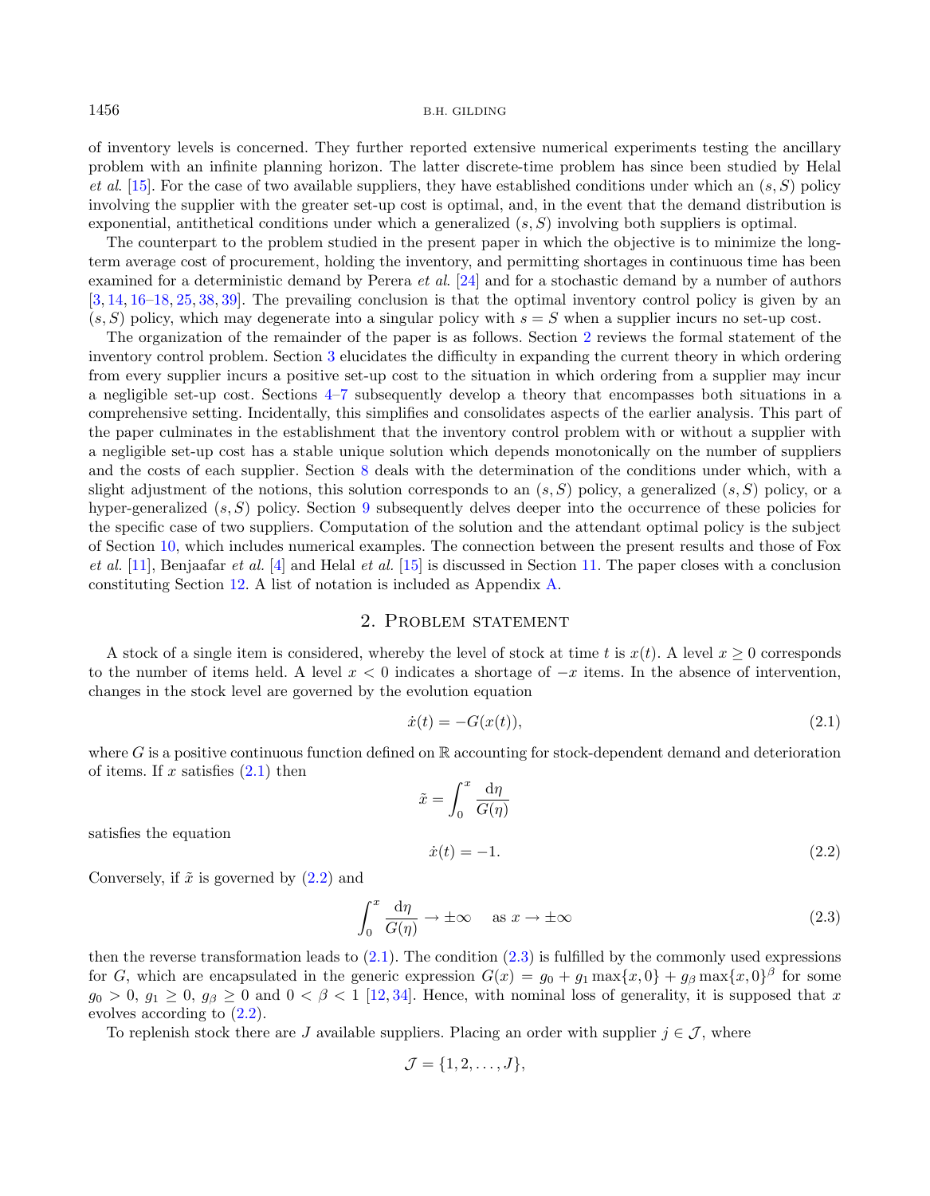of inventory levels is concerned. They further reported extensive numerical experiments testing the ancillary problem with an infinite planning horizon. The latter discrete-time problem has since been studied by Helal et al. [\[15\]](#page-37-15). For the case of two available suppliers, they have established conditions under which an  $(s, S)$  policy involving the supplier with the greater set-up cost is optimal, and, in the event that the demand distribution is exponential, antithetical conditions under which a generalized  $(s, S)$  involving both suppliers is optimal.

The counterpart to the problem studied in the present paper in which the objective is to minimize the longterm average cost of procurement, holding the inventory, and permitting shortages in continuous time has been examined for a deterministic demand by Perera et al. [\[24\]](#page-37-16) and for a stochastic demand by a number of authors [\[3,](#page-36-9) [14,](#page-37-17) [16](#page-37-18)[–18,](#page-37-19) [25,](#page-37-20) [38,](#page-37-21) [39\]](#page-37-22). The prevailing conclusion is that the optimal inventory control policy is given by an  $(s, S)$  policy, which may degenerate into a singular policy with  $s = S$  when a supplier incurs no set-up cost.

The organization of the remainder of the paper is as follows. Section [2](#page-3-0) reviews the formal statement of the inventory control problem. Section [3](#page-4-0) elucidates the difficulty in expanding the current theory in which ordering from every supplier incurs a positive set-up cost to the situation in which ordering from a supplier may incur a negligible set-up cost. Sections [4–](#page-5-0)[7](#page-13-0) subsequently develop a theory that encompasses both situations in a comprehensive setting. Incidentally, this simplifies and consolidates aspects of the earlier analysis. This part of the paper culminates in the establishment that the inventory control problem with or without a supplier with a negligible set-up cost has a stable unique solution which depends monotonically on the number of suppliers and the costs of each supplier. Section [8](#page-14-0) deals with the determination of the conditions under which, with a slight adjustment of the notions, this solution corresponds to an  $(s, S)$  policy, a generalized  $(s, S)$  policy, or a hyper-generalized  $(s, S)$  policy. Section [9](#page-15-0) subsequently delves deeper into the occurrence of these policies for the specific case of two suppliers. Computation of the solution and the attendant optimal policy is the subject of Section [10,](#page-17-0) which includes numerical examples. The connection between the present results and those of Fox et al. [\[11\]](#page-36-7), Benjaafar et al. [\[4\]](#page-36-8) and Helal et al. [\[15\]](#page-37-15) is discussed in Section [11.](#page-21-0) The paper closes with a conclusion constituting Section [12.](#page-23-0) A list of notation is included as Appendix [A.](#page-24-0)

### <span id="page-3-3"></span><span id="page-3-2"></span><span id="page-3-1"></span>2. Problem statement

<span id="page-3-0"></span>A stock of a single item is considered, whereby the level of stock at time t is  $x(t)$ . A level  $x \ge 0$  corresponds to the number of items held. A level  $x < 0$  indicates a shortage of  $-x$  items. In the absence of intervention, changes in the stock level are governed by the evolution equation

$$
\dot{x}(t) = -G(x(t)),\tag{2.1}
$$

where  $G$  is a positive continuous function defined on  $\mathbb R$  accounting for stock-dependent demand and deterioration of items. If  $x$  satisfies  $(2.1)$  then

 $\tilde{x} = \int^x$ 0  $\mathrm{d}\eta$  $G(\eta)$  $\dot{x}(t) = -1.$  (2.2)

satisfies the equation

Conversely, if  $\tilde{x}$  is governed by  $(2.2)$  and

$$
\int_0^x \frac{d\eta}{G(\eta)} \to \pm \infty \quad \text{as } x \to \pm \infty \tag{2.3}
$$

then the reverse transformation leads to  $(2.1)$ . The condition  $(2.3)$  is fulfilled by the commonly used expressions for G, which are encapsulated in the generic expression  $G(x) = g_0 + g_1 \max\{x, 0\} + g_\beta \max\{x, 0\}^\beta$  for some  $g_0 > 0$ ,  $g_1 \geq 0$ ,  $g_\beta \geq 0$  and  $0 < \beta < 1$  [\[12,](#page-36-10) [34\]](#page-37-23). Hence, with nominal loss of generality, it is supposed that x evolves according to [\(2.2\)](#page-3-2).

To replenish stock there are J available suppliers. Placing an order with supplier  $j \in \mathcal{J}$ , where

$$
\mathcal{J} = \{1, 2, \ldots, J\},\
$$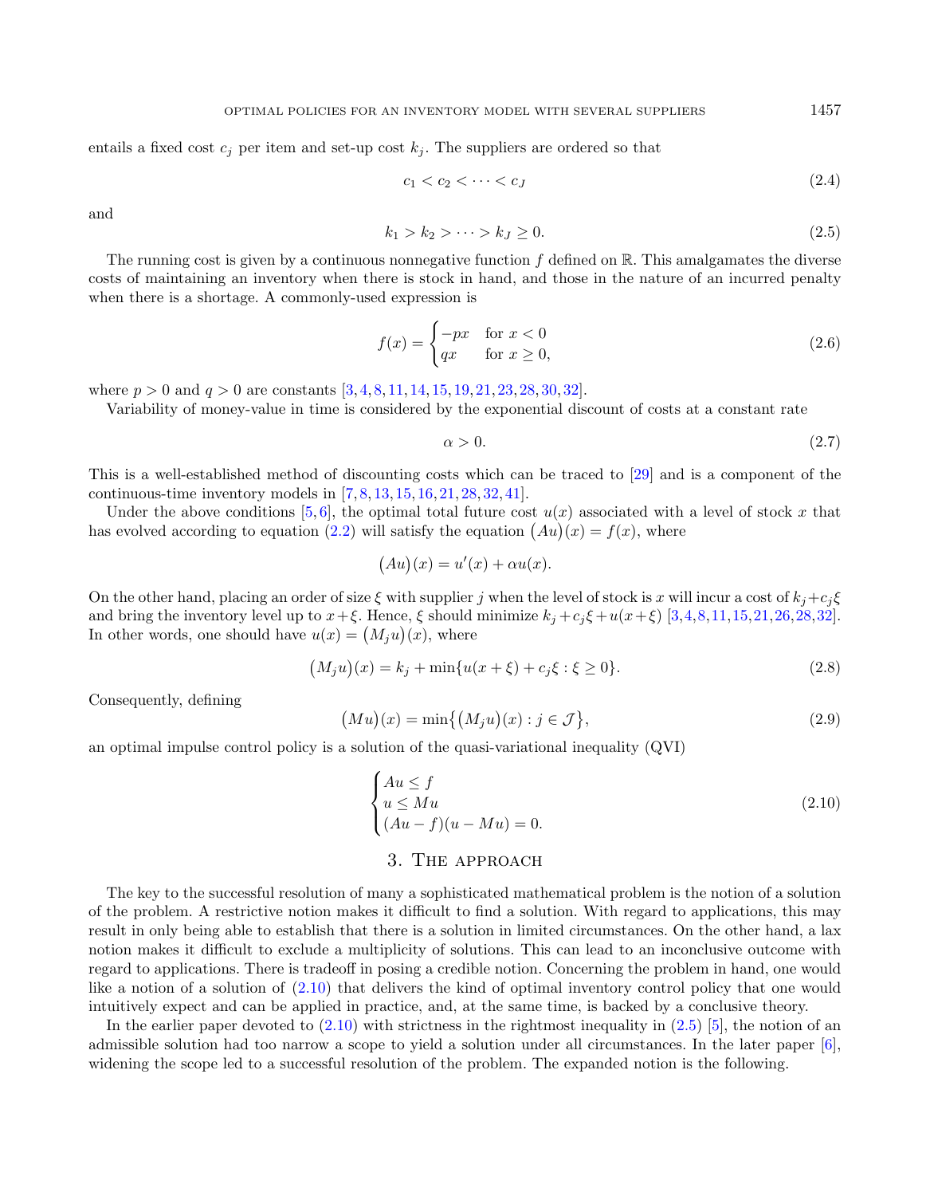<span id="page-4-2"></span>entails a fixed cost  $c_j$  per item and set-up cost  $k_j$ . The suppliers are ordered so that

<span id="page-4-6"></span><span id="page-4-5"></span><span id="page-4-4"></span>
$$
c_1 < c_2 < \dots < c_J \tag{2.4}
$$

and

$$
k_1 > k_2 > \dots > k_J \ge 0. \tag{2.5}
$$

The running cost is given by a continuous nonnegative function  $f$  defined on  $\mathbb R$ . This amalgamates the diverse costs of maintaining an inventory when there is stock in hand, and those in the nature of an incurred penalty when there is a shortage. A commonly-used expression is

$$
f(x) = \begin{cases} -px & \text{for } x < 0\\ qx & \text{for } x \ge 0, \end{cases}
$$
 (2.6)

where  $p > 0$  and  $q > 0$  are constants  $[3, 4, 8, 11, 14, 15, 19, 21, 23, 28, 30, 32]$  $[3, 4, 8, 11, 14, 15, 19, 21, 23, 28, 30, 32]$  $[3, 4, 8, 11, 14, 15, 19, 21, 23, 28, 30, 32]$  $[3, 4, 8, 11, 14, 15, 19, 21, 23, 28, 30, 32]$  $[3, 4, 8, 11, 14, 15, 19, 21, 23, 28, 30, 32]$  $[3, 4, 8, 11, 14, 15, 19, 21, 23, 28, 30, 32]$  $[3, 4, 8, 11, 14, 15, 19, 21, 23, 28, 30, 32]$  $[3, 4, 8, 11, 14, 15, 19, 21, 23, 28, 30, 32]$  $[3, 4, 8, 11, 14, 15, 19, 21, 23, 28, 30, 32]$  $[3, 4, 8, 11, 14, 15, 19, 21, 23, 28, 30, 32]$  $[3, 4, 8, 11, 14, 15, 19, 21, 23, 28, 30, 32]$  $[3, 4, 8, 11, 14, 15, 19, 21, 23, 28, 30, 32]$  $[3, 4, 8, 11, 14, 15, 19, 21, 23, 28, 30, 32]$  $[3, 4, 8, 11, 14, 15, 19, 21, 23, 28, 30, 32]$  $[3, 4, 8, 11, 14, 15, 19, 21, 23, 28, 30, 32]$  $[3, 4, 8, 11, 14, 15, 19, 21, 23, 28, 30, 32]$  $[3, 4, 8, 11, 14, 15, 19, 21, 23, 28, 30, 32]$  $[3, 4, 8, 11, 14, 15, 19, 21, 23, 28, 30, 32]$  $[3, 4, 8, 11, 14, 15, 19, 21, 23, 28, 30, 32]$  $[3, 4, 8, 11, 14, 15, 19, 21, 23, 28, 30, 32]$  $[3, 4, 8, 11, 14, 15, 19, 21, 23, 28, 30, 32]$  $[3, 4, 8, 11, 14, 15, 19, 21, 23, 28, 30, 32]$  $[3, 4, 8, 11, 14, 15, 19, 21, 23, 28, 30, 32]$ .

Variability of money-value in time is considered by the exponential discount of costs at a constant rate

<span id="page-4-7"></span><span id="page-4-1"></span>
$$
\alpha > 0.\tag{2.7}
$$

This is a well-established method of discounting costs which can be traced to [\[29\]](#page-37-26) and is a component of the continuous-time inventory models in [\[7,](#page-36-11) [8,](#page-36-4) [13,](#page-37-0) [15,](#page-37-15) [16,](#page-37-18) [21,](#page-37-24) [28,](#page-37-12) [32,](#page-37-25) [41\]](#page-37-4).

Under the above conditions [\[5,](#page-36-5) [6\]](#page-36-6), the optimal total future cost  $u(x)$  associated with a level of stock x that has evolved according to equation [\(2.2\)](#page-3-2) will satisfy the equation  $(Au)(x) = f(x)$ , where

<span id="page-4-8"></span>
$$
(Au)(x) = u'(x) + \alpha u(x).
$$

On the other hand, placing an order of size  $\xi$  with supplier j when the level of stock is x will incur a cost of  $k_j + c_j \xi$ and bring the inventory level up to  $x + \xi$ . Hence,  $\xi$  should minimize  $k_i + c_i \xi + u(x + \xi)$  [\[3,](#page-36-9)[4,](#page-36-8)[8,](#page-36-4)[11,](#page-36-7)[15,](#page-37-15)[21,](#page-37-24)[26,](#page-37-13)[28,](#page-37-12)[32\]](#page-37-25). In other words, one should have  $u(x) = (M_j u)(x)$ , where

$$
(M_j u)(x) = k_j + \min\{u(x+\xi) + c_j\xi : \xi \ge 0\}.
$$
\n(2.8)

Consequently, defining

$$
(Mu)(x) = \min\{(M_j u)(x) : j \in \mathcal{J}\},\tag{2.9}
$$

an optimal impulse control policy is a solution of the quasi-variational inequality (QVI)

$$
\begin{cases}\nAu \le f \\
u \le Mu \\
(Au - f)(u - Mu) = 0.\n\end{cases}
$$
\n(2.10)

### <span id="page-4-3"></span>3. The approach

<span id="page-4-0"></span>The key to the successful resolution of many a sophisticated mathematical problem is the notion of a solution of the problem. A restrictive notion makes it difficult to find a solution. With regard to applications, this may result in only being able to establish that there is a solution in limited circumstances. On the other hand, a lax notion makes it difficult to exclude a multiplicity of solutions. This can lead to an inconclusive outcome with regard to applications. There is tradeoff in posing a credible notion. Concerning the problem in hand, one would like a notion of a solution of [\(2.10\)](#page-4-1) that delivers the kind of optimal inventory control policy that one would intuitively expect and can be applied in practice, and, at the same time, is backed by a conclusive theory.

In the earlier paper devoted to  $(2.10)$  with strictness in the rightmost inequality in  $(2.5)$  [\[5\]](#page-36-5), the notion of an admissible solution had too narrow a scope to yield a solution under all circumstances. In the later paper [\[6\]](#page-36-6), widening the scope led to a successful resolution of the problem. The expanded notion is the following.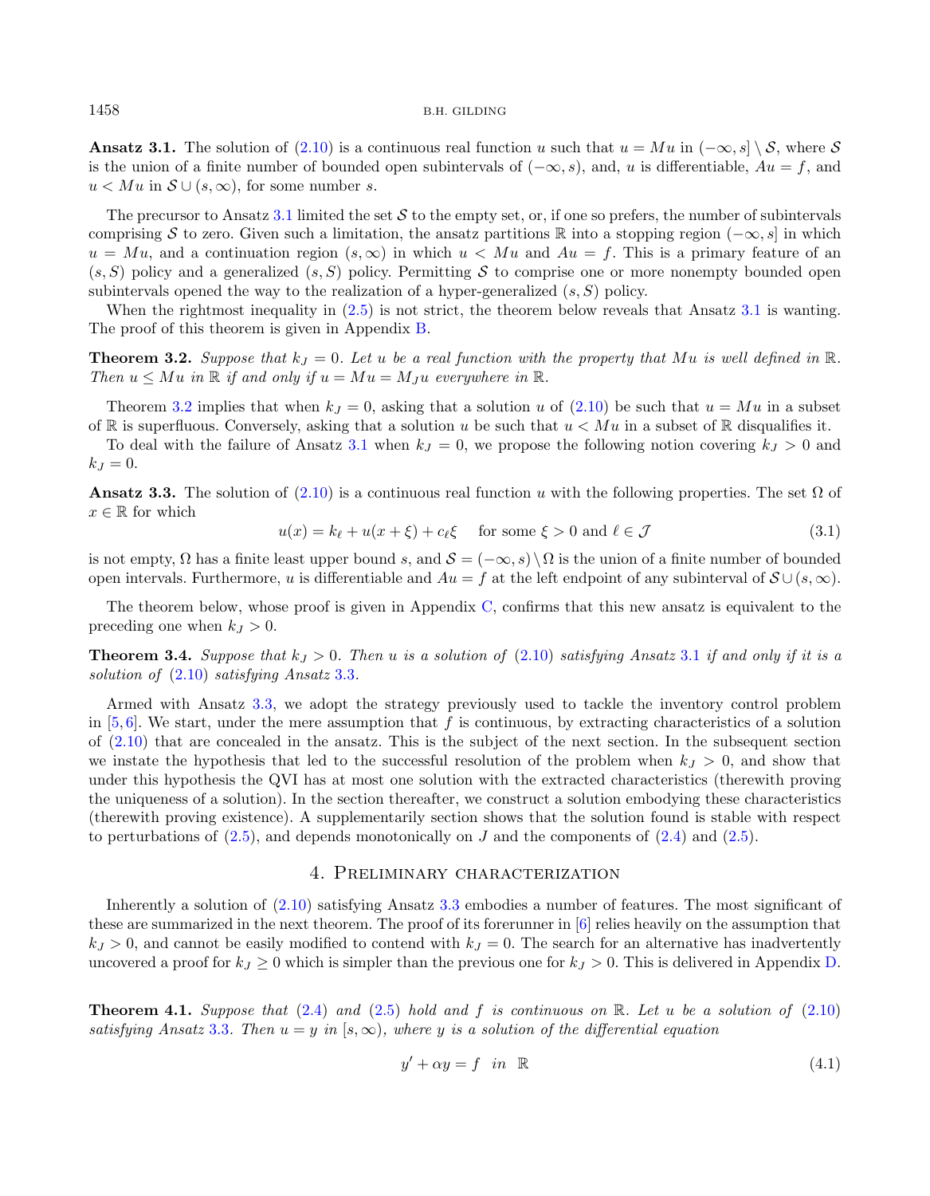<span id="page-5-1"></span>Ansatz 3.1. The solution of [\(2.10\)](#page-4-1) is a continuous real function u such that  $u = Mu$  in  $(-\infty, s] \setminus \mathcal{S}$ , where  $\mathcal{S}$ is the union of a finite number of bounded open subintervals of  $(-\infty, s)$ , and, u is differentiable,  $Au = f$ , and  $u < M u$  in  $S \cup (s, \infty)$ , for some number s.

<span id="page-5-2"></span>The precursor to Ansatz [3.1](#page-4-3) limited the set  $\mathcal S$  to the empty set, or, if one so prefers, the number of subintervals comprising S to zero. Given such a limitation, the ansatz partitions R into a stopping region ( $-\infty$ , s) in which  $u = M u$ , and a continuation region  $(s, \infty)$  in which  $u < M u$  and  $Au = f$ . This is a primary feature of an  $(s, S)$  policy and a generalized  $(s, S)$  policy. Permitting S to comprise one or more nonempty bounded open subintervals opened the way to the realization of a hyper-generalized  $(s, S)$  policy.

<span id="page-5-5"></span>When the rightmost inequality in  $(2.5)$  is not strict, the theorem below reveals that Ansatz [3.1](#page-4-3) is wanting. The proof of this theorem is given in Appendix [B.](#page-26-0)

**Theorem 3.2.** Suppose that  $k_J = 0$ . Let u be a real function with the property that Mu is well defined in  $\mathbb{R}$ . Then  $u \leq Mu$  in  $\mathbb R$  if and only if  $u = Mu = M_I u$  everywhere in  $\mathbb R$ .

Theorem [3.2](#page-5-1) implies that when  $k_I = 0$ , asking that a solution u of [\(2.10\)](#page-4-1) be such that  $u = Mu$  in a subset of R is superfluous. Conversely, asking that a solution u be such that  $u < M u$  in a subset of R disqualifies it.

To deal with the failure of Ansatz [3.1](#page-4-3) when  $k_j = 0$ , we propose the following notion covering  $k_j > 0$  and  $k_J = 0.$ 

Ansatz 3.3. The solution of  $(2.10)$  is a continuous real function u with the following properties. The set  $\Omega$  of  $x \in \mathbb{R}$  for which

<span id="page-5-6"></span>
$$
u(x) = k_{\ell} + u(x + \xi) + c_{\ell} \xi \quad \text{for some } \xi > 0 \text{ and } \ell \in \mathcal{J}
$$
 (3.1)

is not empty,  $\Omega$  has a finite least upper bound s, and  $\mathcal{S} = (-\infty, s) \setminus \Omega$  is the union of a finite number of bounded open intervals. Furthermore, u is differentiable and  $Au = f$  at the left endpoint of any subinterval of  $S \cup (s, \infty)$ .

The theorem below, whose proof is given in Appendix [C,](#page-27-0) confirms that this new ansatz is equivalent to the preceding one when  $k_J > 0$ .

**Theorem 3.4.** Suppose that  $k_j > 0$ . Then u is a solution of [\(2.10\)](#page-4-1) satisfying Ansatz [3.1](#page-4-3) if and only if it is a solution of [\(2.10\)](#page-4-1) satisfying Ansatz [3.3](#page-5-2).

<span id="page-5-3"></span>Armed with Ansatz [3.3,](#page-5-2) we adopt the strategy previously used to tackle the inventory control problem in  $[5, 6]$  $[5, 6]$  $[5, 6]$ . We start, under the mere assumption that f is continuous, by extracting characteristics of a solution of [\(2.10\)](#page-4-1) that are concealed in the ansatz. This is the subject of the next section. In the subsequent section we instate the hypothesis that led to the successful resolution of the problem when  $k_J > 0$ , and show that under this hypothesis the QVI has at most one solution with the extracted characteristics (therewith proving the uniqueness of a solution). In the section thereafter, we construct a solution embodying these characteristics (therewith proving existence). A supplementarily section shows that the solution found is stable with respect to perturbations of  $(2.5)$ , and depends monotonically on J and the components of  $(2.4)$  and  $(2.5)$ .

### 4. Preliminary characterization

<span id="page-5-0"></span>Inherently a solution of [\(2.10\)](#page-4-1) satisfying Ansatz [3.3](#page-5-2) embodies a number of features. The most significant of these are summarized in the next theorem. The proof of its forerunner in [\[6\]](#page-36-6) relies heavily on the assumption that  $k_l > 0$ , and cannot be easily modified to contend with  $k_l = 0$ . The search for an alternative has inadvertently uncovered a proof for  $k_J \geq 0$  which is simpler than the previous one for  $k_J > 0$ . This is delivered in Appendix [D.](#page-28-0)

**Theorem 4.1.** Suppose that  $(2.4)$  and  $(2.5)$  hold and f is continuous on R. Let u be a solution of  $(2.10)$ satisfying Ansatz [3.3](#page-5-2). Then  $u = y$  in [s,  $\infty$ ), where y is a solution of the differential equation

<span id="page-5-4"></span>
$$
y' + \alpha y = f \quad in \quad \mathbb{R} \tag{4.1}
$$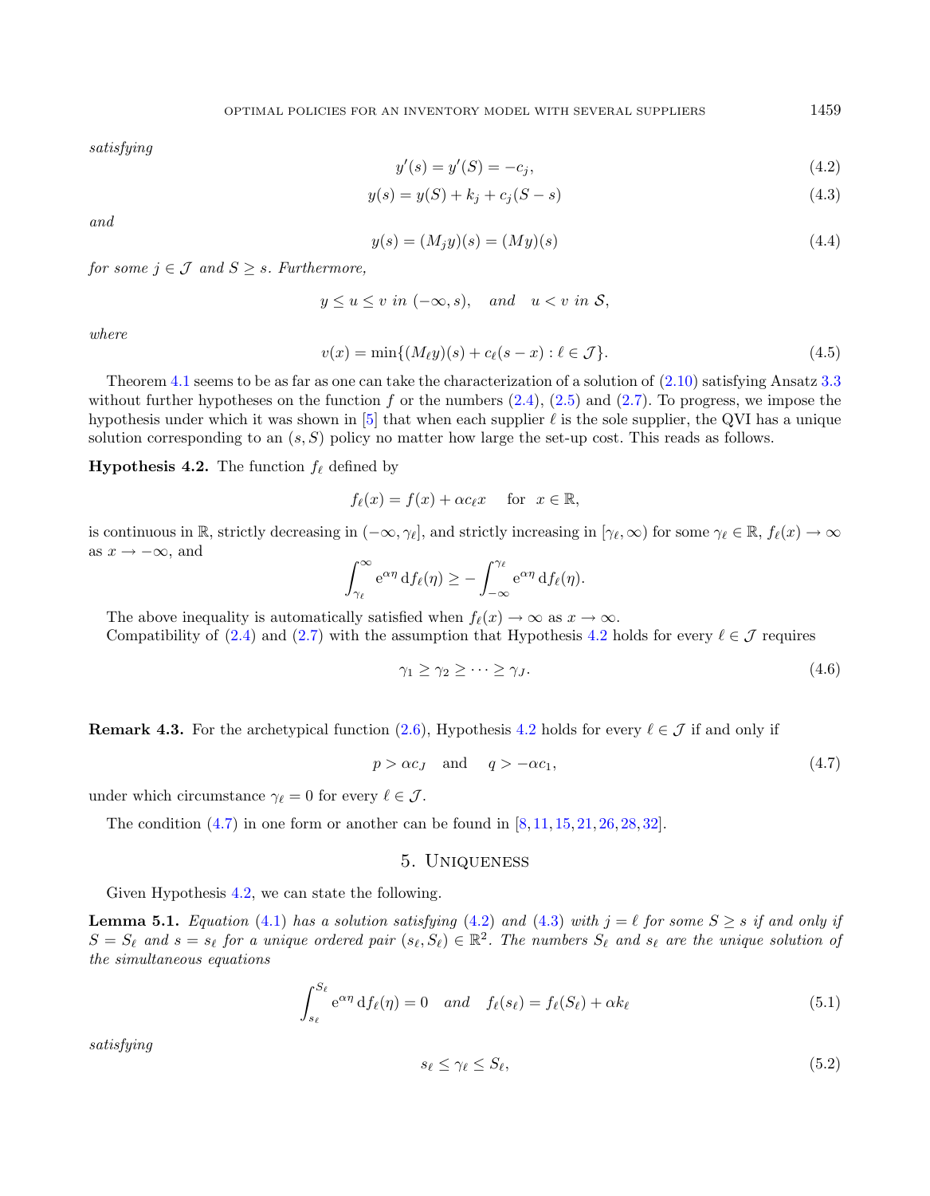<span id="page-6-10"></span><span id="page-6-8"></span><span id="page-6-3"></span><span id="page-6-2"></span>satisfying

$$
y'(s) = y'(S) = -c_j,
$$
\n(4.2)

$$
y(s) = y(S) + k_j + c_j(S - s)
$$
\n(4.3)

and

$$
y(s) = (M_j y)(s) = (My)(s)
$$
\n(4.4)

for some  $j \in \mathcal{J}$  and  $S \geq s$ . Furthermore,

$$
y \le u \le v \text{ in } (-\infty, s), \quad \text{and} \quad u < v \text{ in } \mathcal{S},
$$

where

$$
v(x) = \min\{(M_{\ell}y)(s) + c_{\ell}(s - x) : \ell \in \mathcal{J}\}.
$$
\n(4.5)

Theorem [4.1](#page-5-3) seems to be as far as one can take the characterization of a solution of  $(2.10)$  satisfying Ansatz [3.3](#page-5-2) without further hypotheses on the function f or the numbers  $(2.4)$ ,  $(2.5)$  and  $(2.7)$ . To progress, we impose the hypothesis under which it was shown in [\[5\]](#page-36-5) that when each supplier  $\ell$  is the sole supplier, the QVI has a unique solution corresponding to an  $(s, S)$  policy no matter how large the set-up cost. This reads as follows.

**Hypothesis 4.2.** The function  $f_{\ell}$  defined by

$$
f_{\ell}(x) = f(x) + \alpha c_{\ell} x \quad \text{for } x \in \mathbb{R},
$$

is continuous in  $\mathbb{R}$ , strictly decreasing in  $(-\infty, \gamma_{\ell}]$ , and strictly increasing in  $[\gamma_{\ell}, \infty)$  for some  $\gamma_{\ell} \in \mathbb{R}$ ,  $f_{\ell}(x) \to \infty$ as  $x \to -\infty$ , and

$$
\int_{\gamma_{\ell}}^{\infty} e^{\alpha \eta} df_{\ell}(\eta) \geq - \int_{-\infty}^{\gamma_{\ell}} e^{\alpha \eta} df_{\ell}(\eta).
$$

The above inequality is automatically satisfied when  $f_{\ell}(x) \to \infty$  as  $x \to \infty$ .

Compatibility of [\(2.4\)](#page-4-4) and [\(2.7\)](#page-4-5) with the assumption that Hypothesis [4.2](#page-6-0) holds for every  $\ell \in \mathcal{J}$  requires

<span id="page-6-4"></span>
$$
\gamma_1 \ge \gamma_2 \ge \cdots \ge \gamma_J. \tag{4.6}
$$

**Remark 4.3.** For the archetypical function [\(2.6\)](#page-4-6), Hypothesis [4.2](#page-6-0) holds for every  $\ell \in \mathcal{J}$  if and only if

<span id="page-6-5"></span>
$$
p > \alpha c_J \quad \text{and} \quad q > -\alpha c_1,\tag{4.7}
$$

under which circumstance  $\gamma_{\ell} = 0$  for every  $\ell \in \mathcal{J}$ .

<span id="page-6-9"></span><span id="page-6-7"></span>The condition  $(4.7)$  in one form or another can be found in  $[8, 11, 15, 21, 26, 28, 32]$  $[8, 11, 15, 21, 26, 28, 32]$  $[8, 11, 15, 21, 26, 28, 32]$  $[8, 11, 15, 21, 26, 28, 32]$  $[8, 11, 15, 21, 26, 28, 32]$  $[8, 11, 15, 21, 26, 28, 32]$  $[8, 11, 15, 21, 26, 28, 32]$  $[8, 11, 15, 21, 26, 28, 32]$  $[8, 11, 15, 21, 26, 28, 32]$  $[8, 11, 15, 21, 26, 28, 32]$  $[8, 11, 15, 21, 26, 28, 32]$  $[8, 11, 15, 21, 26, 28, 32]$  $[8, 11, 15, 21, 26, 28, 32]$ .

### 5. Uniqueness

Given Hypothesis [4.2,](#page-6-0) we can state the following.

**Lemma 5.1.** Equation [\(4.1\)](#page-5-4) has a solution satisfying [\(4.2\)](#page-6-2) and [\(4.3\)](#page-6-3) with  $j = \ell$  for some  $S \geq s$  if and only if  $S = S_{\ell}$  and  $s = s_{\ell}$  for a unique ordered pair  $(s_{\ell}, S_{\ell}) \in \mathbb{R}^2$ . The numbers  $S_{\ell}$  and  $s_{\ell}$  are the unique solution of the simultaneous equations

$$
\int_{s_{\ell}}^{S_{\ell}} e^{\alpha \eta} df_{\ell}(\eta) = 0 \quad and \quad f_{\ell}(s_{\ell}) = f_{\ell}(S_{\ell}) + \alpha k_{\ell} \tag{5.1}
$$

satisfying

$$
s_{\ell} \le \gamma_{\ell} \le S_{\ell},\tag{5.2}
$$

<span id="page-6-6"></span><span id="page-6-1"></span><span id="page-6-0"></span>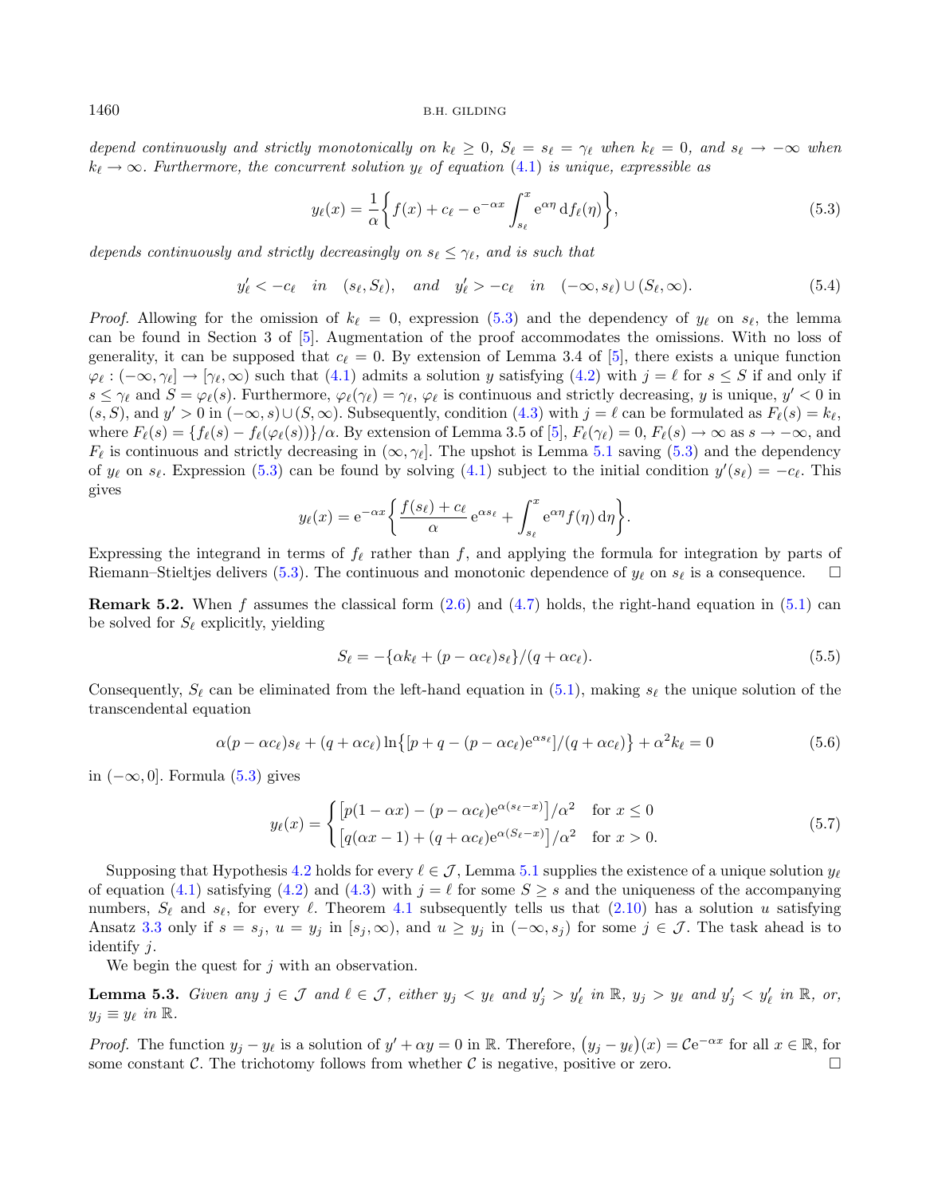depend continuously and strictly monotonically on  $k_{\ell} \geq 0$ ,  $S_{\ell} = s_{\ell} = \gamma_{\ell}$  when  $k_{\ell} = 0$ , and  $s_{\ell} \to -\infty$  when  $k_{\ell} \rightarrow \infty$ . Furthermore, the concurrent solution  $y_{\ell}$  of equation [\(4.1\)](#page-5-4) is unique, expressible as

<span id="page-7-3"></span><span id="page-7-0"></span>
$$
y_{\ell}(x) = \frac{1}{\alpha} \left\{ f(x) + c_{\ell} - e^{-\alpha x} \int_{s_{\ell}}^{x} e^{\alpha \eta} df_{\ell}(\eta) \right\},\tag{5.3}
$$

depends continuously and strictly decreasingly on  $s_{\ell} \leq \gamma_{\ell}$ , and is such that

$$
y'_{\ell} < -c_{\ell}
$$
 in  $(s_{\ell}, S_{\ell}),$  and  $y'_{\ell} > -c_{\ell}$  in  $(-\infty, s_{\ell}) \cup (S_{\ell}, \infty).$  (5.4)

*Proof.* Allowing for the omission of  $k_{\ell} = 0$ , expression [\(5.3\)](#page-7-0) and the dependency of  $y_{\ell}$  on  $s_{\ell}$ , the lemma can be found in Section 3 of [\[5\]](#page-36-5). Augmentation of the proof accommodates the omissions. With no loss of generality, it can be supposed that  $c_{\ell} = 0$ . By extension of Lemma 3.4 of [\[5\]](#page-36-5), there exists a unique function  $\varphi_{\ell}: (-\infty, \gamma_{\ell}] \to [\gamma_{\ell}, \infty)$  such that [\(4.1\)](#page-5-4) admits a solution y satisfying [\(4.2\)](#page-6-2) with  $j = \ell$  for  $s \leq S$  if and only if  $s \leq \gamma_{\ell}$  and  $S = \varphi_{\ell}(s)$ . Furthermore,  $\varphi_{\ell}(\gamma_{\ell}) = \gamma_{\ell}, \varphi_{\ell}$  is continuous and strictly decreasing, y is unique,  $y' < 0$  in  $(s, S)$ , and  $y' > 0$  in  $(-\infty, s) \cup (S, \infty)$ . Subsequently, condition  $(4.3)$  with  $j = \ell$  can be formulated as  $F_{\ell}(s) = k_{\ell}$ , where  $F_{\ell}(s) = \{f_{\ell}(s) - f_{\ell}(\varphi_{\ell}(s))\}/\alpha$ . By extension of Lemma 3.5 of [\[5\]](#page-36-5),  $F_{\ell}(\gamma_{\ell}) = 0$ ,  $F_{\ell}(s) \to \infty$  as  $s \to -\infty$ , and  $F_{\ell}$  is continuous and strictly decreasing in  $(\infty, \gamma_{\ell}]$ . The upshot is Lemma [5.1](#page-6-4) saving [\(5.3\)](#page-7-0) and the dependency of  $y_\ell$  on  $s_\ell$ . Expression [\(5.3\)](#page-7-0) can be found by solving [\(4.1\)](#page-5-4) subject to the initial condition  $y'(s_\ell) = -c_\ell$ . This gives

<span id="page-7-5"></span><span id="page-7-4"></span><span id="page-7-1"></span>
$$
y_{\ell}(x) = e^{-\alpha x} \left\{ \frac{f(s_{\ell}) + c_{\ell}}{\alpha} e^{\alpha s_{\ell}} + \int_{s_{\ell}}^{x} e^{\alpha \eta} f(\eta) d\eta \right\}.
$$

Expressing the integrand in terms of  $f_{\ell}$  rather than f, and applying the formula for integration by parts of Riemann–Stieltjes delivers [\(5.3\)](#page-7-0). The continuous and monotonic dependence of  $y_\ell$  on  $s_\ell$  is a consequence.  $\Box$ 

**Remark 5.2.** When f assumes the classical form  $(2.6)$  and  $(4.7)$  holds, the right-hand equation in  $(5.1)$  can be solved for  $S_{\ell}$  explicitly, yielding

<span id="page-7-2"></span>
$$
S_{\ell} = -\{\alpha k_{\ell} + (p - \alpha c_{\ell})s_{\ell}\}/(q + \alpha c_{\ell}).
$$
\n
$$
(5.5)
$$

Consequently,  $S_\ell$  can be eliminated from the left-hand equation in [\(5.1\)](#page-6-5), making  $s_\ell$  the unique solution of the transcendental equation

$$
\alpha(p - \alpha c_{\ell})s_{\ell} + (q + \alpha c_{\ell})\ln\left\{[p + q - (p - \alpha c_{\ell})e^{\alpha s_{\ell}}]/(q + \alpha c_{\ell})\right\} + \alpha^{2}k_{\ell} = 0
$$
\n(5.6)

in (−∞, 0]. Formula [\(5.3\)](#page-7-0) gives

$$
y_{\ell}(x) = \begin{cases} \left[ p(1 - \alpha x) - (p - \alpha c_{\ell}) e^{\alpha(s_{\ell} - x)} \right] / \alpha^2 & \text{for } x \le 0\\ \left[ q(\alpha x - 1) + (q + \alpha c_{\ell}) e^{\alpha(S_{\ell} - x)} \right] / \alpha^2 & \text{for } x > 0. \end{cases} \tag{5.7}
$$

Supposing that Hypothesis [4.2](#page-6-0) holds for every  $\ell \in \mathcal{J}$ , Lemma [5.1](#page-6-4) supplies the existence of a unique solution  $y_{\ell}$ of equation [\(4.1\)](#page-5-4) satisfying [\(4.2\)](#page-6-2) and [\(4.3\)](#page-6-3) with  $j = \ell$  for some  $S \geq s$  and the uniqueness of the accompanying numbers,  $S_{\ell}$  and  $s_{\ell}$ , for every  $\ell$ . Theorem [4.1](#page-5-3) subsequently tells us that [\(2.10\)](#page-4-1) has a solution u satisfying Ansatz [3.3](#page-5-2) only if  $s = s_j$ ,  $u = y_j$  in  $[s_j, \infty)$ , and  $u \geq y_j$  in  $(-\infty, s_j)$  for some  $j \in \mathcal{J}$ . The task ahead is to identify  $j$ .

We begin the quest for  $j$  with an observation.

**Lemma 5.3.** Given any  $j \in \mathcal{J}$  and  $\ell \in \mathcal{J}$ , either  $y_j < y_\ell$  and  $y'_j > y'_\ell$  in  $\mathbb{R}$ ,  $y_j > y_\ell$  and  $y'_j < y'_\ell$  in  $\mathbb{R}$ , or,  $y_i \equiv y_\ell$  in  $\mathbb{R}$ .

*Proof.* The function  $y_j - y_\ell$  is a solution of  $y' + \alpha y = 0$  in R. Therefore,  $(y_j - y_\ell)(x) = C e^{-\alpha x}$  for all  $x \in \mathbb{R}$ , for some constant C. The trichotomy follows from whether C is negative, positive or zero.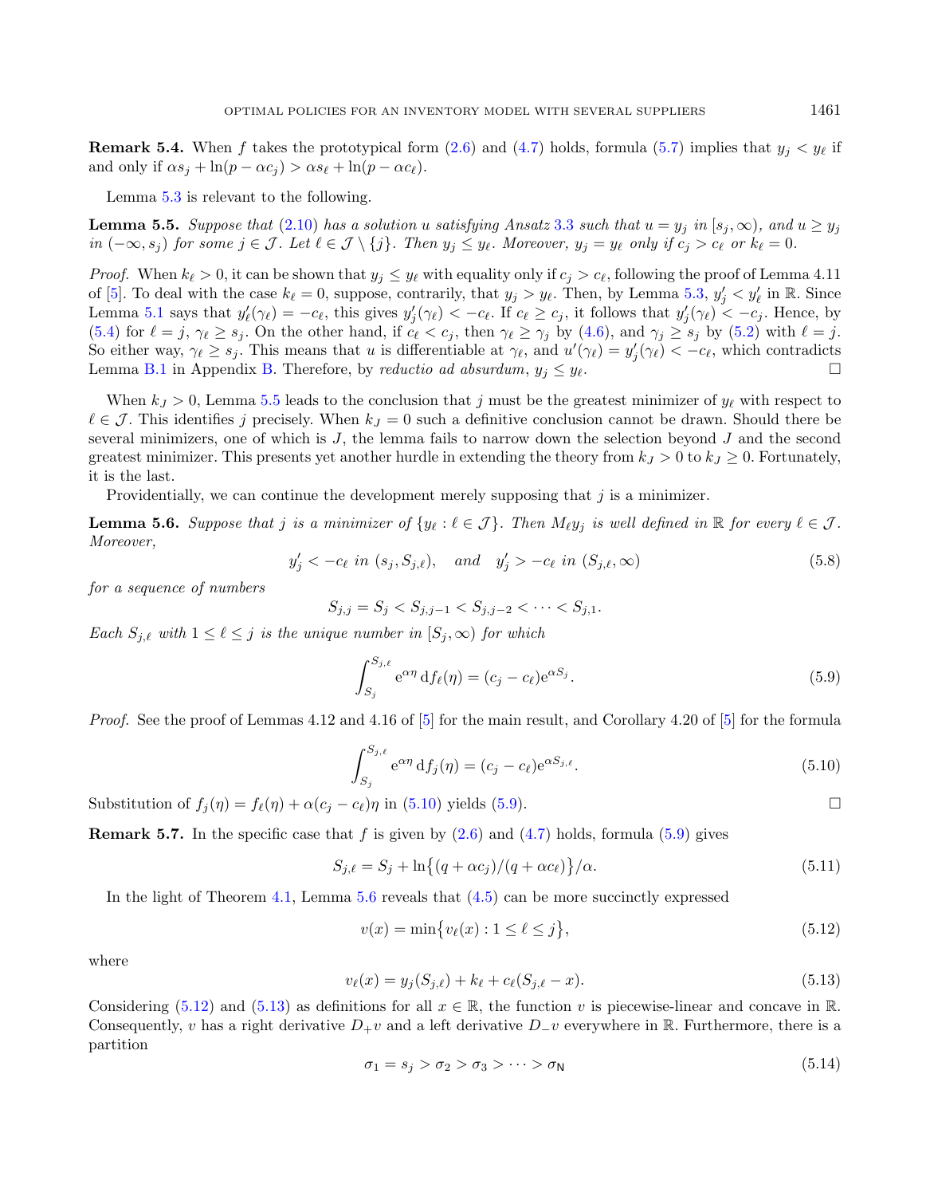<span id="page-8-0"></span>**Remark 5.4.** When f takes the prototypical form [\(2.6\)](#page-4-6) and [\(4.7\)](#page-6-1) holds, formula [\(5.7\)](#page-7-1) implies that  $y_j < y_\ell$  if and only if  $\alpha s_j + \ln(p - \alpha c_j) > \alpha s_\ell + \ln(p - \alpha c_\ell)$ .

Lemma [5.3](#page-7-2) is relevant to the following.

**Lemma 5.5.** Suppose that [\(2.10\)](#page-4-1) has a solution u satisfying Ansatz [3.3](#page-5-2) such that  $u = y_i$  in  $[s_i, \infty)$ , and  $u \geq y_i$  $in (-\infty, s_i)$  for some  $j \in \mathcal{J}$ . Let  $\ell \in \mathcal{J} \setminus \{j\}$ . Then  $y_j \leq y_\ell$ . Moreover,  $y_j = y_\ell$  only if  $c_j > c_\ell$  or  $k_\ell = 0$ .

<span id="page-8-7"></span>*Proof.* When  $k_{\ell} > 0$ , it can be shown that  $y_j \leq y_{\ell}$  with equality only if  $c_j > c_{\ell}$ , following the proof of Lemma 4.11 of [\[5\]](#page-36-5). To deal with the case  $k_{\ell} = 0$ , suppose, contrarily, that  $y_j > y_{\ell}$ . Then, by Lemma [5.3,](#page-7-2)  $y'_j < y'_{\ell}$  in R. Since Lemma [5.1](#page-6-4) says that  $y'_{\ell}(\gamma_{\ell}) = -c_{\ell}$ , this gives  $y'_{j}(\gamma_{\ell}) < -c_{\ell}$ . If  $c_{\ell} \ge c_{j}$ , it follows that  $y'_{j}(\gamma_{\ell}) < -c_{j}$ . Hence, by [\(5.4\)](#page-7-3) for  $\ell = j$ ,  $\gamma_{\ell} \geq s_j$ . On the other hand, if  $c_{\ell} < c_j$ , then  $\gamma_{\ell} \geq \gamma_j$  by [\(4.6\)](#page-6-6), and  $\gamma_j \geq s_j$  by [\(5.2\)](#page-6-7) with  $\ell = j$ . So either way,  $\gamma_{\ell} \geq s_j$ . This means that u is differentiable at  $\gamma_{\ell}$ , and  $u'(\gamma_{\ell}) = y'_j(\gamma_{\ell}) < -c_{\ell}$ , which contradicts Lemma [B.1](#page-26-1) in Appendix [B.](#page-26-0) Therefore, by reductio ad absurdum,  $y_j \leq y_\ell$ .

When  $k_J > 0$ , Lemma [5.5](#page-8-0) leads to the conclusion that j must be the greatest minimizer of  $y_\ell$  with respect to  $\ell \in \mathcal{J}$ . This identifies j precisely. When  $k_j = 0$  such a definitive conclusion cannot be drawn. Should there be several minimizers, one of which is  $J$ , the lemma fails to narrow down the selection beyond  $J$  and the second greatest minimizer. This presents yet another hurdle in extending the theory from  $k_J > 0$  to  $k_J \geq 0$ . Fortunately, it is the last.

Providentially, we can continue the development merely supposing that  $j$  is a minimizer.

<span id="page-8-1"></span>**Lemma 5.6.** Suppose that *j* is a minimizer of  $\{y_\ell : \ell \in \mathcal{J}\}\$ . Then  $M_\ell y_j$  is well defined in  $\mathbb{R}$  for every  $\ell \in \mathcal{J}\$ . Moreover,

$$
y'_j < -c_\ell \text{ in } (s_j, S_{j,\ell}), \text{ and } y'_j > -c_\ell \text{ in } (S_{j,\ell}, \infty)
$$
 (5.8)

for a sequence of numbers

<span id="page-8-3"></span><span id="page-8-2"></span>
$$
S_{j,j} = S_j < S_{j,j-1} < S_{j,j-2} < \cdots < S_{j,1}.
$$

Each  $S_{j,\ell}$  with  $1 \leq \ell \leq j$  is the unique number in  $[S_j,\infty)$  for which

<span id="page-8-8"></span><span id="page-8-4"></span>
$$
\int_{S_j}^{S_{j,\ell}} e^{\alpha \eta} df_{\ell}(\eta) = (c_j - c_\ell) e^{\alpha S_j}.
$$
\n(5.9)

<span id="page-8-5"></span>*Proof.* See the proof of Lemmas 4.12 and 4.16 of  $[5]$  for the main result, and Corollary 4.20 of  $[5]$  for the formula

$$
\int_{S_j}^{S_{j,\ell}} e^{\alpha \eta} df_j(\eta) = (c_j - c_\ell) e^{\alpha S_{j,\ell}}.
$$
\n(5.10)

Substitution of  $f_i(\eta) = f_\ell(\eta) + \alpha(c_i - c_\ell)\eta$  in [\(5.10\)](#page-8-1) yields [\(5.9\)](#page-8-2).

<span id="page-8-6"></span>**Remark 5.7.** In the specific case that f is given by  $(2.6)$  and  $(4.7)$  holds, formula [\(5.9\)](#page-8-2) gives

$$
S_{j,\ell} = S_j + \ln\{(q + \alpha c_j)/(q + \alpha c_\ell)\}/\alpha.
$$
\n
$$
(5.11)
$$

In the light of Theorem [4.1,](#page-5-3) Lemma [5.6](#page-8-3) reveals that [\(4.5\)](#page-6-8) can be more succinctly expressed

$$
v(x) = \min\{v_{\ell}(x) : 1 \le \ell \le j\},\tag{5.12}
$$

where

$$
v_{\ell}(x) = y_j(S_{j,\ell}) + k_{\ell} + c_{\ell}(S_{j,\ell} - x). \tag{5.13}
$$

Considering [\(5.12\)](#page-8-4) and [\(5.13\)](#page-8-5) as definitions for all  $x \in \mathbb{R}$ , the function v is piecewise-linear and concave in  $\mathbb{R}$ . Consequently, v has a right derivative  $D_+ v$  and a left derivative  $D_- v$  everywhere in R. Furthermore, there is a partition

$$
\sigma_1 = s_j > \sigma_2 > \sigma_3 > \dots > \sigma_N \tag{5.14}
$$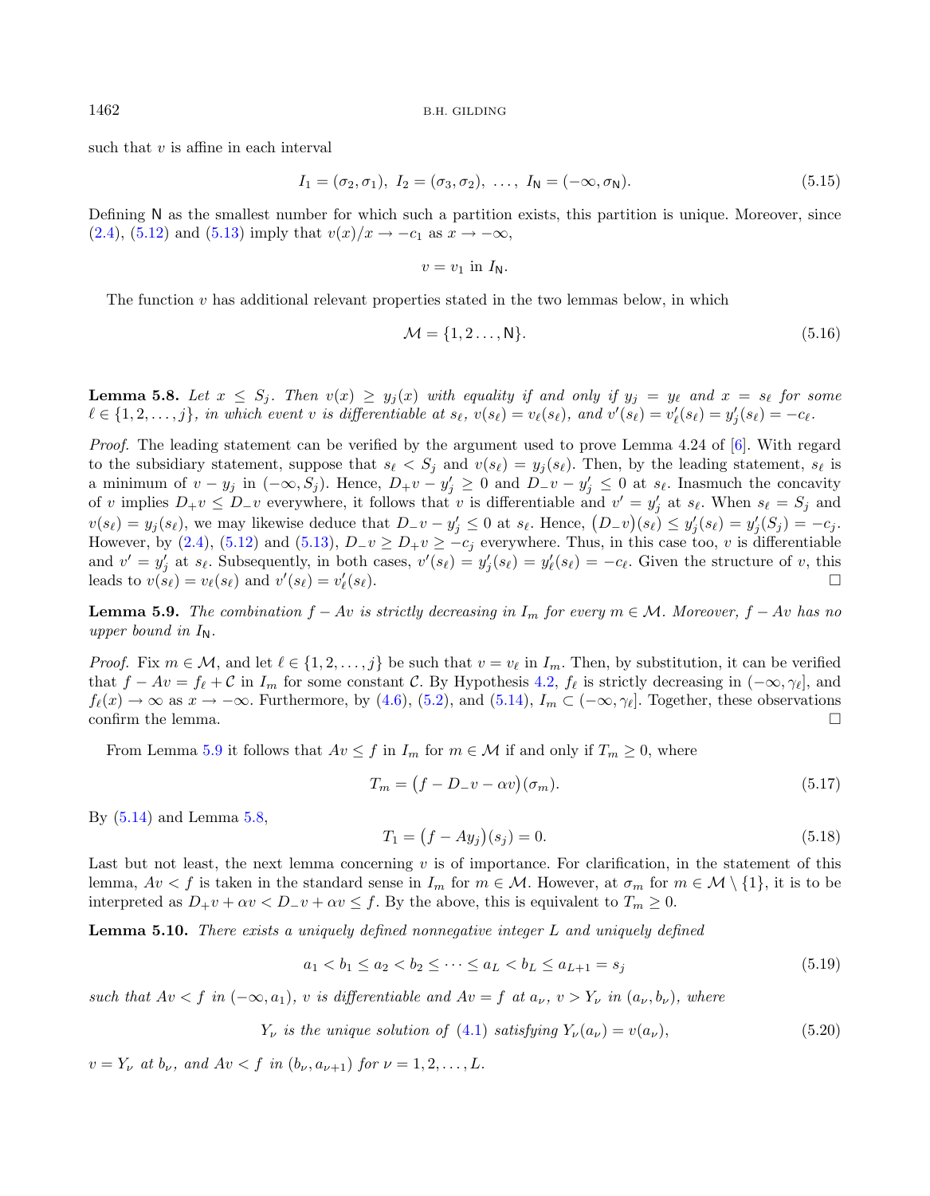<span id="page-9-1"></span>such that  $v$  is affine in each interval

<span id="page-9-3"></span>
$$
I_1 = (\sigma_2, \sigma_1), \ I_2 = (\sigma_3, \sigma_2), \ \ldots, \ I_N = (-\infty, \sigma_N). \tag{5.15}
$$

Defining N as the smallest number for which such a partition exists, this partition is unique. Moreover, since [\(2.4\)](#page-4-4), [\(5.12\)](#page-8-4) and [\(5.13\)](#page-8-5) imply that  $v(x)/x \rightarrow -c_1$  as  $x \rightarrow -\infty$ ,

<span id="page-9-8"></span>
$$
v=v_1\,\,\mathrm{in}\,\,I_N.
$$

The function  $v$  has additional relevant properties stated in the two lemmas below, in which

<span id="page-9-4"></span>
$$
\mathcal{M} = \{1, 2 \dots, N\}.\tag{5.16}
$$

**Lemma 5.8.** Let  $x \leq S_j$ . Then  $v(x) \geq y_j(x)$  with equality if and only if  $y_j = y_\ell$  and  $x = s_\ell$  for some  $\ell \in \{1, 2, \ldots, j\}$ , in which event v is differentiable at  $s_{\ell}$ ,  $v(s_{\ell}) = v_{\ell}(s_{\ell})$ , and  $v'(s_{\ell}) = v'_{\ell}(s_{\ell}) = y'_{j}(s_{\ell}) = -c_{\ell}$ .

Proof. The leading statement can be verified by the argument used to prove Lemma 4.24 of [\[6\]](#page-36-6). With regard to the subsidiary statement, suppose that  $s_{\ell} < S_j$  and  $v(s_{\ell}) = y_j(s_{\ell})$ . Then, by the leading statement,  $s_{\ell}$  is a minimum of  $v - y_j$  in  $(-\infty, S_j)$ . Hence,  $D_+ v - y'_j \ge 0$  and  $D_- v - y'_j \le 0$  at  $s_\ell$ . Inasmuch the concavity of v implies  $D_+v \leq D_-v$  everywhere, it follows that v is differentiable and  $v' = y'_j$  at  $s_\ell$ . When  $s_\ell = S_j$  and  $v(s_\ell) = y_j(s_\ell)$ , we may likewise deduce that  $D_{-}v - y'_j \leq 0$  at  $s_\ell$ . Hence,  $(D_{-}v)(s_\ell) \leq y'_j(s_\ell) = y'_j(S_j) = -c_j$ . However, by [\(2.4\)](#page-4-4), [\(5.12\)](#page-8-4) and [\(5.13\)](#page-8-5),  $D_{-}v \ge D_{+}v \ge -c_j$  everywhere. Thus, in this case too, v is differentiable and  $v' = y'_j$  at  $s_\ell$ . Subsequently, in both cases,  $v'(s_\ell) = y'_j(s_\ell) = y'_\ell(s_\ell) = -c_\ell$ . Given the structure of v, this leads to  $v(s_{\ell}) = v_{\ell}(s_{\ell})$  and  $v'(s_{\ell}) = v'_{\ell}$  $(s_{\ell}).$ 

<span id="page-9-5"></span><span id="page-9-0"></span>**Lemma 5.9.** The combination  $f - Av$  is strictly decreasing in  $I_m$  for every  $m \in \mathcal{M}$ . Moreover,  $f - Av$  has no upper bound in  $I_N$ .

*Proof.* Fix  $m \in \mathcal{M}$ , and let  $\ell \in \{1, 2, ..., j\}$  be such that  $v = v_{\ell}$  in  $I_m$ . Then, by substitution, it can be verified that  $f - Av = f_{\ell} + C$  in  $I_m$  for some constant C. By Hypothesis [4.2,](#page-6-0)  $f_{\ell}$  is strictly decreasing in  $(-\infty, \gamma_{\ell}]$ , and  $f_{\ell}(x) \to \infty$  as  $x \to -\infty$ . Furthermore, by [\(4.6\)](#page-6-6), [\(5.2\)](#page-6-7), and [\(5.14\)](#page-8-6),  $I_m \subset (-\infty, \gamma_{\ell}]$ . Together, these observations confirm the lemma.  $\Box$ 

From Lemma [5.9](#page-9-0) it follows that  $Av \leq f$  in  $I_m$  for  $m \in \mathcal{M}$  if and only if  $T_m \geq 0$ , where

<span id="page-9-6"></span><span id="page-9-2"></span>
$$
T_m = (f - D_- v - \alpha v)(\sigma_m). \tag{5.17}
$$

By [\(5.14\)](#page-8-6) and Lemma [5.8,](#page-9-1)

<span id="page-9-7"></span>
$$
T_1 = (f - Ay_j)(s_j) = 0.
$$
\n(5.18)

Last but not least, the next lemma concerning  $v$  is of importance. For clarification, in the statement of this lemma,  $Av < f$  is taken in the standard sense in  $I_m$  for  $m \in \mathcal{M}$ . However, at  $\sigma_m$  for  $m \in \mathcal{M} \setminus \{1\}$ , it is to be interpreted as  $D_+ v + \alpha v \leq D_- v + \alpha v \leq f$ . By the above, this is equivalent to  $T_m \geq 0$ .

**Lemma 5.10.** There exists a uniquely defined nonnegative integer  $L$  and uniquely defined

$$
a_1 < b_1 \le a_2 < b_2 \le \dots \le a_L < b_L \le a_{L+1} = s_j \tag{5.19}
$$

such that  $Av < f$  in  $(-\infty, a_1)$ , v is differentiable and  $Av = f$  at  $a_\nu, v > Y_\nu$  in  $(a_\nu, b_\nu)$ , where

 $Y_{\nu}$  is the unique solution of [\(4.1\)](#page-5-4) satisfying  $Y_{\nu}(a_{\nu}) = v(a_{\nu}),$  (5.20)

 $v = Y_{\nu}$  at  $b_{\nu}$ , and  $Av < f$  in  $(b_{\nu}, a_{\nu+1})$  for  $\nu = 1, 2, ..., L$ .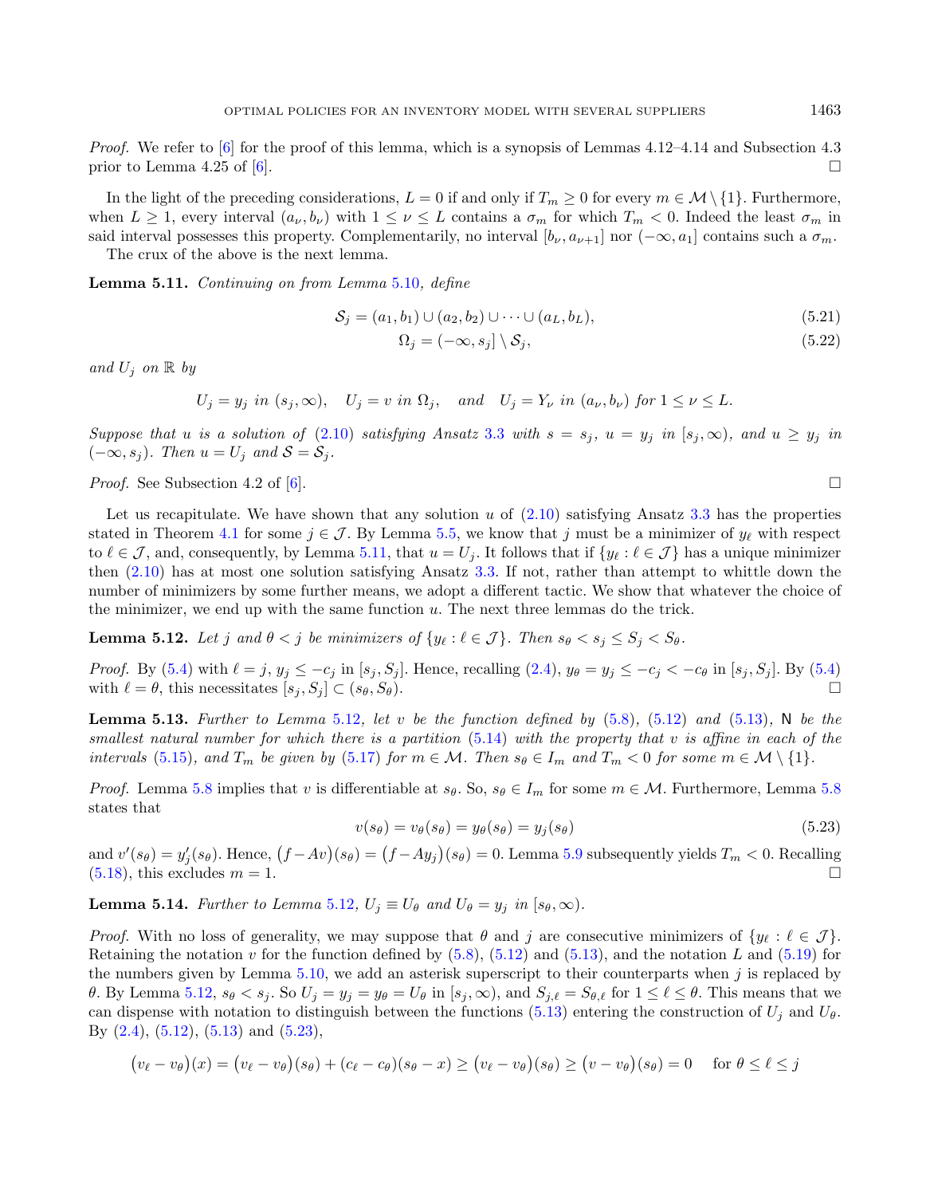Proof. We refer to [\[6\]](#page-36-6) for the proof of this lemma, which is a synopsis of Lemmas 4.12–4.14 and Subsection 4.3 prior to Lemma 4.25 of [\[6\]](#page-36-6).

In the light of the preceding considerations,  $L = 0$  if and only if  $T_m \ge 0$  for every  $m \in \mathcal{M} \setminus \{1\}$ . Furthermore, when  $L \geq 1$ , every interval  $(a_{\nu}, b_{\nu})$  with  $1 \leq \nu \leq L$  contains a  $\sigma_m$  for which  $T_m < 0$ . Indeed the least  $\sigma_m$  in said interval possesses this property. Complementarily, no interval  $[b_\nu, a_{\nu+1}]$  nor  $(-\infty, a_1]$  contains such a  $\sigma_m$ .

The crux of the above is the next lemma.

<span id="page-10-5"></span>Lemma 5.11. Continuing on from Lemma [5.10](#page-9-2), define

<span id="page-10-4"></span><span id="page-10-0"></span>
$$
S_j = (a_1, b_1) \cup (a_2, b_2) \cup \dots \cup (a_L, b_L),
$$
\n(5.21)

<span id="page-10-1"></span>
$$
\Omega_j = (-\infty, s_j] \setminus \mathcal{S}_j,\tag{5.22}
$$

and  $U_i$  on  $\mathbb R$  by

$$
U_j = y_j
$$
 in  $(s_j, \infty)$ ,  $U_j = v$  in  $\Omega_j$ , and  $U_j = Y_{\nu}$  in  $(a_{\nu}, b_{\nu})$  for  $1 \le \nu \le L$ .

Suppose that u is a solution of [\(2.10\)](#page-4-1) satisfying Ansatz [3.3](#page-5-2) with  $s = s_j$ ,  $u = y_j$  in  $[s_j, \infty)$ , and  $u \ge y_j$  in  $(-\infty, s_j)$ . Then  $u = U_j$  and  $S = S_j$ .

*Proof.* See Subsection 4.2 of [\[6\]](#page-36-6).

Let us recapitulate. We have shown that any solution  $u$  of  $(2.10)$  satisfying Ansatz [3.3](#page-5-2) has the properties stated in Theorem [4.1](#page-5-3) for some  $j \in \mathcal{J}$ . By Lemma [5.5,](#page-8-0) we know that j must be a minimizer of  $y_\ell$  with respect to  $\ell \in \mathcal{J}$ , and, consequently, by Lemma [5.11,](#page-10-0) that  $u = U_j$ . It follows that if  $\{y_\ell : \ell \in \mathcal{J}\}\$  has a unique minimizer then  $(2.10)$  has at most one solution satisfying Ansatz [3.3.](#page-5-2) If not, rather than attempt to whittle down the number of minimizers by some further means, we adopt a different tactic. We show that whatever the choice of the minimizer, we end up with the same function  $u$ . The next three lemmas do the trick.

<span id="page-10-2"></span>**Lemma 5.12.** Let  $j$  and  $\theta < j$  be minimizers of  $\{y_\ell : \ell \in \mathcal{J}\}\$ . Then  $s_\theta < s_j \leq S_j < S_\theta$ .

*Proof.* By [\(5.4\)](#page-7-3) with  $\ell = j$ ,  $y_j \leq -c_j$  in  $[s_j, S_j]$ . Hence, recalling [\(2.4\)](#page-4-4),  $y_{\theta} = y_j \leq -c_j < -c_{\theta}$  in  $[s_j, S_j]$ . By (5.4) with  $\ell = \theta$ , this necessitates  $[s_i, S_j] \subset (s_{\theta}, S_{\theta}).$ 

<span id="page-10-6"></span>**Lemma 5.13.** Further to Lemma [5.12](#page-10-1), let v be the function defined by  $(5.8)$ ,  $(5.12)$  and  $(5.13)$ , N be the smallest natural number for which there is a partition  $(5.14)$  with the property that  $v$  is affine in each of the intervals [\(5.15\)](#page-9-3), and  $T_m$  be given by [\(5.17\)](#page-9-4) for  $m \in \mathcal{M}$ . Then  $s_\theta \in I_m$  and  $T_m < 0$  for some  $m \in \mathcal{M} \setminus \{1\}$ .

*Proof.* Lemma [5.8](#page-9-1) implies that v is differentiable at  $s_{\theta}$ . So,  $s_{\theta} \in I_m$  for some  $m \in \mathcal{M}$ . Furthermore, Lemma 5.8 states that

$$
v(s_{\theta}) = v_{\theta}(s_{\theta}) = y_{\theta}(s_{\theta}) = y_j(s_{\theta})
$$
\n
$$
(5.23)
$$

and  $v'(s_\theta) = y'_j(s_\theta)$ . Hence,  $(f - Av)(s_\theta) = (f - Ay_j)(s_\theta) = 0$ . Lemma [5.9](#page-9-0) subsequently yields  $T_m < 0$ . Recalling  $(5.18)$ , this excludes  $m = 1$ .

<span id="page-10-3"></span>**Lemma 5.14.** Further to Lemma [5.12](#page-10-1),  $U_j \equiv U_\theta$  and  $U_\theta = y_j$  in  $[s_\theta, \infty)$ .

*Proof.* With no loss of generality, we may suppose that  $\theta$  and  $j$  are consecutive minimizers of  $\{y_\ell : \ell \in \mathcal{J}\}\$ . Retaining the notation v for the function defined by  $(5.8)$ ,  $(5.12)$  and  $(5.13)$ , and the notation L and  $(5.19)$  for the numbers given by Lemma  $5.10$ , we add an asterisk superscript to their counterparts when  $j$  is replaced by  $\theta$ . By Lemma [5.12,](#page-10-1)  $s_{\theta} < s_j$ . So  $U_j = y_j = y_{\theta} = U_{\theta}$  in  $[s_j, \infty)$ , and  $S_{j,\ell} = S_{\theta,\ell}$  for  $1 \leq \ell \leq \theta$ . This means that we can dispense with notation to distinguish between the functions [\(5.13\)](#page-8-5) entering the construction of  $U_j$  and  $U_{\theta}$ . By  $(2.4)$ ,  $(5.12)$ ,  $(5.13)$  and  $(5.23)$ ,

$$
(v_{\ell} - v_{\theta})(x) = (v_{\ell} - v_{\theta})(s_{\theta}) + (c_{\ell} - c_{\theta})(s_{\theta} - x) \ge (v_{\ell} - v_{\theta})(s_{\theta}) \ge (v - v_{\theta})(s_{\theta}) = 0 \quad \text{for } \theta \le \ell \le j
$$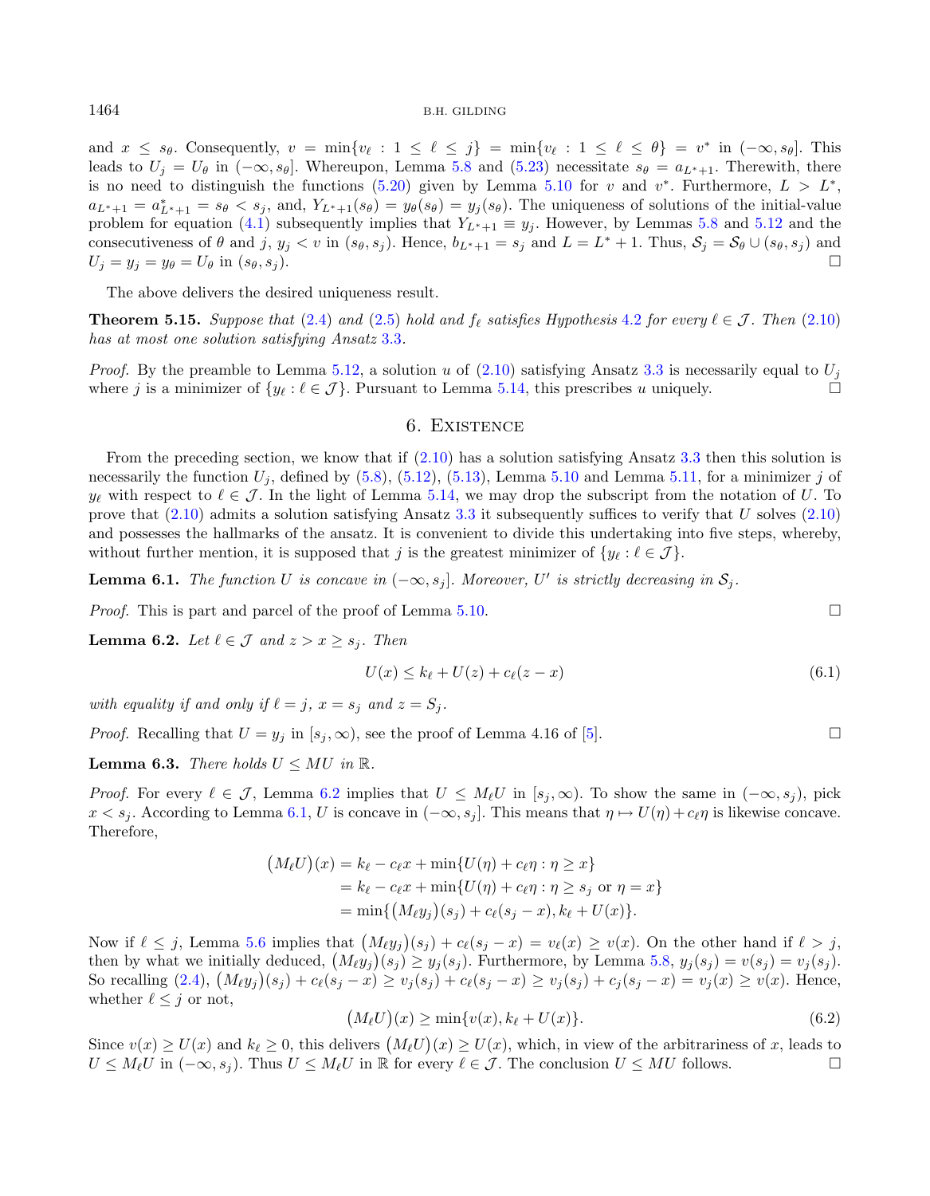and  $x \leq s_\theta$ . Consequently,  $v = \min\{v_\ell : 1 \leq \ell \leq j\} = \min\{v_\ell : 1 \leq \ell \leq \theta\} = v^*$  in  $(-\infty, s_\theta]$ . This leads to  $U_j = U_\theta$  in  $(-\infty, s_\theta]$ . Whereupon, Lemma [5.8](#page-9-1) and [\(5.23\)](#page-10-2) necessitate  $s_\theta = a_{L^*+1}$ . Therewith, there is no need to distinguish the functions [\(5.20\)](#page-9-7) given by Lemma [5.10](#page-9-2) for v and  $v^*$ . Furthermore,  $L > L^*$ ,  $a_{L^*+1} = a_{L^*+1}^* = s_{\theta} < s_j$ , and,  $Y_{L^*+1}(s_{\theta}) = y_{\theta}(s_{\theta}) = y_j(s_{\theta})$ . The uniqueness of solutions of the initial-value problem for equation [\(4.1\)](#page-5-4) subsequently implies that  $Y_{L^*+1} \equiv y_j$ . However, by Lemmas [5.8](#page-9-1) and [5.12](#page-10-1) and the consecutiveness of  $\theta$  and  $j, y_j < v$  in  $(s_{\theta}, s_j)$ . Hence,  $b_{L^*+1} = s_j$  and  $L = L^* + 1$ . Thus,  $S_j = S_{\theta} \cup (s_{\theta}, s_j)$  and  $U_j = y_j = y_\theta = U_\theta$  in  $(s_\theta, s_j)$ .

The above delivers the desired uniqueness result.

**Theorem 5.15.** Suppose that [\(2.4\)](#page-4-4) and [\(2.5\)](#page-4-2) hold and  $f_{\ell}$  satisfies Hypothesis [4.2](#page-6-0) for every  $\ell \in \mathcal{J}$ . Then [\(2.10\)](#page-4-1) has at most one solution satisfying Ansatz [3.3](#page-5-2).

*Proof.* By the preamble to Lemma [5.12,](#page-10-1) a solution u of [\(2.10\)](#page-4-1) satisfying Ansatz [3.3](#page-5-2) is necessarily equal to  $U_i$ where *j* is a minimizer of  $\{y_\ell : \ell \in \mathcal{J}\}\$ . Pursuant to Lemma [5.14,](#page-10-3) this prescribes *u* uniquely.

### <span id="page-11-2"></span><span id="page-11-1"></span>6. Existence

<span id="page-11-5"></span>From the preceding section, we know that if [\(2.10\)](#page-4-1) has a solution satisfying Ansatz [3.3](#page-5-2) then this solution is necessarily the function  $U_j$ , defined by [\(5.8\)](#page-8-7), [\(5.12\)](#page-8-4), [\(5.13\)](#page-8-5), Lemma [5.10](#page-9-2) and Lemma [5.11,](#page-10-0) for a minimizer j of  $y_{\ell}$  with respect to  $\ell \in \mathcal{J}$ . In the light of Lemma [5.14,](#page-10-3) we may drop the subscript from the notation of U. To prove that  $(2.10)$  admits a solution satisfying Ansatz [3.3](#page-5-2) it subsequently suffices to verify that U solves  $(2.10)$ and possesses the hallmarks of the ansatz. It is convenient to divide this undertaking into five steps, whereby, without further mention, it is supposed that j is the greatest minimizer of  $\{y_{\ell} : \ell \in \mathcal{J}\}\$ .

**Lemma 6.1.** The function U is concave in  $(-\infty, s_j]$ . Moreover, U' is strictly decreasing in  $S_j$ .

*Proof.* This is part and parcel of the proof of Lemma [5.10.](#page-9-2)

<span id="page-11-0"></span>**Lemma 6.2.** Let  $\ell \in \mathcal{J}$  and  $z > x \geq s_i$ . Then

$$
U(x) \le k_{\ell} + U(z) + c_{\ell}(z - x) \tag{6.1}
$$

with equality if and only if  $\ell = j$ ,  $x = s_i$  and  $z = S_i$ .

*Proof.* Recalling that  $U = y_j$  in  $[s_j, \infty)$ , see the proof of Lemma 4.16 of [\[5\]](#page-36-5).

<span id="page-11-3"></span>**Lemma 6.3.** There holds  $U \leq MU$  in  $\mathbb{R}$ .

*Proof.* For every  $\ell \in \mathcal{J}$ , Lemma [6.2](#page-11-0) implies that  $U \leq M_{\ell}U$  in  $[s_i, \infty)$ . To show the same in  $(-\infty, s_i)$ , pick  $x < s_i$ . According to Lemma [6.1,](#page-11-1) U is concave in  $(-\infty, s_i]$ . This means that  $\eta \mapsto U(\eta) + c_{\ell} \eta$  is likewise concave. Therefore,

<span id="page-11-4"></span>
$$
(M_{\ell}U)(x) = k_{\ell} - c_{\ell}x + \min\{U(\eta) + c_{\ell}\eta : \eta \ge x\}
$$
  
=  $k_{\ell} - c_{\ell}x + \min\{U(\eta) + c_{\ell}\eta : \eta \ge s_j \text{ or } \eta = x\}$   
=  $\min\{(M_{\ell}y_j)(s_j) + c_{\ell}(s_j - x), k_{\ell} + U(x)\}.$ 

Now if  $\ell \leq j$ , Lemma [5.6](#page-8-3) implies that  $(M_{\ell}y_j)(s_j) + c_{\ell}(s_j - x) = v_{\ell}(x) \geq v(x)$ . On the other hand if  $\ell > j$ , then by what we initially deduced,  $(M_{\ell}y_j)(s_j) \geq y_j(s_j)$ . Furthermore, by Lemma [5.8,](#page-9-1)  $y_j(s_j) = v(s_j) = v_j(s_j)$ . So recalling  $(2.4)$ ,  $(M_{\ell}y_j)(s_j) + c_{\ell}(s_j - x) \ge v_j(s_j) + c_{\ell}(s_j - x) \ge v_j(s_j) + c_j(s_j - x) = v_j(x) \ge v(x)$ . Hence, whether  $\ell \leq j$  or not,

$$
(M_{\ell}U)(x) \ge \min\{v(x), k_{\ell} + U(x)\}.
$$
\n
$$
(6.2)
$$

Since  $v(x) \ge U(x)$  and  $k_{\ell} \ge 0$ , this delivers  $(M_{\ell}U)(x) \ge U(x)$ , which, in view of the arbitrariness of x, leads to  $U \leq M_{\ell}U$  in  $(-\infty, s_j)$ . Thus  $U \leq M_{\ell}U$  in  $\mathbb R$  for every  $\ell \in \mathcal J$ . The conclusion  $U \leq MU$  follows.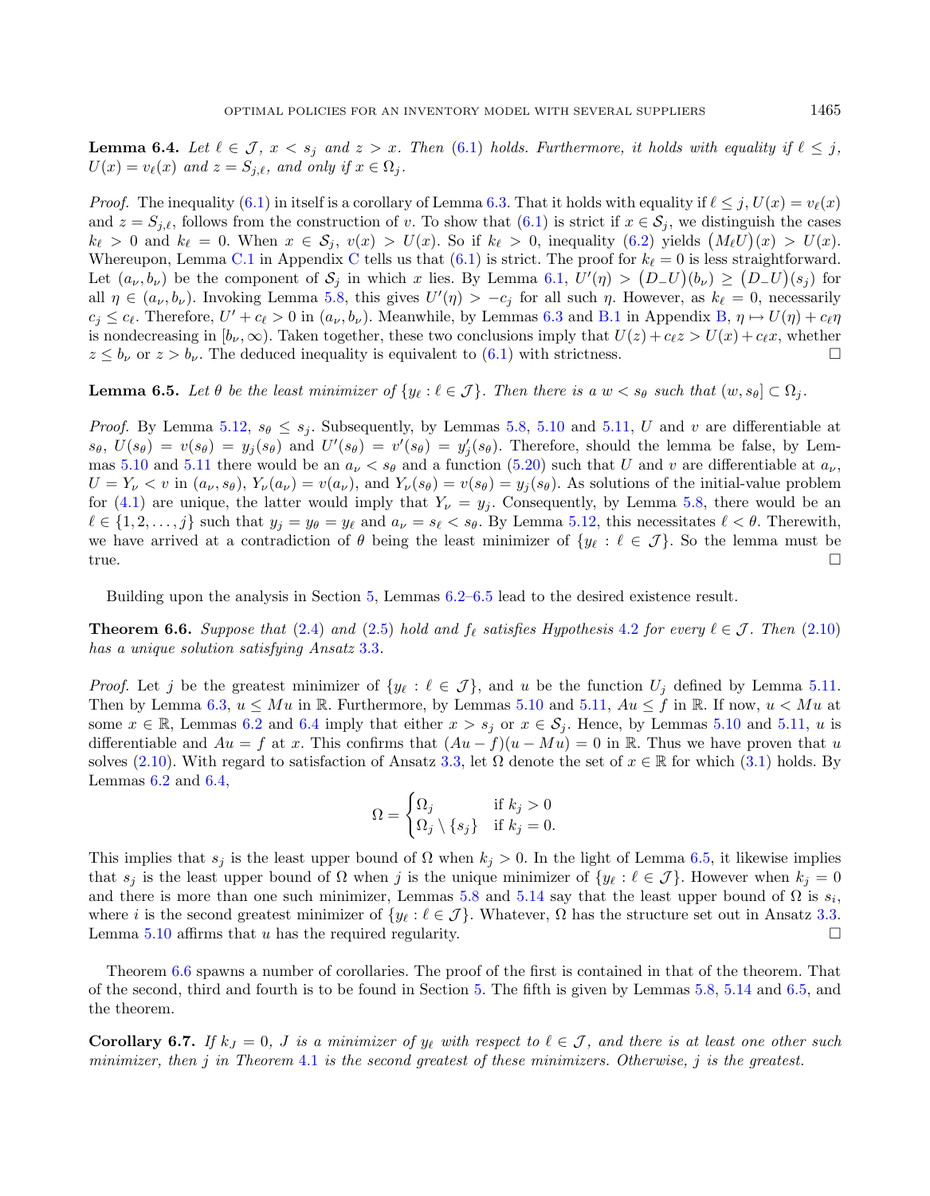<span id="page-12-1"></span>**Lemma 6.4.** Let  $\ell \in \mathcal{J}$ ,  $x < s_j$  and  $z > x$ . Then [\(6.1\)](#page-11-2) holds. Furthermore, it holds with equality if  $\ell \leq j$ ,  $U(x) = v_{\ell}(x)$  and  $z = S_{j,\ell}$ , and only if  $x \in \Omega_j$ .

*Proof.* The inequality  $(6.1)$  in itself is a corollary of Lemma [6.3.](#page-11-3) That it holds with equality if  $l \leq j$ ,  $U(x) = v_{\ell}(x)$ and  $z = S_{j,\ell}$ , follows from the construction of v. To show that  $(6.1)$  is strict if  $x \in S_j$ , we distinguish the cases  $k_{\ell} > 0$  and  $k_{\ell} = 0$ . When  $x \in S_j$ ,  $v(x) > U(x)$ . So if  $k_{\ell} > 0$ , inequality  $(6.2)$  yields  $(M_{\ell}U)(x) > U(x)$ . Whereupon, Lemma [C.1](#page-27-1) in Appendix [C](#page-27-0) tells us that  $(6.1)$  is strict. The proof for  $k_{\ell} = 0$  is less straightforward. Let  $(a_{\nu}, b_{\nu})$  be the component of  $S_j$  in which x lies. By Lemma [6.1,](#page-11-1)  $U'(\eta) > (D_{-}U)(b_{\nu}) \ge (D_{-}U)(s_j)$  for all  $\eta \in (a_{\nu}, b_{\nu})$ . Invoking Lemma [5.8,](#page-9-1) this gives  $U'(\eta) > -c_j$  for all such  $\eta$ . However, as  $k_{\ell} = 0$ , necessarily  $c_j \leq c_\ell$ . Therefore,  $U' + c_\ell > 0$  in  $(a_\nu, b_\nu)$ . Meanwhile, by Lemmas [6.3](#page-11-3) and [B.1](#page-26-1) in Appendix [B,](#page-26-0)  $\eta \mapsto U(\eta) + c_\ell \eta$ is nondecreasing in  $[b_{\nu}, \infty)$ . Taken together, these two conclusions imply that  $U(z) + c_{\ell}z > U(x) + c_{\ell}x$ , whether  $z \leq b_{\nu}$  or  $z > b_{\nu}$ . The deduced inequality is equivalent to [\(6.1\)](#page-11-2) with strictness.

<span id="page-12-0"></span>**Lemma 6.5.** Let  $\theta$  be the least minimizer of  $\{y_\ell : \ell \in \mathcal{J}\}\$ . Then there is a  $w < s_\theta$  such that  $(w, s_\theta) \subset \Omega_i$ .

*Proof.* By Lemma [5.12,](#page-10-1)  $s_{\theta} \leq s_i$ . Subsequently, by Lemmas [5.8,](#page-9-1) [5.10](#page-9-2) and [5.11,](#page-10-0) U and v are differentiable at  $s_{\theta}$ ,  $U(s_{\theta}) = v(s_{\theta}) = y_j(s_{\theta})$  and  $U'(s_{\theta}) = v'(s_{\theta}) = y'_j(s_{\theta})$ . Therefore, should the lemma be false, by Lem-mas [5.10](#page-9-2) and [5.11](#page-10-0) there would be an  $a_{\nu} < s_{\theta}$  and a function [\(5.20\)](#page-9-7) such that U and v are differentiable at  $a_{\nu}$ ,  $U = Y_{\nu} < v$  in  $(a_{\nu}, s_{\theta}), Y_{\nu}(a_{\nu}) = v(a_{\nu}),$  and  $Y_{\nu}(s_{\theta}) = v(s_{\theta}) = y_i(s_{\theta}).$  As solutions of the initial-value problem for [\(4.1\)](#page-5-4) are unique, the latter would imply that  $Y_{\nu} = y_i$ . Consequently, by Lemma [5.8,](#page-9-1) there would be an  $\ell \in \{1, 2, \ldots, j\}$  such that  $y_j = y_\theta = y_\ell$  and  $a_\nu = s_\ell < s_\theta$ . By Lemma [5.12,](#page-10-1) this necessitates  $\ell < \theta$ . Therewith, we have arrived at a contradiction of  $\theta$  being the least minimizer of  $\{y_\ell : \ell \in \mathcal{J}\}\.$  So the lemma must be true.

Building upon the analysis in Section [5,](#page-6-9) Lemmas [6.2–](#page-11-0)[6.5](#page-12-0) lead to the desired existence result.

**Theorem 6.6.** Suppose that [\(2.4\)](#page-4-4) and [\(2.5\)](#page-4-2) hold and  $f_\ell$  satisfies Hypothesis [4.2](#page-6-0) for every  $\ell \in \mathcal{J}$ . Then [\(2.10\)](#page-4-1) has a unique solution satisfying Ansatz [3.3](#page-5-2).

*Proof.* Let j be the greatest minimizer of  $\{y_\ell : \ell \in \mathcal{J}\}\$ , and u be the function  $U_j$  defined by Lemma [5.11.](#page-10-0) Then by Lemma [6.3,](#page-11-3)  $u \leq Mu$  in R. Furthermore, by Lemmas [5.10](#page-9-2) and [5.11,](#page-10-0)  $Au \leq f$  in R. If now,  $u < Mu$  at some  $x \in \mathbb{R}$ , Lemmas [6.2](#page-11-0) and [6.4](#page-12-1) imply that either  $x > s_j$  or  $x \in \mathcal{S}_j$ . Hence, by Lemmas [5.10](#page-9-2) and [5.11,](#page-10-0) u is differentiable and  $Au = f$  at x. This confirms that  $(Au - f)(u - Mu) = 0$  in R. Thus we have proven that u solves [\(2.10\)](#page-4-1). With regard to satisfaction of Ansatz [3.3,](#page-5-2) let  $\Omega$  denote the set of  $x \in \mathbb{R}$  for which [\(3.1\)](#page-5-5) holds. By Lemmas  $6.2$  and  $6.4$ ,

<span id="page-12-2"></span>
$$
\Omega = \begin{cases} \Omega_j & \text{if } k_j > 0 \\ \Omega_j \setminus \{s_j\} & \text{if } k_j = 0. \end{cases}
$$

This implies that  $s_j$  is the least upper bound of  $\Omega$  when  $k_j > 0$ . In the light of Lemma [6.5,](#page-12-0) it likewise implies that  $s_i$  is the least upper bound of  $\Omega$  when j is the unique minimizer of  $\{y_\ell : \ell \in \mathcal{J}\}\.$  However when  $k_i = 0$ and there is more than one such minimizer, Lemmas [5.8](#page-9-1) and [5.14](#page-10-3) say that the least upper bound of  $\Omega$  is  $s_i$ , where *i* is the second greatest minimizer of  $\{y_\ell : \ell \in \mathcal{J}\}\$ . Whatever,  $\Omega$  has the structure set out in Ansatz [3.3.](#page-5-2) Lemma [5.10](#page-9-2) affirms that  $u$  has the required regularity.

Theorem [6.6](#page-12-2) spawns a number of corollaries. The proof of the first is contained in that of the theorem. That of the second, third and fourth is to be found in Section [5.](#page-6-9) The fifth is given by Lemmas [5.8,](#page-9-1) [5.14](#page-10-3) and [6.5,](#page-12-0) and the theorem.

<span id="page-12-3"></span>**Corollary 6.7.** If  $k_l = 0$ , *J* is a minimizer of  $y_\ell$  with respect to  $\ell \in \mathcal{J}$ , and there is at least one other such minimizer, then  $j$  in Theorem [4.1](#page-5-3) is the second greatest of these minimizers. Otherwise,  $j$  is the greatest.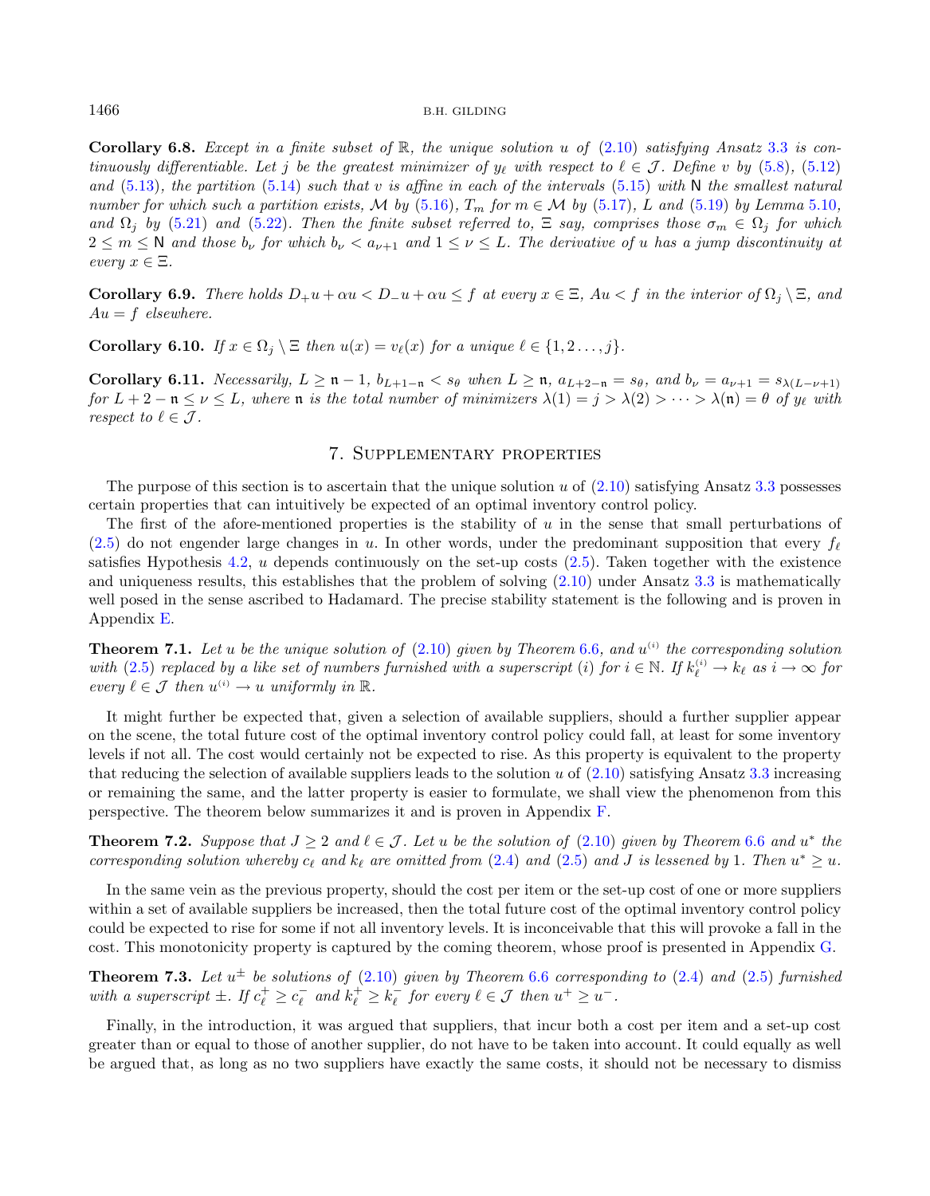Corollary 6.8. Except in a finite subset of R, the unique solution u of  $(2.10)$  satisfying Ansatz [3.3](#page-5-2) is continuously differentiable. Let j be the greatest minimizer of  $y_\ell$  with respect to  $\ell \in \mathcal{J}$ . Define v by [\(5.8\)](#page-8-7), [\(5.12\)](#page-8-4) and [\(5.13\)](#page-8-5), the partition [\(5.14\)](#page-8-6) such that v is affine in each of the intervals [\(5.15\)](#page-9-3) with N the smallest natural number for which such a partition exists, M by [\(5.16\)](#page-9-8),  $T_m$  for  $m \in \mathcal{M}$  by [\(5.17\)](#page-9-4), L and [\(5.19\)](#page-9-6) by Lemma [5.10](#page-9-2), and  $\Omega_j$  by [\(5.21\)](#page-10-4) and [\(5.22\)](#page-10-5). Then the finite subset referred to,  $\Xi$  say, comprises those  $\sigma_m \in \Omega_j$  for which  $2 \leq m \leq N$  and those  $b_{\nu}$  for which  $b_{\nu} < a_{\nu+1}$  and  $1 \leq \nu \leq L$ . The derivative of u has a jump discontinuity at every  $x \in \Xi$ .

**Corollary 6.9.** There holds  $D_+u + \alpha u \leq D_-u + \alpha u \leq f$  at every  $x \in \Xi$ ,  $Au < f$  in the interior of  $\Omega_i \setminus \Xi$ , and  $Au = f$  elsewhere.

Corollary 6.10. If  $x \in \Omega_i \setminus \Xi$  then  $u(x) = v_\ell(x)$  for a unique  $\ell \in \{1, 2, \ldots, j\}$ .

<span id="page-13-2"></span>Corollary 6.11. Necessarily,  $L \geq n - 1$ ,  $b_{L+1-n} < s_{\theta}$  when  $L \geq n$ ,  $a_{L+2-n} = s_{\theta}$ , and  $b_{\nu} = a_{\nu+1} = s_{\lambda(L-\nu+1)}$ for  $L + 2 - n \le \nu \le L$ , where n is the total number of minimizers  $\lambda(1) = j > \lambda(2) > \cdots > \lambda(n) = \theta$  of  $y_{\ell}$  with respect to  $\ell \in \mathcal{J}$ .

### <span id="page-13-3"></span><span id="page-13-1"></span>7. Supplementary properties

<span id="page-13-0"></span>The purpose of this section is to ascertain that the unique solution  $u$  of  $(2.10)$  satisfying Ansatz [3.3](#page-5-2) possesses certain properties that can intuitively be expected of an optimal inventory control policy.

The first of the afore-mentioned properties is the stability of  $u$  in the sense that small perturbations of [\(2.5\)](#page-4-2) do not engender large changes in u. In other words, under the predominant supposition that every  $f_{\ell}$ satisfies Hypothesis [4.2,](#page-6-0)  $u$  depends continuously on the set-up costs  $(2.5)$ . Taken together with the existence and uniqueness results, this establishes that the problem of solving [\(2.10\)](#page-4-1) under Ansatz [3.3](#page-5-2) is mathematically well posed in the sense ascribed to Hadamard. The precise stability statement is the following and is proven in Appendix [E.](#page-29-0)

**Theorem 7.1.** Let u be the unique solution of  $(2.10)$  given by Theorem [6.6](#page-12-2), and  $u^{(i)}$  the corresponding solution with  $(2.5)$  replaced by a like set of numbers furnished with a superscript (i) for  $i \in \mathbb{N}$ . If  $k_{\ell}^{(i)} \to k_{\ell}$  as  $i \to \infty$  for every  $\ell \in \mathcal{J}$  then  $u^{(i)} \to u$  uniformly in  $\mathbb{R}$ .

It might further be expected that, given a selection of available suppliers, should a further supplier appear on the scene, the total future cost of the optimal inventory control policy could fall, at least for some inventory levels if not all. The cost would certainly not be expected to rise. As this property is equivalent to the property that reducing the selection of available suppliers leads to the solution  $u$  of  $(2.10)$  satisfying Ansatz [3.3](#page-5-2) increasing or remaining the same, and the latter property is easier to formulate, we shall view the phenomenon from this perspective. The theorem below summarizes it and is proven in Appendix [F.](#page-32-0)

**Theorem 7.2.** Suppose that  $J \geq 2$  and  $\ell \in \mathcal{J}$ . Let u be the solution of  $(2.10)$  given by Theorem [6.6](#page-12-2) and  $u^*$  the corresponding solution whereby  $c_{\ell}$  and  $k_{\ell}$  are omitted from [\(2.4\)](#page-4-4) and [\(2.5\)](#page-4-2) and J is lessened by 1. Then  $u^* \geq u$ .

In the same vein as the previous property, should the cost per item or the set-up cost of one or more suppliers within a set of available suppliers be increased, then the total future cost of the optimal inventory control policy could be expected to rise for some if not all inventory levels. It is inconceivable that this will provoke a fall in the cost. This monotonicity property is captured by the coming theorem, whose proof is presented in Appendix [G.](#page-33-0)

**Theorem 7.3.** Let  $u^{\pm}$  be solutions of [\(2.10\)](#page-4-1) given by Theorem [6.6](#page-12-2) corresponding to [\(2.4\)](#page-4-4) and [\(2.5\)](#page-4-2) furnished with a superscript  $\pm$ . If  $c_{\ell}^{+} \geq c_{\ell}^{-}$  and  $k_{\ell}^{+} \geq k_{\ell}^{-}$  for every  $\ell \in \mathcal{J}$  then  $u^{+} \geq u^{-}$ .

Finally, in the introduction, it was argued that suppliers, that incur both a cost per item and a set-up cost greater than or equal to those of another supplier, do not have to be taken into account. It could equally as well be argued that, as long as no two suppliers have exactly the same costs, it should not be necessary to dismiss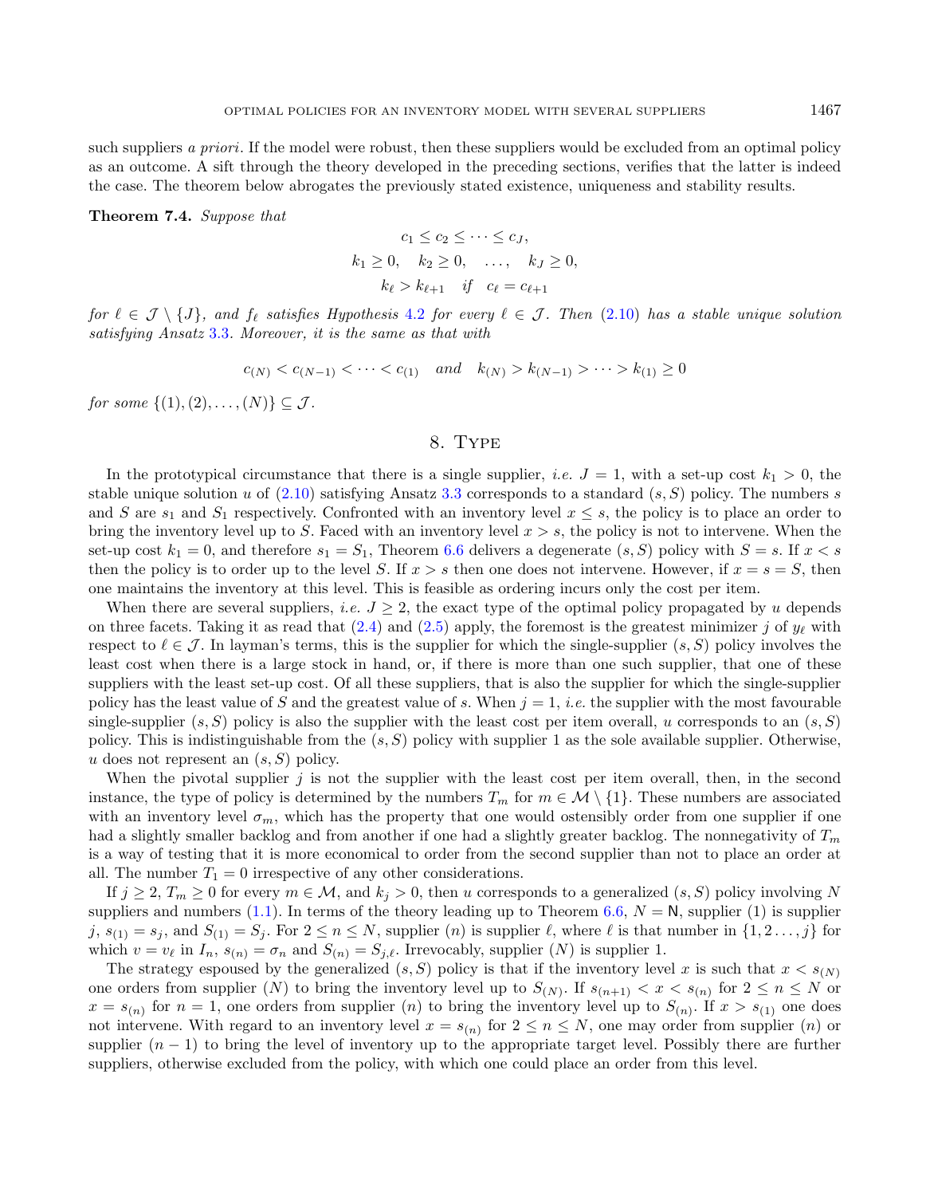such suppliers a priori. If the model were robust, then these suppliers would be excluded from an optimal policy as an outcome. A sift through the theory developed in the preceding sections, verifies that the latter is indeed the case. The theorem below abrogates the previously stated existence, uniqueness and stability results.

### Theorem 7.4. Suppose that

$$
c_1 \le c_2 \le \cdots \le c_J,
$$
  
\n
$$
k_1 \ge 0, \quad k_2 \ge 0, \quad \ldots, \quad k_J \ge 0,
$$
  
\n
$$
k_\ell > k_{\ell+1} \quad \text{if} \quad c_\ell = c_{\ell+1}
$$

for  $\ell \in \mathcal{J} \setminus \{J\}$ , and  $f_{\ell}$  satisfies Hypothesis [4.2](#page-6-0) for every  $\ell \in \mathcal{J}$ . Then [\(2.10\)](#page-4-1) has a stable unique solution satisfying Ansatz [3.3](#page-5-2). Moreover, it is the same as that with

$$
c_{(N)} < c_{(N-1)} < \cdots < c_{(1)} \quad \text{and} \quad k_{(N)} > k_{(N-1)} > \cdots > k_{(1)} \ge 0
$$

for some  $\{(1), (2), \ldots, (N)\} \subset \mathcal{J}$ .

### 8. Type

<span id="page-14-0"></span>In the prototypical circumstance that there is a single supplier, *i.e.*  $J = 1$ , with a set-up cost  $k_1 > 0$ , the stable unique solution u of  $(2.10)$  satisfying Ansatz [3.3](#page-5-2) corresponds to a standard  $(s, S)$  policy. The numbers s and S are  $s_1$  and  $S_1$  respectively. Confronted with an inventory level  $x \leq s$ , the policy is to place an order to bring the inventory level up to S. Faced with an inventory level  $x > s$ , the policy is not to intervene. When the set-up cost  $k_1 = 0$ , and therefore  $s_1 = S_1$ , Theorem [6.6](#page-12-2) delivers a degenerate  $(s, S)$  policy with  $S = s$ . If  $x < s$ then the policy is to order up to the level S. If  $x > s$  then one does not intervene. However, if  $x = s = S$ , then one maintains the inventory at this level. This is feasible as ordering incurs only the cost per item.

When there are several suppliers, *i.e.*  $J \geq 2$ , the exact type of the optimal policy propagated by *u* depends on three facets. Taking it as read that  $(2.4)$  and  $(2.5)$  apply, the foremost is the greatest minimizer j of  $y_{\ell}$  with respect to  $\ell \in \mathcal{J}$ . In layman's terms, this is the supplier for which the single-supplier  $(s, S)$  policy involves the least cost when there is a large stock in hand, or, if there is more than one such supplier, that one of these suppliers with the least set-up cost. Of all these suppliers, that is also the supplier for which the single-supplier policy has the least value of S and the greatest value of s. When  $j = 1$ , *i.e.* the supplier with the most favourable single-supplier  $(s, S)$  policy is also the supplier with the least cost per item overall, u corresponds to an  $(s, S)$ policy. This is indistinguishable from the  $(s, S)$  policy with supplier 1 as the sole available supplier. Otherwise, u does not represent an  $(s, S)$  policy.

When the pivotal supplier  $j$  is not the supplier with the least cost per item overall, then, in the second instance, the type of policy is determined by the numbers  $T_m$  for  $m \in \mathcal{M} \setminus \{1\}$ . These numbers are associated with an inventory level  $\sigma_m$ , which has the property that one would ostensibly order from one supplier if one had a slightly smaller backlog and from another if one had a slightly greater backlog. The nonnegativity of  $T_m$ is a way of testing that it is more economical to order from the second supplier than not to place an order at all. The number  $T_1 = 0$  irrespective of any other considerations.

If  $j \geq 2$ ,  $T_m \geq 0$  for every  $m \in \mathcal{M}$ , and  $k_j > 0$ , then u corresponds to a generalized  $(s, S)$  policy involving N suppliers and numbers [\(1.1\)](#page-1-0). In terms of the theory leading up to Theorem [6.6,](#page-12-2)  $N = N$ , supplier (1) is supplier  $j, s_{(1)} = s_j$ , and  $S_{(1)} = S_j$ . For  $2 \le n \le N$ , supplier  $(n)$  is supplier  $\ell$ , where  $\ell$  is that number in  $\{1, 2, \ldots, j\}$  for which  $v = v_{\ell}$  in  $I_n$ ,  $s_{(n)} = \sigma_n$  and  $S_{(n)} = S_{j,\ell}$ . Irrevocably, supplier  $(N)$  is supplier 1.

The strategy espoused by the generalized  $(s, S)$  policy is that if the inventory level x is such that  $x < s_{(N)}$ one orders from supplier (N) to bring the inventory level up to  $S_{(N)}$ . If  $s_{(n+1)} < x < s_{(n)}$  for  $2 \le n \le N$  or  $x = s_{(n)}$  for  $n = 1$ , one orders from supplier (*n*) to bring the inventory level up to  $S_{(n)}$ . If  $x > s_{(1)}$  one does not intervene. With regard to an inventory level  $x = s_{(n)}$  for  $2 \le n \le N$ , one may order from supplier  $(n)$  or supplier  $(n - 1)$  to bring the level of inventory up to the appropriate target level. Possibly there are further suppliers, otherwise excluded from the policy, with which one could place an order from this level.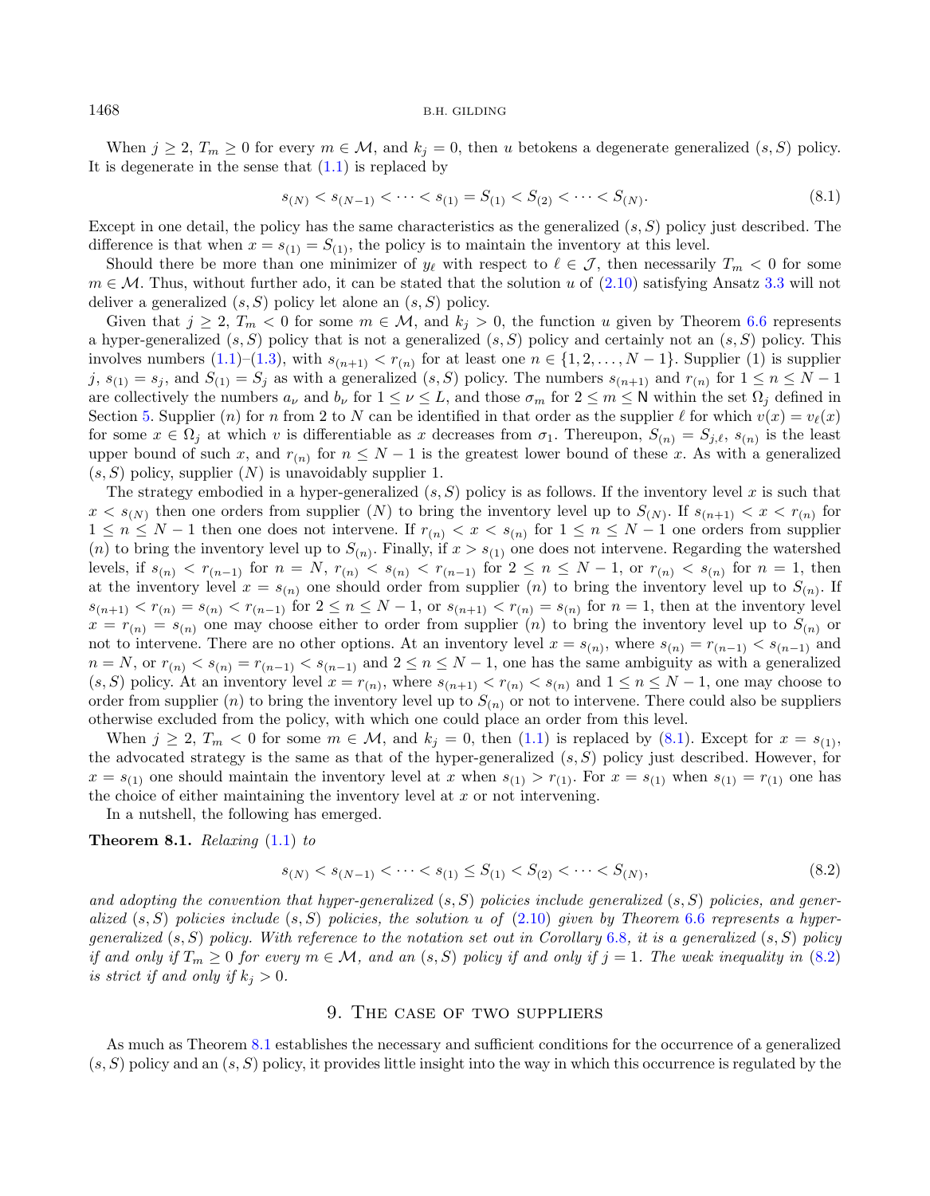When  $j \ge 2$ ,  $T_m \ge 0$  for every  $m \in \mathcal{M}$ , and  $k_j = 0$ , then u betokens a degenerate generalized  $(s, S)$  policy. It is degenerate in the sense that  $(1.1)$  is replaced by

<span id="page-15-1"></span>
$$
s_{(N)} < s_{(N-1)} < \dots < s_{(1)} = S_{(1)} < S_{(2)} < \dots < S_{(N)}.\tag{8.1}
$$

Except in one detail, the policy has the same characteristics as the generalized  $(s, S)$  policy just described. The difference is that when  $x = s_{(1)} = S_{(1)}$ , the policy is to maintain the inventory at this level.

Should there be more than one minimizer of  $y_{\ell}$  with respect to  $\ell \in \mathcal{J}$ , then necessarily  $T_m < 0$  for some  $m \in \mathcal{M}$ . Thus, without further ado, it can be stated that the solution u of [\(2.10\)](#page-4-1) satisfying Ansatz [3.3](#page-5-2) will not deliver a generalized  $(s, S)$  policy let alone an  $(s, S)$  policy.

Given that  $j \ge 2$ ,  $T_m < 0$  for some  $m \in \mathcal{M}$ , and  $k_j > 0$ , the function u given by Theorem [6.6](#page-12-2) represents a hyper-generalized  $(s, S)$  policy that is not a generalized  $(s, S)$  policy and certainly not an  $(s, S)$  policy. This involves numbers  $(1.1)$ – $(1.3)$ , with  $s_{(n+1)} < r_{(n)}$  for at least one  $n \in \{1, 2, ..., N-1\}$ . Supplier  $(1)$  is supplier  $j, s_{(1)} = s_j$ , and  $S_{(1)} = S_j$  as with a generalized  $(s, S)$  policy. The numbers  $s_{(n+1)}$  and  $r_{(n)}$  for  $1 \le n \le N-1$ are collectively the numbers  $a_{\nu}$  and  $b_{\nu}$  for  $1 \leq \nu \leq L$ , and those  $\sigma_m$  for  $2 \leq m \leq N$  within the set  $\Omega_i$  defined in Section [5.](#page-6-9) Supplier (n) for n from 2 to N can be identified in that order as the supplier  $\ell$  for which  $v(x) = v_{\ell}(x)$ for some  $x \in \Omega_j$  at which v is differentiable as x decreases from  $\sigma_1$ . Thereupon,  $S_{(n)} = S_{j,\ell}, s_{(n)}$  is the least upper bound of such x, and  $r_{(n)}$  for  $n \leq N-1$  is the greatest lower bound of these x. As with a generalized  $(s, S)$  policy, supplier  $(N)$  is unavoidably supplier 1.

The strategy embodied in a hyper-generalized  $(s, S)$  policy is as follows. If the inventory level x is such that  $x < s_{(N)}$  then one orders from supplier  $(N)$  to bring the inventory level up to  $S_{(N)}$ . If  $s_{(n+1)} < x < r_{(n)}$  for  $1 \leq n \leq N-1$  then one does not intervene. If  $r_{(n)} < x < s_{(n)}$  for  $1 \leq n \leq N-1$  one orders from supplier (*n*) to bring the inventory level up to  $S_{(n)}$ . Finally, if  $x > s_{(1)}$  one does not intervene. Regarding the watershed levels, if  $s_{(n)} < r_{(n-1)}$  for  $n = N$ ,  $r_{(n)} < s_{(n)} < r_{(n-1)}$  for  $2 \le n \le N-1$ , or  $r_{(n)} < s_{(n)}$  for  $n = 1$ , then at the inventory level  $x = s_{(n)}$  one should order from supplier (*n*) to bring the inventory level up to  $S_{(n)}$ . If  $s_{(n+1)} < r_{(n)} = s_{(n)} < r_{(n-1)}$  for  $2 \le n \le N-1$ , or  $s_{(n+1)} < r_{(n)} = s_{(n)}$  for  $n = 1$ , then at the inventory level  $x = r_{(n)} = s_{(n)}$  one may choose either to order from supplier (n) to bring the inventory level up to  $S_{(n)}$  or not to intervene. There are no other options. At an inventory level  $x = s_{(n)}$ , where  $s_{(n)} = r_{(n-1)} < s_{(n-1)}$  and  $n = N$ , or  $r_{(n)} < s_{(n)} = r_{(n-1)} < s_{(n-1)}$  and  $2 \le n \le N-1$ , one has the same ambiguity as with a generalized  $(s, S)$  policy. At an inventory level  $x = r_{(n)}$ , where  $s_{(n+1)} < r_{(n)} < s_{(n)}$  and  $1 \le n \le N-1$ , one may choose to order from supplier (*n*) to bring the inventory level up to  $S_{(n)}$  or not to intervene. There could also be suppliers otherwise excluded from the policy, with which one could place an order from this level.

When  $j \ge 2$ ,  $T_m < 0$  for some  $m \in \mathcal{M}$ , and  $k_j = 0$ , then [\(1.1\)](#page-1-0) is replaced by [\(8.1\)](#page-15-1). Except for  $x = s_{(1)}$ , the advocated strategy is the same as that of the hyper-generalized  $(s, S)$  policy just described. However, for  $x = s_{(1)}$  one should maintain the inventory level at x when  $s_{(1)} > r_{(1)}$ . For  $x = s_{(1)}$  when  $s_{(1)} = r_{(1)}$  one has the choice of either maintaining the inventory level at  $x$  or not intervening.

In a nutshell, the following has emerged.

#### **Theorem 8.1.** Relaxing  $(1.1)$  to

<span id="page-15-3"></span><span id="page-15-2"></span>
$$
s_{(N)} < s_{(N-1)} < \dots < s_{(1)} \le S_{(1)} < S_{(2)} < \dots < S_{(N)},\tag{8.2}
$$

and adopting the convention that hyper-generalized  $(s, S)$  policies include generalized  $(s, S)$  policies, and generalized  $(s, S)$  policies include  $(s, S)$  policies, the solution u of  $(2.10)$  given by Theorem [6.6](#page-12-2) represents a hypergeneralized  $(s, S)$  policy. With reference to the notation set out in Corollary [6.8](#page-12-3), it is a generalized  $(s, S)$  policy if and only if  $T_m \geq 0$  for every  $m \in \mathcal{M}$ , and an  $(s, S)$  policy if and only if  $j = 1$ . The weak inequality in  $(8.2)$ is strict if and only if  $k_i > 0$ .

#### 9. The case of two suppliers

<span id="page-15-0"></span>As much as Theorem [8.1](#page-15-3) establishes the necessary and sufficient conditions for the occurrence of a generalized  $(s, S)$  policy and an  $(s, S)$  policy, it provides little insight into the way in which this occurrence is regulated by the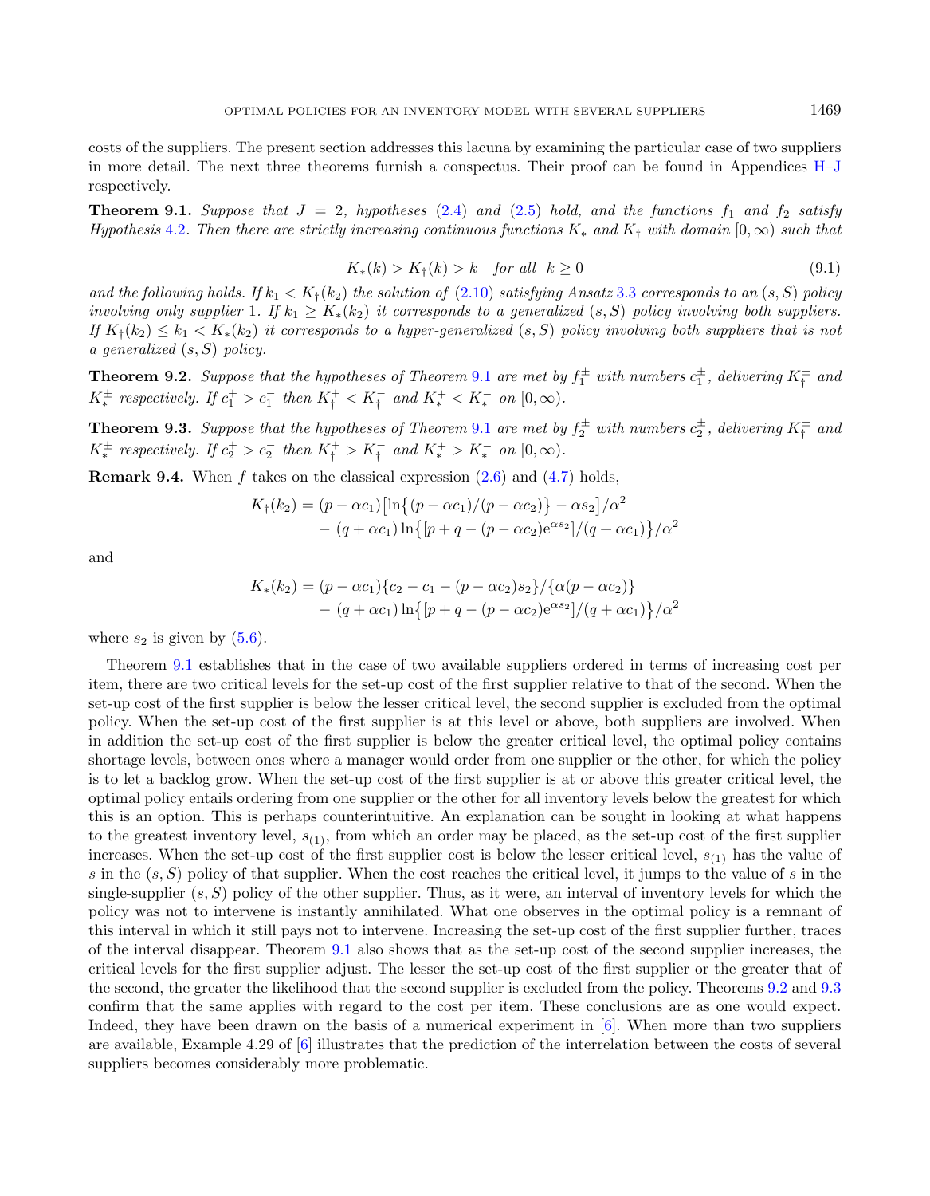<span id="page-16-3"></span><span id="page-16-0"></span>costs of the suppliers. The present section addresses this lacuna by examining the particular case of two suppliers in more detail. The next three theorems furnish a conspectus. Their proof can be found in Appendices [H](#page-34-0)[–J](#page-36-12) respectively.

**Theorem 9.1.** Suppose that  $J = 2$ , hypotheses [\(2.4\)](#page-4-4) and [\(2.5\)](#page-4-2) hold, and the functions  $f_1$  and  $f_2$  satisfy Hypothesis [4.2](#page-6-0). Then there are strictly increasing continuous functions  $K_*$  and  $K_{\dagger}$  with domain  $[0,\infty)$  such that

$$
K_*(k) > K_{\dagger}(k) > k \quad \text{for all} \quad k \ge 0 \tag{9.1}
$$

and the following holds. If  $k_1 < K_i(k_2)$  the solution of [\(2.10\)](#page-4-1) satisfying Ansatz [3.3](#page-5-2) corresponds to an  $(s, S)$  policy involving only supplier 1. If  $k_1 \ge K_*(k_2)$  it corresponds to a generalized  $(s, S)$  policy involving both suppliers. If  $K_1(k_2) \leq k_1 \leq K_*(k_2)$  it corresponds to a hyper-generalized  $(s, S)$  policy involving both suppliers that is not a generalized  $(s, S)$  policy.

<span id="page-16-1"></span>**Theorem 9.2.** Suppose that the hypotheses of Theorem [9.1](#page-16-0) are met by  $f_1^{\pm}$  with numbers  $c_1^{\pm}$ , delivering  $K_1^{\pm}$  and  $K^{\pm}_{*}$  respectively. If  $c_{1}^{+} > c_{1}^{-}$  then  $K_{\dagger}^{+} < K_{\dagger}^{-}$  and  $K_{*}^{+} < K_{*}^{-}$  on  $[0, \infty)$ .

<span id="page-16-2"></span>**Theorem 9.3.** Suppose that the hypotheses of Theorem [9.1](#page-16-0) are met by  $f_2^{\pm}$  with numbers  $c_2^{\pm}$ , delivering  $K_1^{\pm}$  and  $K^{\pm}_{*}$  respectively. If  $c_{2}^{+} > c_{2}^{-}$  then  $K_{\dagger}^{+} > K_{\dagger}^{-}$  and  $K_{*}^{+} > K_{*}^{-}$  on  $[0, \infty)$ .

**Remark 9.4.** When  $f$  takes on the classical expression  $(2.6)$  and  $(4.7)$  holds,

$$
K_{\dagger}(k_2) = (p - \alpha c_1) \left[ \ln \{ (p - \alpha c_1) / (p - \alpha c_2) \} - \alpha s_2 \right] / \alpha^2 - (q + \alpha c_1) \ln \{ [p + q - (p - \alpha c_2) e^{\alpha s_2}] / (q + \alpha c_1) \} / \alpha^2
$$

and

$$
K_{*}(k_{2}) = (p - \alpha c_{1})\{c_{2} - c_{1} - (p - \alpha c_{2})s_{2}\}/\{\alpha(p - \alpha c_{2})\}\
$$

$$
- (q + \alpha c_{1})\ln\{(p + q - (p - \alpha c_{2})e^{\alpha s_{2}}]/(q + \alpha c_{1})\}/\alpha^{2}
$$

where  $s_2$  is given by  $(5.6)$ .

Theorem [9.1](#page-16-0) establishes that in the case of two available suppliers ordered in terms of increasing cost per item, there are two critical levels for the set-up cost of the first supplier relative to that of the second. When the set-up cost of the first supplier is below the lesser critical level, the second supplier is excluded from the optimal policy. When the set-up cost of the first supplier is at this level or above, both suppliers are involved. When in addition the set-up cost of the first supplier is below the greater critical level, the optimal policy contains shortage levels, between ones where a manager would order from one supplier or the other, for which the policy is to let a backlog grow. When the set-up cost of the first supplier is at or above this greater critical level, the optimal policy entails ordering from one supplier or the other for all inventory levels below the greatest for which this is an option. This is perhaps counterintuitive. An explanation can be sought in looking at what happens to the greatest inventory level,  $s_{(1)}$ , from which an order may be placed, as the set-up cost of the first supplier increases. When the set-up cost of the first supplier cost is below the lesser critical level,  $s_{(1)}$  has the value of s in the  $(s, S)$  policy of that supplier. When the cost reaches the critical level, it jumps to the value of s in the single-supplier  $(s, S)$  policy of the other supplier. Thus, as it were, an interval of inventory levels for which the policy was not to intervene is instantly annihilated. What one observes in the optimal policy is a remnant of this interval in which it still pays not to intervene. Increasing the set-up cost of the first supplier further, traces of the interval disappear. Theorem [9.1](#page-16-0) also shows that as the set-up cost of the second supplier increases, the critical levels for the first supplier adjust. The lesser the set-up cost of the first supplier or the greater that of the second, the greater the likelihood that the second supplier is excluded from the policy. Theorems [9.2](#page-16-1) and [9.3](#page-16-2) confirm that the same applies with regard to the cost per item. These conclusions are as one would expect. Indeed, they have been drawn on the basis of a numerical experiment in [\[6\]](#page-36-6). When more than two suppliers are available, Example 4.29 of [\[6\]](#page-36-6) illustrates that the prediction of the interrelation between the costs of several suppliers becomes considerably more problematic.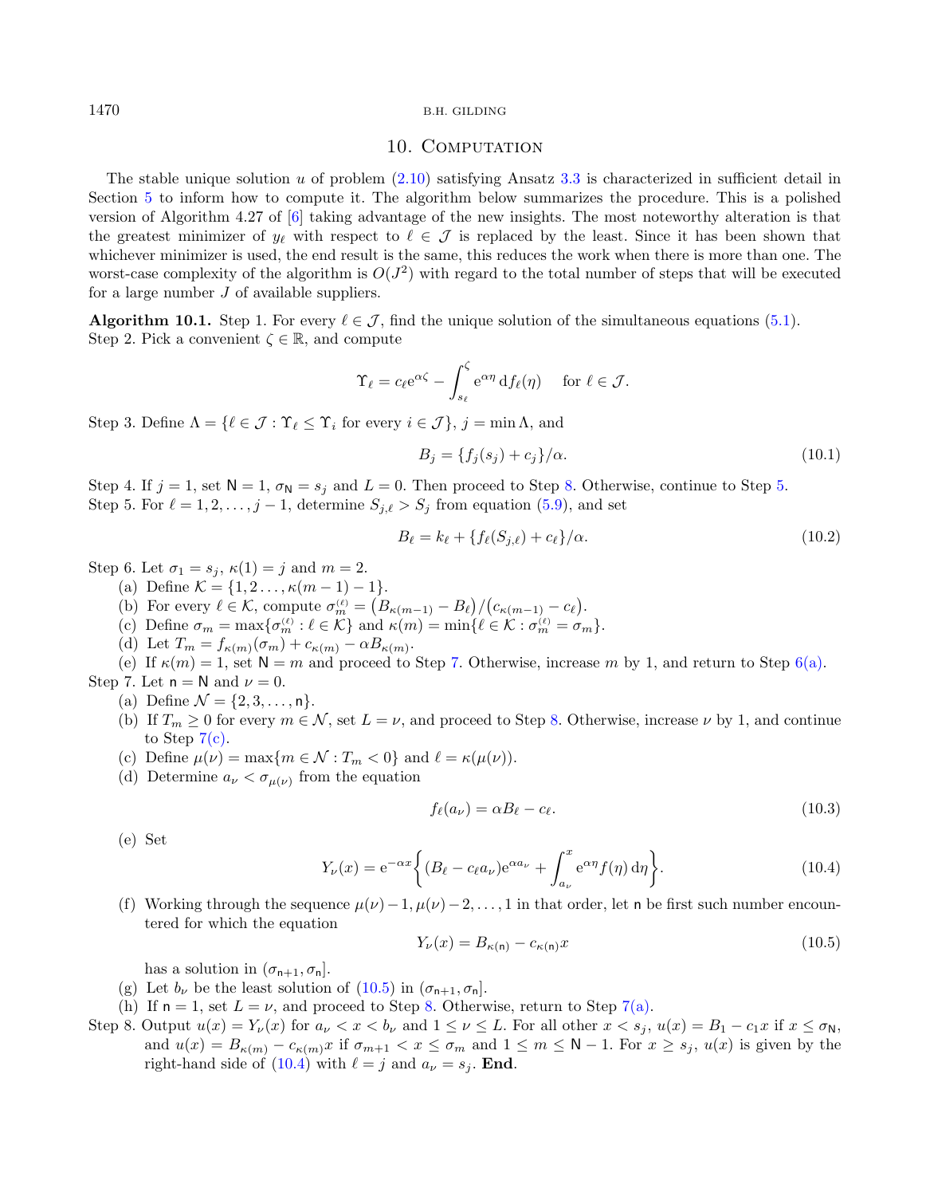### <span id="page-17-15"></span><span id="page-17-9"></span>10. COMPUTATION

The stable unique solution  $u$  of problem  $(2.10)$  satisfying Ansatz [3.3](#page-5-2) is characterized in sufficient detail in Section [5](#page-6-9) to inform how to compute it. The algorithm below summarizes the procedure. This is a polished version of Algorithm 4.27 of [\[6\]](#page-36-6) taking advantage of the new insights. The most noteworthy alteration is that the greatest minimizer of  $y_\ell$  with respect to  $\ell \in \mathcal{J}$  is replaced by the least. Since it has been shown that whichever minimizer is used, the end result is the same, this reduces the work when there is more than one. The worst-case complexity of the algorithm is  $O(J^2)$  with regard to the total number of steps that will be executed for a large number  $J$  of available suppliers.

<span id="page-17-14"></span><span id="page-17-10"></span>**Algorithm 10.1.** Step 1. For every  $\ell \in \mathcal{J}$ , find the unique solution of the simultaneous equations [\(5.1\)](#page-6-5). Step 2. Pick a convenient  $\zeta \in \mathbb{R}$ , and compute

$$
\Upsilon_{\ell} = c_{\ell} e^{\alpha \zeta} - \int_{s_{\ell}}^{\zeta} e^{\alpha \eta} df_{\ell}(\eta) \quad \text{ for } \ell \in \mathcal{J}.
$$

<span id="page-17-11"></span>Step 3. Define  $\Lambda = \{ \ell \in \mathcal{J} : \Upsilon_{\ell} \leq \Upsilon_i \text{ for every } i \in \mathcal{J} \}, j = \min \Lambda, \text{ and }$ 

<span id="page-17-16"></span>
$$
B_j = \{f_j(s_j) + c_j\}/\alpha.
$$
 (10.1)

<span id="page-17-2"></span>Step 4. If  $j = 1$ , set  $N = 1$ ,  $\sigma_N = s_j$  and  $L = 0$ . Then proceed to Step [8.](#page-17-1) Otherwise, continue to Step [5.](#page-17-2) Step 5. For  $\ell = 1, 2, \ldots, j - 1$ , determine  $S_{j,\ell} > S_j$  from equation [\(5.9\)](#page-8-2), and set

<span id="page-17-17"></span>
$$
B_{\ell} = k_{\ell} + \{f_{\ell}(S_{j,\ell}) + c_{\ell}\}/\alpha.
$$
\n(10.2)

<span id="page-17-12"></span><span id="page-17-4"></span>Step 6. Let  $\sigma_1 = s_i$ ,  $\kappa(1) = j$  and  $m = 2$ .

- (a) Define  $\mathcal{K} = \{1, 2, \ldots, \kappa(m-1) 1\}.$
- (b) For every  $\ell \in \mathcal{K}$ , compute  $\sigma_m^{(\ell)} = (B_{\kappa(m-1)} B_{\ell})/(c_{\kappa(m-1)} c_{\ell}).$
- <span id="page-17-8"></span>(c) Define  $\sigma_m = \max \{ \sigma_m^{(\ell)} : \ell \in \mathcal{K} \}$  and  $\kappa(m) = \min \{ \ell \in \mathcal{K} : \sigma_m^{(\ell)} = \sigma_m \}.$
- (d) Let  $T_m = f_{\kappa(m)}(\sigma_m) + c_{\kappa(m)} \alpha B_{\kappa(m)}$ .
- (e) If  $\kappa(m) = 1$ , set  $N = m$  and proceed to Step [7.](#page-17-3) Otherwise, increase m by 1, and return to Step [6\(a\).](#page-17-4)
- <span id="page-17-7"></span><span id="page-17-5"></span><span id="page-17-3"></span>Step 7. Let  $n = N$  and  $\nu = 0$ .
	- (a) Define  $\mathcal{N} = \{2, 3, ..., n\}.$
	- (b) If  $T_m \ge 0$  for every  $m \in \mathcal{N}$ , set  $L = \nu$ , and proceed to Step [8.](#page-17-1) Otherwise, increase  $\nu$  by 1, and continue to Step  $7(c)$ .
	- (c) Define  $\mu(\nu) = \max\{m \in \mathcal{N} : T_m < 0\}$  and  $\ell = \kappa(\mu(\nu)).$
	- (d) Determine  $a_{\nu} < \sigma_{\mu(\nu)}$  from the equation

<span id="page-17-6"></span>
$$
f_{\ell}(a_{\nu}) = \alpha B_{\ell} - c_{\ell}.\tag{10.3}
$$

(e) Set

$$
Y_{\nu}(x) = e^{-\alpha x} \left\{ (B_{\ell} - c_{\ell} a_{\nu}) e^{\alpha a_{\nu}} + \int_{a_{\nu}}^{x} e^{\alpha \eta} f(\eta) d\eta \right\}.
$$
 (10.4)

(f) Working through the sequence  $\mu(\nu)-1, \mu(\nu)-2, \ldots, 1$  in that order, let n be first such number encountered for which the equation

$$
Y_{\nu}(x) = B_{\kappa(\mathsf{n})} - c_{\kappa(\mathsf{n})}x \tag{10.5}
$$

has a solution in  $(\sigma_{n+1}, \sigma_n]$ .

- <span id="page-17-13"></span>(g) Let  $b_{\nu}$  be the least solution of [\(10.5\)](#page-17-6) in  $(\sigma_{n+1}, \sigma_n]$ .
- (h) If  $n = 1$ , set  $L = \nu$ , and proceed to Step [8.](#page-17-1) Otherwise, return to Step [7\(a\).](#page-17-7)
- <span id="page-17-1"></span>Step 8. Output  $u(x) = Y_{\nu}(x)$  for  $a_{\nu} < x < b_{\nu}$  and  $1 \leq \nu \leq L$ . For all other  $x < s_j$ ,  $u(x) = B_1 - c_1 x$  if  $x \leq \sigma_N$ , and  $u(x) = B_{\kappa(m)} - c_{\kappa(m)}x$  if  $\sigma_{m+1} < x \le \sigma_m$  and  $1 \le m \le N-1$ . For  $x \ge s_j$ ,  $u(x)$  is given by the right-hand side of  $(10.4)$  with  $\ell = j$  and  $a_{\nu} = s_j$ . **End.**

<span id="page-17-0"></span>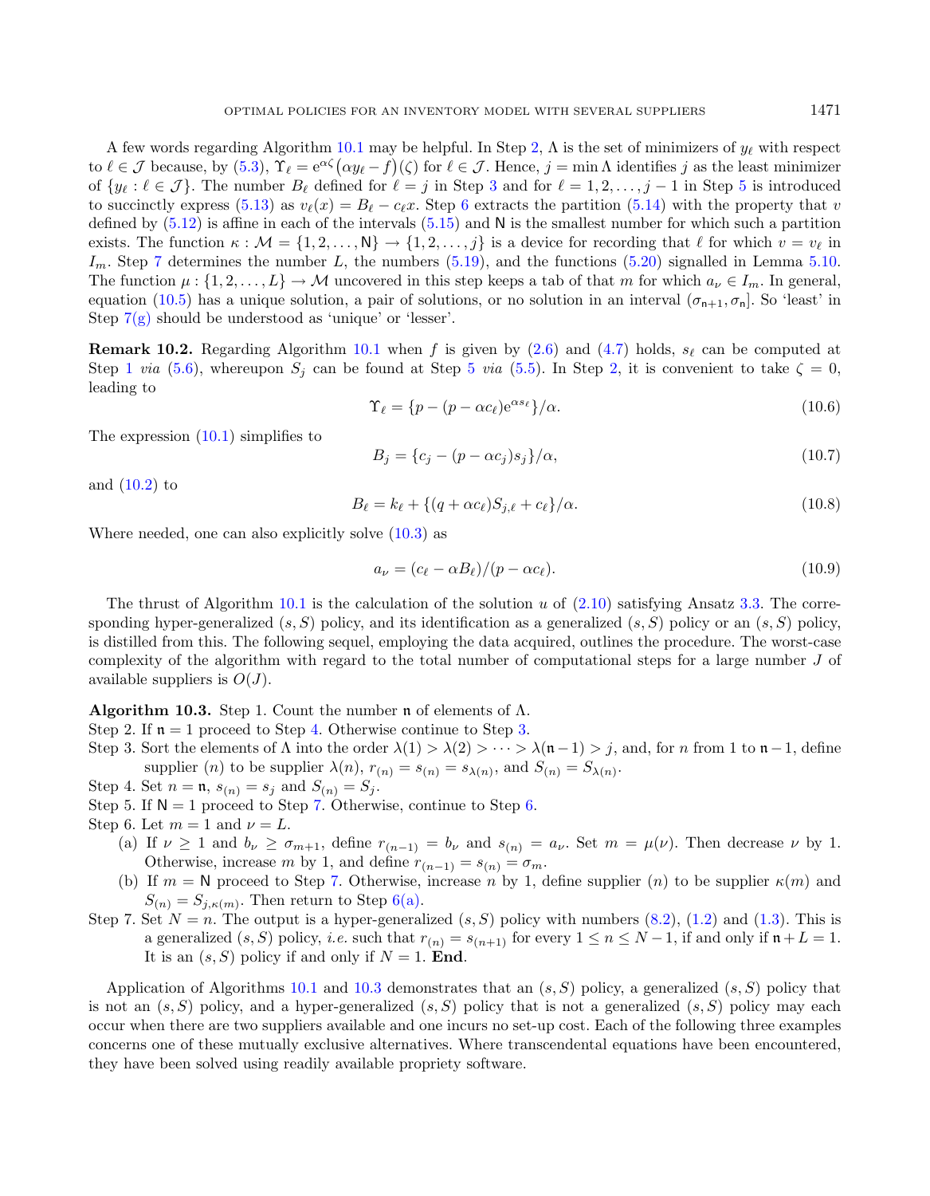<span id="page-18-7"></span>A few words regarding Algorithm [10.1](#page-17-9) may be helpful. In Step [2,](#page-17-10)  $\Lambda$  is the set of minimizers of  $y_{\ell}$  with respect to  $\ell \in \mathcal{J}$  because, by  $(5.3)$ ,  $\Upsilon_{\ell} = e^{\alpha \zeta} (\alpha y_{\ell} - f)(\zeta)$  for  $\ell \in \mathcal{J}$ . Hence,  $j = \min \Lambda$  identifies j as the least minimizer of  $\{y_\ell : \ell \in \mathcal{J}\}\.$  The number  $B_\ell$  defined for  $\ell = j$  in Step [3](#page-17-11) and for  $\ell = 1, 2, \ldots, j-1$  in Step [5](#page-17-2) is introduced to succinctly express [\(5.13\)](#page-8-5) as  $v_{\ell}(x) = B_{\ell} - c_{\ell}x$ . Step [6](#page-17-12) extracts the partition [\(5.14\)](#page-8-6) with the property that v defined by  $(5.12)$  is affine in each of the intervals  $(5.15)$  and N is the smallest number for which such a partition exists. The function  $\kappa : \mathcal{M} = \{1, 2, \ldots, N\} \to \{1, 2, \ldots, j\}$  is a device for recording that  $\ell$  for which  $v = v_{\ell}$  in  $I_m$ . Step [7](#page-17-3) determines the number L, the numbers [\(5.19\)](#page-9-6), and the functions [\(5.20\)](#page-9-7) signalled in Lemma [5.10.](#page-9-2) The function  $\mu: \{1, 2, \ldots, L\} \to M$  uncovered in this step keeps a tab of that m for which  $a_{\nu} \in I_m$ . In general, equation [\(10.5\)](#page-17-6) has a unique solution, a pair of solutions, or no solution in an interval  $(\sigma_{n+1}, \sigma_n]$ . So 'least' in

**Remark 10.2.** Regarding Algorithm [10.1](#page-17-9) when f is given by [\(2.6\)](#page-4-6) and [\(4.7\)](#page-6-1) holds,  $s_\ell$  can be computed at Step [1](#page-17-14) via [\(5.6\)](#page-7-4), whereupon  $S_i$  can be found at Step [5](#page-17-2) via [\(5.5\)](#page-7-5). In Step [2,](#page-17-10) it is convenient to take  $\zeta = 0$ , leading to

<span id="page-18-10"></span><span id="page-18-8"></span>
$$
\Upsilon_{\ell} = \{p - (p - \alpha c_{\ell})e^{\alpha s_{\ell}}\}/\alpha.
$$
\n(10.6)

The expression [\(10.1\)](#page-17-15) simplifies to

$$
B_j = \{c_j - (p - \alpha c_j)s_j\}/\alpha,\tag{10.7}
$$

and  $(10.2)$  to

<span id="page-18-5"></span>
$$
B_{\ell} = k_{\ell} + \left\{ (q + \alpha c_{\ell}) S_{j,\ell} + c_{\ell} \right\} / \alpha.
$$
\n(10.8)

Where needed, one can also explicitly solve [\(10.3\)](#page-17-17) as

<span id="page-18-9"></span>Step  $7(g)$  should be understood as 'unique' or 'lesser'.

<span id="page-18-6"></span>
$$
a_{\nu} = (c_{\ell} - \alpha B_{\ell})/(p - \alpha c_{\ell}).
$$
\n(10.9)

The thrust of Algorithm [10.1](#page-17-9) is the calculation of the solution  $u$  of  $(2.10)$  satisfying Ansatz [3.3.](#page-5-2) The corresponding hyper-generalized  $(s, S)$  policy, and its identification as a generalized  $(s, S)$  policy or an  $(s, S)$  policy, is distilled from this. The following sequel, employing the data acquired, outlines the procedure. The worst-case complexity of the algorithm with regard to the total number of computational steps for a large number  $J$  of available suppliers is  $O(J)$ .

Algorithm 10.3. Step 1. Count the number  $\mathfrak n$  of elements of  $\Lambda$ .

Step 2. If  $n = 1$  proceed to Step [4.](#page-18-0) Otherwise continue to Step [3.](#page-18-1)

<span id="page-18-1"></span>Step 3. Sort the elements of  $\Lambda$  into the order  $\lambda(1) > \lambda(2) > \cdots > \lambda(n-1) > j$ , and, for n from 1 to  $n-1$ , define supplier (*n*) to be supplier  $\lambda(n)$ ,  $r_{(n)} = s_{(n)} = s_{\lambda(n)}$ , and  $S_{(n)} = S_{\lambda(n)}$ .

<span id="page-18-0"></span>Step 4. Set  $n = \mathfrak{n}, s_{(n)} = s_j$  and  $S_{(n)} = S_j$ .

- Step 5. If  $N = 1$  proceed to Step [7.](#page-18-2) Otherwise, continue to Step [6.](#page-18-3)
- <span id="page-18-4"></span><span id="page-18-3"></span>Step 6. Let  $m = 1$  and  $\nu = L$ .
	- (a) If  $\nu \ge 1$  and  $b_{\nu} \ge \sigma_{m+1}$ , define  $r_{(n-1)} = b_{\nu}$  and  $s_{(n)} = a_{\nu}$ . Set  $m = \mu(\nu)$ . Then decrease  $\nu$  by 1. Otherwise, increase m by 1, and define  $r_{(n-1)} = s_{(n)} = \sigma_m$ .
	- (b) If  $m = N$  proceed to Step [7.](#page-18-2) Otherwise, increase n by 1, define supplier (n) to be supplier  $\kappa(m)$  and  $S_{(n)} = S_{j,\kappa(m)}$ . Then return to Step [6\(a\).](#page-18-4)
- <span id="page-18-2"></span>Step 7. Set  $N = n$ . The output is a hyper-generalized  $(s, S)$  policy with numbers  $(8.2)$ ,  $(1.2)$  and  $(1.3)$ . This is a generalized  $(s, S)$  policy, *i.e.* such that  $r_{(n)} = s_{(n+1)}$  for every  $1 \le n \le N-1$ , if and only if  $\mathfrak{n} + L = 1$ . It is an  $(s, S)$  policy if and only if  $N = 1$ . End.

Application of Algorithms [10.1](#page-17-9) and [10.3](#page-18-5) demonstrates that an  $(s, S)$  policy, a generalized  $(s, S)$  policy that is not an  $(s, S)$  policy, and a hyper-generalized  $(s, S)$  policy that is not a generalized  $(s, S)$  policy may each occur when there are two suppliers available and one incurs no set-up cost. Each of the following three examples concerns one of these mutually exclusive alternatives. Where transcendental equations have been encountered, they have been solved using readily available propriety software.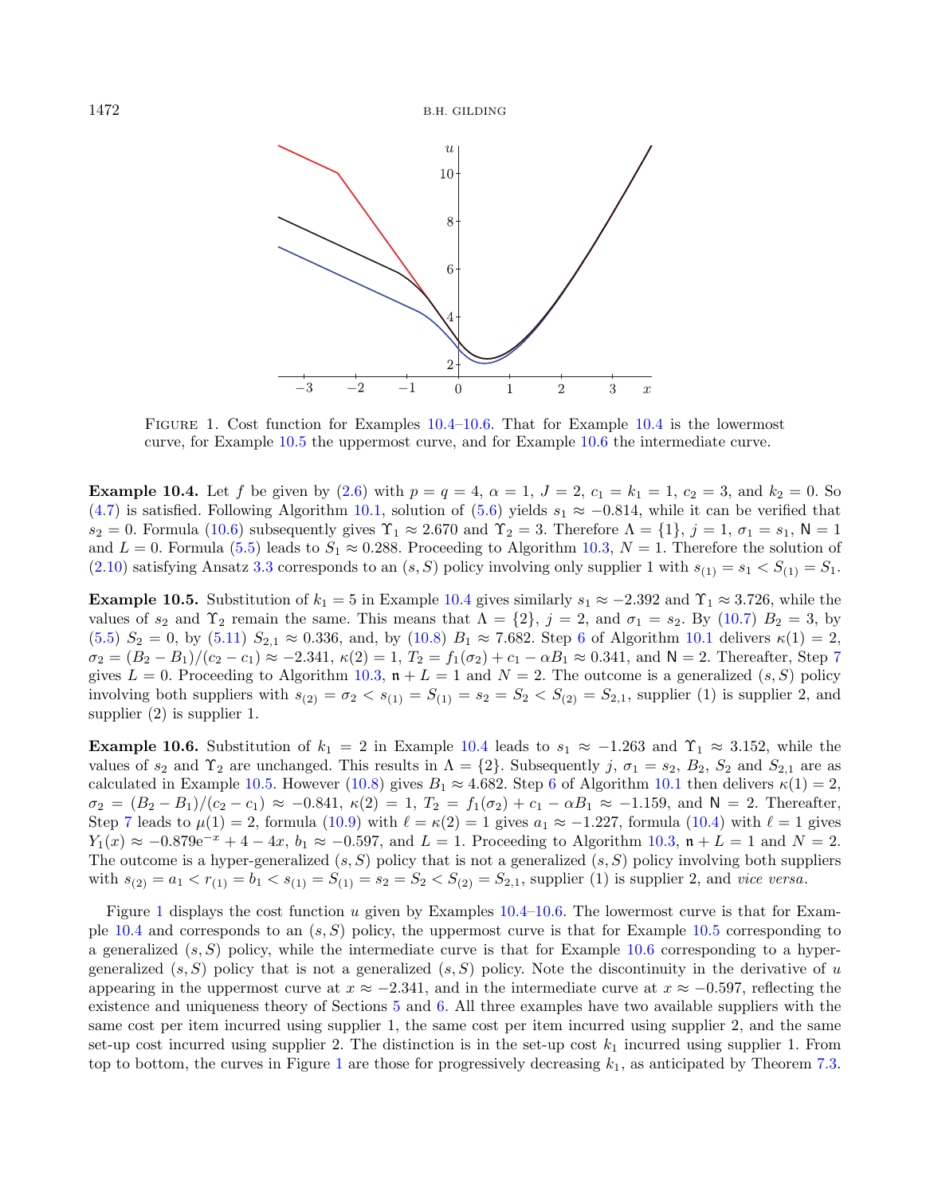<span id="page-19-2"></span>

Figure 1. Cost function for Examples [10.4](#page-18-6)[–10.6.](#page-19-0) That for Example [10.4](#page-18-6) is the lowermost curve, for Example [10.5](#page-19-1) the uppermost curve, and for Example [10.6](#page-19-0) the intermediate curve.

**Example 10.4.** Let f be given by [\(2.6\)](#page-4-6) with  $p = q = 4$ ,  $\alpha = 1$ ,  $J = 2$ ,  $c_1 = k_1 = 1$ ,  $c_2 = 3$ , and  $k_2 = 0$ . So [\(4.7\)](#page-6-1) is satisfied. Following Algorithm [10.1,](#page-17-9) solution of [\(5.6\)](#page-7-4) yields  $s_1 \approx -0.814$ , while it can be verified that  $s_2 = 0$ . Formula [\(10.6\)](#page-18-7) subsequently gives  $\Upsilon_1 \approx 2.670$  and  $\Upsilon_2 = 3$ . Therefore  $\Lambda = \{1\}$ ,  $j = 1$ ,  $\sigma_1 = s_1$ ,  $\mathsf{N} = 1$ and  $L = 0$ . Formula [\(5.5\)](#page-7-5) leads to  $S_1 \approx 0.288$ . Proceeding to Algorithm [10.3,](#page-18-5)  $N = 1$ . Therefore the solution of [\(2.10\)](#page-4-1) satisfying Ansatz [3.3](#page-5-2) corresponds to an  $(s, S)$  policy involving only supplier 1 with  $s_{(1)} = s_1 < S_{(1)} = S_1$ .

<span id="page-19-1"></span>**Example 10.5.** Substitution of  $k_1 = 5$  in Example [10.4](#page-18-6) gives similarly  $s_1 \approx -2.392$  and  $\Upsilon_1 \approx 3.726$ , while the values of  $s_2$  and  $\Upsilon_2$  remain the same. This means that  $\Lambda = \{2\}$ ,  $j = 2$ , and  $\sigma_1 = s_2$ . By [\(10.7\)](#page-18-8)  $B_2 = 3$ , by [\(5.5\)](#page-7-5)  $S_2 = 0$ , by [\(5.11\)](#page-8-8)  $S_{2,1} \approx 0.336$  $S_{2,1} \approx 0.336$ , and, by [\(10.8\)](#page-18-9)  $B_1 \approx 7.682$ . Step 6 of Algorithm [10.1](#page-17-9) delivers  $\kappa(1) = 2$ .  $\sigma_2 = (B_2 - B_1)/(c_2 - c_1) \approx -2.341$ ,  $\kappa(2) = 1$ ,  $T_2 = f_1(\sigma_2) + c_1 - \alpha B_1 \approx 0.341$ , and  $\mathsf{N} = 2$ . Thereafter, Step [7](#page-17-3) gives  $L = 0$ . Proceeding to Algorithm [10.3,](#page-18-5)  $\mathfrak{n} + L = 1$  and  $N = 2$ . The outcome is a generalized  $(s, S)$  policy involving both suppliers with  $s_{(2)} = \sigma_2 < s_{(1)} = S_{(1)} = s_2 = S_2 < S_{(2)} = S_{2,1}$ , supplier (1) is supplier 2, and supplier (2) is supplier 1.

<span id="page-19-0"></span>**Example 10.6.** Substitution of  $k_1 = 2$  in Example [10.4](#page-18-6) leads to  $s_1 \approx -1.263$  and  $\Upsilon_1 \approx 3.152$ , while the values of  $s_2$  and  $\Upsilon_2$  are unchanged. This results in  $\Lambda = \{2\}$ . Subsequently j,  $\sigma_1 = s_2$ ,  $B_2$ ,  $S_2$  and  $S_{2,1}$  are as calculated in Example [10.5.](#page-19-1) However [\(10.8\)](#page-18-9) gives  $B_1 \approx 4.682$  $B_1 \approx 4.682$  $B_1 \approx 4.682$ . Step 6 of Algorithm [10.1](#page-17-9) then delivers  $\kappa(1) = 2$ ,  $\sigma_2 = (B_2 - B_1)/(c_2 - c_1) \approx -0.841$ ,  $\kappa(2) = 1$ ,  $T_2 = f_1(\sigma_2) + c_1 - \alpha B_1 \approx -1.159$ , and  $\mathsf{N} = 2$ . Thereafter, Step [7](#page-17-3) leads to  $\mu(1) = 2$ , formula [\(10.9\)](#page-18-10) with  $\ell = \kappa(2) = 1$  gives  $a_1 \approx -1.227$ , formula [\(10.4\)](#page-17-8) with  $\ell = 1$  gives  $Y_1(x) \approx -0.879e^{-x} + 4 - 4x$ ,  $b_1 \approx -0.597$ , and  $L = 1$ . Proceeding to Algorithm [10.3,](#page-18-5)  $\mathfrak{n} + L = 1$  and  $N = 2$ . The outcome is a hyper-generalized  $(s, S)$  policy that is not a generalized  $(s, S)$  policy involving both suppliers with  $s_{(2)} = a_1 < r_{(1)} = b_1 < s_{(1)} = S_{(1)} = s_2 = S_2 < S_{(2)} = S_{2,1}$ , supplier (1) is supplier 2, and vice versa.

Figure [1](#page-19-2) displays the cost function  $u$  given by Examples [10.4–](#page-18-6)[10.6.](#page-19-0) The lowermost curve is that for Exam-ple [10.4](#page-18-6) and corresponds to an  $(s, S)$  policy, the uppermost curve is that for Example [10.5](#page-19-1) corresponding to a generalized  $(s, S)$  policy, while the intermediate curve is that for Example [10.6](#page-19-0) corresponding to a hypergeneralized  $(s, S)$  policy that is not a generalized  $(s, S)$  policy. Note the discontinuity in the derivative of u appearing in the uppermost curve at  $x \approx -2.341$ , and in the intermediate curve at  $x \approx -0.597$ , reflecting the existence and uniqueness theory of Sections [5](#page-6-9) and [6.](#page-11-5) All three examples have two available suppliers with the same cost per item incurred using supplier 1, the same cost per item incurred using supplier 2, and the same set-up cost incurred using supplier 2. The distinction is in the set-up cost  $k_1$  incurred using supplier 1. From top to bottom, the curves in Figure [1](#page-19-2) are those for progressively decreasing  $k_1$ , as anticipated by Theorem [7.3.](#page-13-1)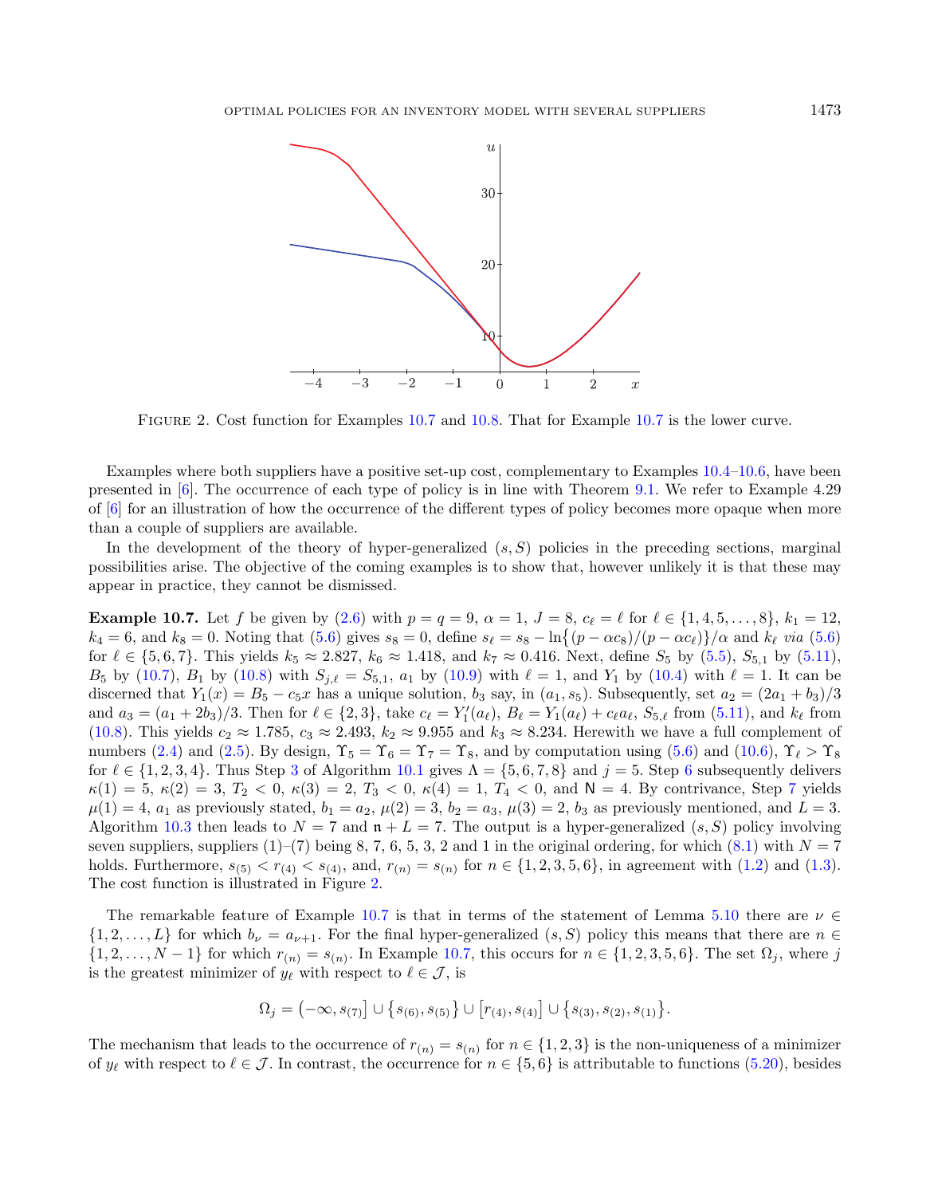<span id="page-20-1"></span><span id="page-20-0"></span>

FIGURE 2. Cost function for Examples [10.7](#page-20-0) and [10.8.](#page-21-1) That for Example 10.7 is the lower curve.

Examples where both suppliers have a positive set-up cost, complementary to Examples [10.4–](#page-18-6)[10.6,](#page-19-0) have been presented in [\[6\]](#page-36-6). The occurrence of each type of policy is in line with Theorem [9.1.](#page-16-0) We refer to Example 4.29 of [\[6\]](#page-36-6) for an illustration of how the occurrence of the different types of policy becomes more opaque when more than a couple of suppliers are available.

In the development of the theory of hyper-generalized  $(s, S)$  policies in the preceding sections, marginal possibilities arise. The objective of the coming examples is to show that, however unlikely it is that these may appear in practice, they cannot be dismissed.

**Example 10.7.** Let f be given by [\(2.6\)](#page-4-6) with  $p = q = 9$ ,  $\alpha = 1$ ,  $J = 8$ ,  $c_{\ell} = \ell$  for  $\ell \in \{1, 4, 5, \ldots, 8\}$ ,  $k_1 = 12$ ,  $k_4 = 6$ , and  $k_8 = 0$ . Noting that [\(5.6\)](#page-7-4) gives  $s_8 = 0$ , define  $s_\ell = s_8 - \ln\{(p - \alpha c_8)/(p - \alpha c_\ell)\}/\alpha$  and  $k_\ell$  via (5.6) for  $\ell \in \{5, 6, 7\}$ . This yields  $k_5 \approx 2.827$ ,  $k_6 \approx 1.418$ , and  $k_7 \approx 0.416$ . Next, define  $S_5$  by  $(5.5)$ ,  $S_{5,1}$  by  $(5.11)$ .  $B_5$  by [\(10.7\)](#page-18-8),  $B_1$  by [\(10.8\)](#page-18-9) with  $S_{j,\ell} = S_{5,1}$ ,  $a_1$  by [\(10.9\)](#page-18-10) with  $\ell = 1$ , and  $Y_1$  by [\(10.4\)](#page-17-8) with  $\ell = 1$ . It can be discerned that  $Y_1(x) = B_5 - c_5 x$  has a unique solution,  $b_3$  say, in  $(a_1, s_5)$ . Subsequently, set  $a_2 = (2a_1 + b_3)/3$ and  $a_3 = (a_1 + 2b_3)/3$ . Then for  $\ell \in \{2,3\}$ , take  $c_{\ell} = Y'_1(a_{\ell}), B_{\ell} = Y_1(a_{\ell}) + c_{\ell}a_{\ell}, S_{5,\ell}$  from  $(5.11)$ , and  $k_{\ell}$  from [\(10.8\)](#page-18-9). This yields  $c_2 \approx 1.785$ ,  $c_3 \approx 2.493$ ,  $k_2 \approx 9.955$  and  $k_3 \approx 8.234$ . Herewith we have a full complement of numbers [\(2.4\)](#page-4-4) and [\(2.5\)](#page-4-2). By design,  $\Upsilon_5 = \Upsilon_6 = \Upsilon_7 = \Upsilon_8$ , and by computation using [\(5.6\)](#page-7-4) and [\(10.6\)](#page-18-7),  $\Upsilon_\ell > \Upsilon_8$ for  $\ell \in \{1, 2, 3, 4\}$  $\ell \in \{1, 2, 3, 4\}$  $\ell \in \{1, 2, 3, 4\}$ . Thus Step 3 of Algorithm [10.1](#page-17-9) gives  $\Lambda = \{5, 6, 7, 8\}$  $\Lambda = \{5, 6, 7, 8\}$  $\Lambda = \{5, 6, 7, 8\}$  and  $j = 5$ . Step 6 subsequently delivers  $\kappa(1) = 5, \, \kappa(2) = 3, \, T_2 < 0, \, \kappa(3) = 2, \, T_3 < 0, \, \kappa(4) = 1, \, T_4 < 0, \, \text{and } N = 4. \text{ By contrivance, Step 7 yields}$  $\kappa(1) = 5, \, \kappa(2) = 3, \, T_2 < 0, \, \kappa(3) = 2, \, T_3 < 0, \, \kappa(4) = 1, \, T_4 < 0, \, \text{and } N = 4. \text{ By contrivance, Step 7 yields}$  $\kappa(1) = 5, \, \kappa(2) = 3, \, T_2 < 0, \, \kappa(3) = 2, \, T_3 < 0, \, \kappa(4) = 1, \, T_4 < 0, \, \text{and } N = 4. \text{ By contrivance, Step 7 yields}$  $\mu(1) = 4$ ,  $a_1$  as previously stated,  $b_1 = a_2$ ,  $\mu(2) = 3$ ,  $b_2 = a_3$ ,  $\mu(3) = 2$ ,  $b_3$  as previously mentioned, and  $L = 3$ . Algorithm [10.3](#page-18-5) then leads to  $N = 7$  and  $\mathfrak{n} + L = 7$ . The output is a hyper-generalized  $(s, S)$  policy involving seven suppliers, suppliers  $(1)$ – $(7)$  being 8, 7, 6, 5, 3, 2 and 1 in the original ordering, for which  $(8.1)$  with  $N = 7$ holds. Furthermore,  $s_{(5)} < r_{(4)} < s_{(4)}$ , and,  $r_{(n)} = s_{(n)}$  for  $n \in \{1, 2, 3, 5, 6\}$ , in agreement with  $(1.2)$  and  $(1.3)$ . The cost function is illustrated in Figure [2.](#page-20-1)

The remarkable feature of Example [10.7](#page-20-0) is that in terms of the statement of Lemma [5.10](#page-9-2) there are  $\nu \in$  $\{1, 2, \ldots, L\}$  for which  $b_{\nu} = a_{\nu+1}$ . For the final hyper-generalized  $(s, S)$  policy this means that there are  $n \in \mathbb{Z}$  $\{1, 2, \ldots, N-1\}$  for which  $r_{(n)} = s_{(n)}$ . In Example [10.7,](#page-20-0) this occurs for  $n \in \{1, 2, 3, 5, 6\}$ . The set  $\Omega_j$ , where j is the greatest minimizer of  $y_{\ell}$  with respect to  $\ell \in \mathcal{J}$ , is

$$
\Omega_j = \left(-\infty, s_{(7)}\right] \cup \left\{s_{(6)}, s_{(5)}\right\} \cup \left[r_{(4)}, s_{(4)}\right] \cup \left\{s_{(3)}, s_{(2)}, s_{(1)}\right\}.
$$

The mechanism that leads to the occurrence of  $r_{(n)} = s_{(n)}$  for  $n \in \{1, 2, 3\}$  is the non-uniqueness of a minimizer of  $y_\ell$  with respect to  $\ell \in \mathcal{J}$ . In contrast, the occurrence for  $n \in \{5, 6\}$  is attributable to functions [\(5.20\)](#page-9-7), besides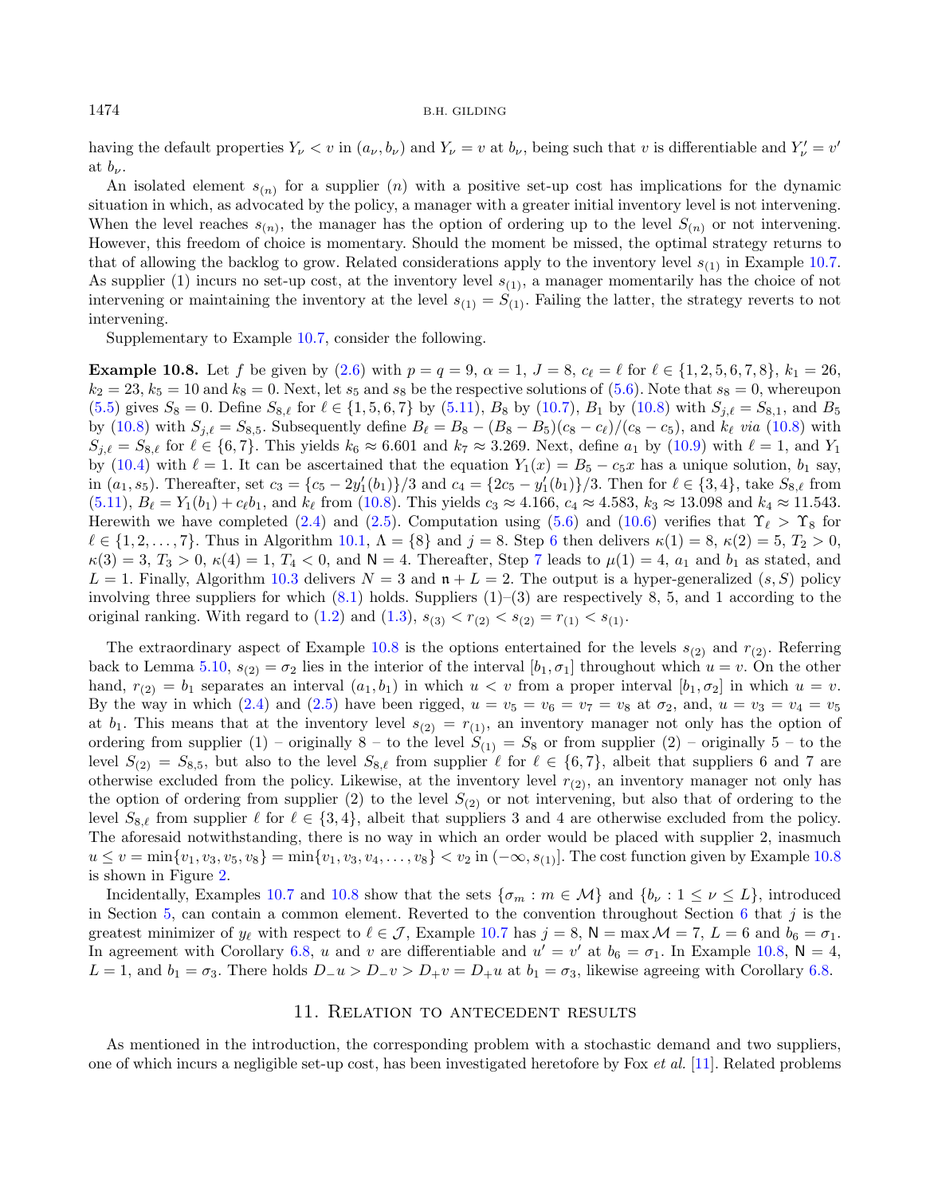<span id="page-21-1"></span>having the default properties  $Y_{\nu} < v$  in  $(a_{\nu}, b_{\nu})$  and  $Y_{\nu} = v$  at  $b_{\nu}$ , being such that  $v$  is differentiable and  $Y_{\nu}' = v'$ at  $b_{\nu}$ .

An isolated element  $s_{(n)}$  for a supplier (*n*) with a positive set-up cost has implications for the dynamic situation in which, as advocated by the policy, a manager with a greater initial inventory level is not intervening. When the level reaches  $s_{(n)}$ , the manager has the option of ordering up to the level  $S_{(n)}$  or not intervening. However, this freedom of choice is momentary. Should the moment be missed, the optimal strategy returns to that of allowing the backlog to grow. Related considerations apply to the inventory level  $s_{(1)}$  in Example [10.7.](#page-20-0) As supplier (1) incurs no set-up cost, at the inventory level  $s_{(1)}$ , a manager momentarily has the choice of not intervening or maintaining the inventory at the level  $s_{(1)} = S_{(1)}$ . Failing the latter, the strategy reverts to not intervening.

Supplementary to Example [10.7,](#page-20-0) consider the following.

**Example 10.8.** Let f be given by [\(2.6\)](#page-4-6) with  $p = q = 9$ ,  $\alpha = 1$ ,  $J = 8$ ,  $c_{\ell} = \ell$  for  $\ell \in \{1, 2, 5, 6, 7, 8\}$ ,  $k_1 = 26$ ,  $k_2 = 23$ ,  $k_5 = 10$  and  $k_8 = 0$ . Next, let  $s_5$  and  $s_8$  be the respective solutions of [\(5.6\)](#page-7-4). Note that  $s_8 = 0$ , whereupon  $(5.5)$  gives  $S_8 = 0$ . Define  $S_{8,\ell}$  for  $\ell \in \{1, 5, 6, 7\}$  by  $(5.11)$ ,  $B_8$  by  $(10.7)$ ,  $B_1$  by  $(10.8)$  with  $S_{j,\ell} = S_{8,1}$ , and  $B_5$ by [\(10.8\)](#page-18-9) with  $S_{j,\ell} = S_{8,5}$ . Subsequently define  $B_{\ell} = B_8 - (B_8 - B_5)(c_8 - c_{\ell})/(c_8 - c_5)$ , and  $k_{\ell}$  via (10.8) with  $S_{i,\ell} = S_{8,\ell}$  for  $\ell \in \{6,7\}$ . This yields  $k_6 \approx 6.601$  and  $k_7 \approx 3.269$ . Next, define  $a_1$  by [\(10.9\)](#page-18-10) with  $\ell = 1$ , and  $Y_1$ by [\(10.4\)](#page-17-8) with  $\ell = 1$ . It can be ascertained that the equation  $Y_1(x) = B_5 - c_5 x$  has a unique solution,  $b_1$  say, in  $(a_1, s_5)$ . Thereafter, set  $c_3 = \{c_5 - 2y_1'(b_1)\}/3$  and  $c_4 = \{2c_5 - y_1'(b_1)\}/3$ . Then for  $\ell \in \{3, 4\}$ , take  $S_{8,\ell}$  from  $(5.11), B_{\ell} = Y_1(b_1) + c_{\ell}b_1$  $(5.11), B_{\ell} = Y_1(b_1) + c_{\ell}b_1$ , and  $k_{\ell}$  from [\(10.8\)](#page-18-9). This yields  $c_3 \approx 4.166$ ,  $c_4 \approx 4.583$ ,  $k_3 \approx 13.098$  and  $k_4 \approx 11.543$ . Herewith we have completed [\(2.4\)](#page-4-4) and [\(2.5\)](#page-4-2). Computation using [\(5.6\)](#page-7-4) and [\(10.6\)](#page-18-7) verifies that  $\Upsilon_{\ell} > \Upsilon_8$  for  $\ell \in \{1, 2, ..., 7\}$ . Thus in Algorithm [10.1,](#page-17-9)  $\Lambda = \{8\}$  and  $j = 8$ . Step [6](#page-17-12) then delivers  $\kappa(1) = 8$ ,  $\kappa(2) = 5$ ,  $T_2 > 0$ ,  $\kappa(3) = 3, T_3 > 0, \kappa(4) = 1, T_4 < 0$ , and  $N = 4$ . Thereafter, Step [7](#page-17-3) leads to  $\mu(1) = 4, a_1$  and  $b_1$  as stated, and  $L = 1$ . Finally, Algorithm [10.3](#page-18-5) delivers  $N = 3$  and  $\mathfrak{n} + L = 2$ . The output is a hyper-generalized  $(s, S)$  policy involving three suppliers for which  $(8.1)$  holds. Suppliers  $(1)$ – $(3)$  are respectively 8, 5, and 1 according to the original ranking. With regard to [\(1.2\)](#page-1-1) and [\(1.3\)](#page-2-0),  $s_{(3)} < r_{(2)} < s_{(2)} = r_{(1)} < s_{(1)}$ .

The extraordinary aspect of Example [10.8](#page-21-1) is the options entertained for the levels  $s_{(2)}$  and  $r_{(2)}$ . Referring back to Lemma [5.10,](#page-9-2)  $s_{(2)} = \sigma_2$  lies in the interior of the interval  $[b_1, \sigma_1]$  throughout which  $u = v$ . On the other hand,  $r_{(2)} = b_1$  separates an interval  $(a_1, b_1)$  in which  $u < v$  from a proper interval  $[b_1, \sigma_2]$  in which  $u = v$ . By the way in which [\(2.4\)](#page-4-4) and [\(2.5\)](#page-4-2) have been rigged,  $u = v_5 = v_6 = v_7 = v_8$  at  $\sigma_2$ , and,  $u = v_3 = v_4 = v_5$ at  $b_1$ . This means that at the inventory level  $s_{(2)} = r_{(1)}$ , an inventory manager not only has the option of ordering from supplier (1) – originally 8 – to the level  $S_{(1)} = S_8$  or from supplier (2) – originally 5 – to the level  $S_{(2)} = S_{8,5}$ , but also to the level  $S_{8,\ell}$  from supplier  $\ell$  for  $\ell \in \{6,7\}$ , albeit that suppliers 6 and 7 are otherwise excluded from the policy. Likewise, at the inventory level  $r_{(2)}$ , an inventory manager not only has the option of ordering from supplier (2) to the level  $S_{(2)}$  or not intervening, but also that of ordering to the level  $S_{8,\ell}$  from supplier  $\ell$  for  $\ell \in \{3,4\}$ , albeit that suppliers 3 and 4 are otherwise excluded from the policy. The aforesaid notwithstanding, there is no way in which an order would be placed with supplier 2, inasmuch  $u \le v = \min\{v_1, v_3, v_5, v_8\} = \min\{v_1, v_3, v_4, \ldots, v_8\} < v_2$  in  $(-\infty, s_{(1)})$ . The cost function given by Example [10.8](#page-21-1) is shown in Figure [2.](#page-20-1)

Incidentally, Examples [10.7](#page-20-0) and [10.8](#page-21-1) show that the sets  $\{\sigma_m : m \in \mathcal{M}\}\$ and  $\{b_\nu : 1 \leq \nu \leq L\}$ , introduced in Section [5,](#page-6-9) can contain a common element. Reverted to the convention throughout Section [6](#page-11-5) that  $j$  is the greatest minimizer of  $y_{\ell}$  with respect to  $\ell \in \mathcal{J}$ , Example [10.7](#page-20-0) has  $j = 8$ ,  $\mathsf{N} = \max \mathcal{M} = 7$ ,  $L = 6$  and  $b_6 = \sigma_1$ . In agreement with Corollary [6.8,](#page-12-3) u and v are differentiable and  $u' = v'$  at  $b_6 = \sigma_1$ . In Example [10.8,](#page-21-1) N = 4,  $L = 1$ , and  $b_1 = \sigma_3$ . There holds  $D_{-}u > D_{-}v > D_{+}v = D_{+}u$  at  $b_1 = \sigma_3$ , likewise agreeing with Corollary [6.8.](#page-12-3)

#### 11. Relation to antecedent results

<span id="page-21-0"></span>As mentioned in the introduction, the corresponding problem with a stochastic demand and two suppliers, one of which incurs a negligible set-up cost, has been investigated heretofore by Fox et al. [\[11\]](#page-36-7). Related problems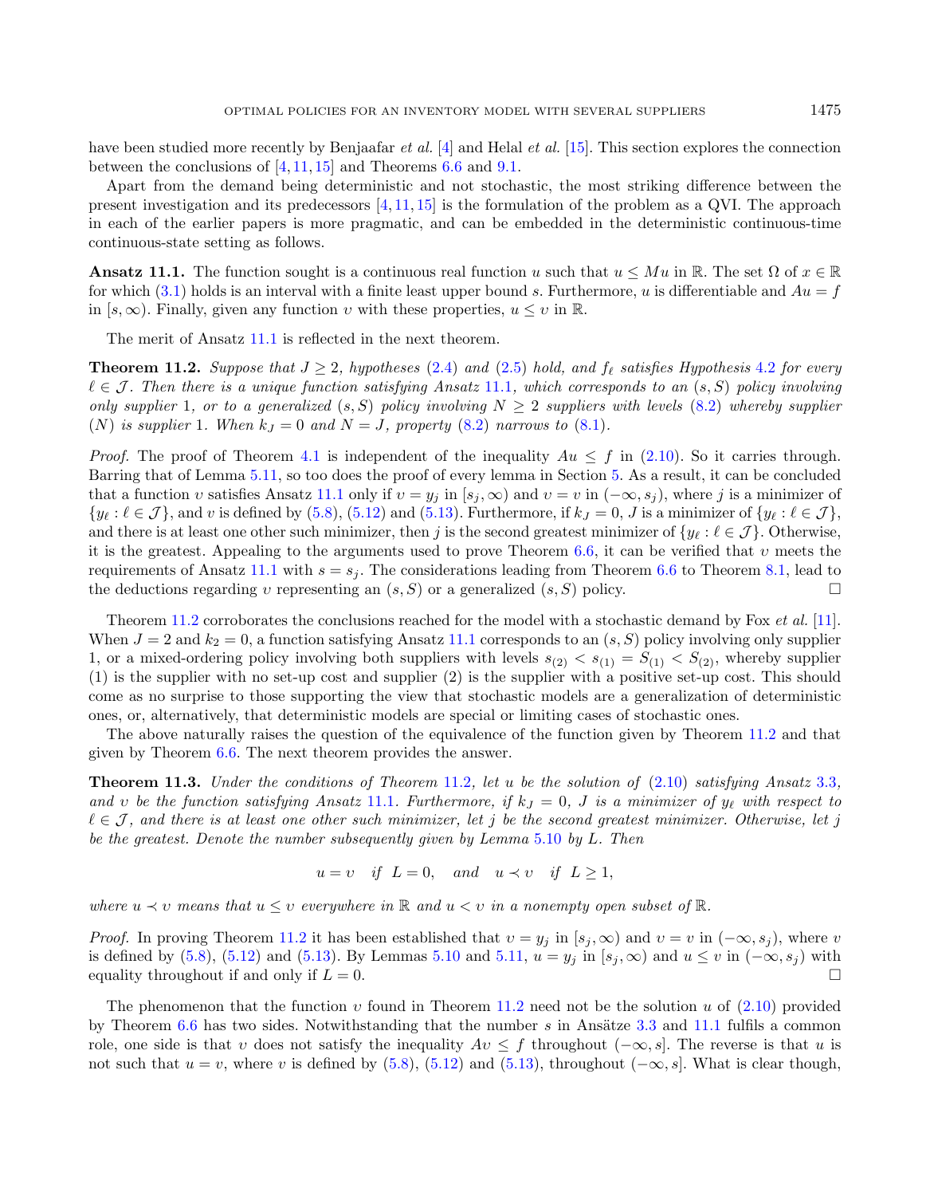<span id="page-22-1"></span><span id="page-22-0"></span>have been studied more recently by Benjaafar *et al.* [\[4\]](#page-36-8) and Helal *et al.* [\[15\]](#page-37-15). This section explores the connection between the conclusions of  $[4, 11, 15]$  $[4, 11, 15]$  $[4, 11, 15]$  $[4, 11, 15]$  $[4, 11, 15]$  and Theorems [6.6](#page-12-2) and [9.1.](#page-16-0)

Apart from the demand being deterministic and not stochastic, the most striking difference between the present investigation and its predecessors  $[4, 11, 15]$  $[4, 11, 15]$  $[4, 11, 15]$  $[4, 11, 15]$  $[4, 11, 15]$  is the formulation of the problem as a QVI. The approach in each of the earlier papers is more pragmatic, and can be embedded in the deterministic continuous-time continuous-state setting as follows.

**Ansatz 11.1.** The function sought is a continuous real function u such that  $u \leq Mu$  in R. The set  $\Omega$  of  $x \in \mathbb{R}$ for which [\(3.1\)](#page-5-5) holds is an interval with a finite least upper bound s. Furthermore, u is differentiable and  $Au = f$ in  $[s, \infty)$ . Finally, given any function v with these properties,  $u \leq v$  in R.

The merit of Ansatz [11.1](#page-22-0) is reflected in the next theorem.

**Theorem 11.2.** Suppose that  $J \geq 2$ , hypotheses [\(2.4\)](#page-4-4) and [\(2.5\)](#page-4-2) hold, and  $f_{\ell}$  satisfies Hypothesis [4.2](#page-6-0) for every  $\ell \in \mathcal{J}$ . Then there is a unique function satisfying Ansatz [11.1](#page-22-0), which corresponds to an  $(s, S)$  policy involving only supplier 1, or to a generalized  $(s, S)$  policy involving  $N \geq 2$  suppliers with levels  $(8.2)$  whereby supplier (N) is supplier 1. When  $k_J = 0$  and  $N = J$ , property [\(8.2\)](#page-15-2) narrows to [\(8.1\)](#page-15-1).

*Proof.* The proof of Theorem [4.1](#page-5-3) is independent of the inequality  $Au \leq f$  in [\(2.10\)](#page-4-1). So it carries through. Barring that of Lemma [5.11,](#page-10-0) so too does the proof of every lemma in Section [5.](#page-6-9) As a result, it can be concluded that a function v satisfies Ansatz [11.1](#page-22-0) only if  $v = y_i$  in  $[s_i, \infty)$  and  $v = v$  in  $(-\infty, s_i)$ , where j is a minimizer of  $\{y_{\ell} : \ell \in \mathcal{J}\}\$ , and v is defined by [\(5.8\)](#page-8-7), [\(5.12\)](#page-8-4) and [\(5.13\)](#page-8-5). Furthermore, if  $k_J = 0$ , J is a minimizer of  $\{y_{\ell} : \ell \in \mathcal{J}\}\$ , and there is at least one other such minimizer, then j is the second greatest minimizer of  $\{y_\ell : \ell \in \mathcal{J}\}\)$ . Otherwise, it is the greatest. Appealing to the arguments used to prove Theorem [6.6,](#page-12-2) it can be verified that  $\nu$  meets the requirements of Ansatz [11.1](#page-22-0) with  $s = s_j$ . The considerations leading from Theorem [6.6](#page-12-2) to Theorem [8.1,](#page-15-3) lead to the deductions regarding v representing an  $(s, S)$  or a generalized  $(s, S)$  policy.

Theorem [11.2](#page-22-1) corroborates the conclusions reached for the model with a stochastic demand by Fox et al. [\[11\]](#page-36-7). When  $J = 2$  and  $k_2 = 0$ , a function satisfying Ansatz [11.1](#page-22-0) corresponds to an  $(s, S)$  policy involving only supplier 1, or a mixed-ordering policy involving both suppliers with levels  $s_{(2)} < s_{(1)} = S_{(1)} < S_{(2)}$ , whereby supplier (1) is the supplier with no set-up cost and supplier (2) is the supplier with a positive set-up cost. This should come as no surprise to those supporting the view that stochastic models are a generalization of deterministic ones, or, alternatively, that deterministic models are special or limiting cases of stochastic ones.

The above naturally raises the question of the equivalence of the function given by Theorem [11.2](#page-22-1) and that given by Theorem [6.6.](#page-12-2) The next theorem provides the answer.

**Theorem 11.3.** Under the conditions of Theorem [11.2](#page-22-1), let u be the solution of  $(2.10)$  satisfying Ansatz [3.3](#page-5-2), and v be the function satisfying Ansatz [11.1](#page-22-0). Furthermore, if  $k<sub>J</sub> = 0$ , J is a minimizer of  $y<sub>\ell</sub>$  with respect to  $\ell \in \mathcal{J}$ , and there is at least one other such minimizer, let j be the second greatest minimizer. Otherwise, let j be the greatest. Denote the number subsequently given by Lemma [5.10](#page-9-2) by  $L$ . Then

<span id="page-22-2"></span>
$$
u = v \quad \text{if} \quad L = 0, \quad \text{and} \quad u \prec v \quad \text{if} \quad L \ge 1,
$$

where  $u \prec v$  means that  $u \leq v$  everywhere in  $\mathbb R$  and  $u < v$  in a nonempty open subset of  $\mathbb R$ .

*Proof.* In proving Theorem [11.2](#page-22-1) it has been established that  $v = y_j$  in  $[s_j, \infty)$  and  $v = v$  in  $(-\infty, s_j)$ , where v is defined by [\(5.8\)](#page-8-7), [\(5.12\)](#page-8-4) and [\(5.13\)](#page-8-5). By Lemmas [5.10](#page-9-2) and [5.11,](#page-10-0)  $u = y_i$  in  $[s_i, \infty)$  and  $u \le v$  in  $(-\infty, s_i)$  with equality throughout if and only if  $L = 0$ .

The phenomenon that the function  $v$  found in Theorem [11.2](#page-22-1) need not be the solution  $u$  of [\(2.10\)](#page-4-1) provided by Theorem  $6.6$  has two sides. Notwithstanding that the number  $s$  in Ansätze [3.3](#page-5-2) and [11.1](#page-22-0) fulfils a common role, one side is that v does not satisfy the inequality  $Av \leq f$  throughout  $(-\infty, s]$ . The reverse is that u is not such that  $u = v$ , where v is defined by [\(5.8\)](#page-8-7), [\(5.12\)](#page-8-4) and [\(5.13\)](#page-8-5), throughout ( $-\infty$ , s). What is clear though,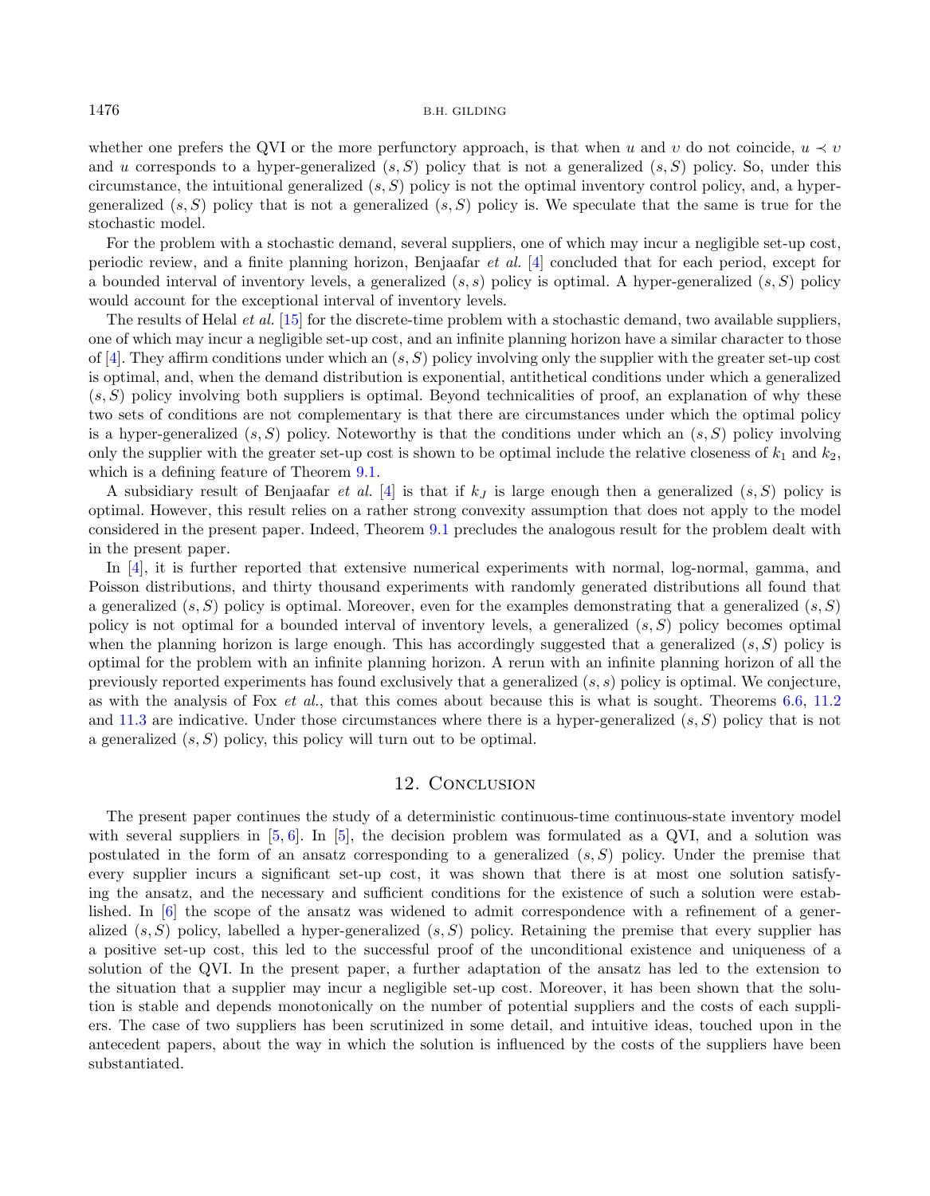whether one prefers the QVI or the more perfunctory approach, is that when u and v do not coincide,  $u \prec v$ and *u* corresponds to a hyper-generalized  $(s, S)$  policy that is not a generalized  $(s, S)$  policy. So, under this circumstance, the intuitional generalized  $(s, S)$  policy is not the optimal inventory control policy, and, a hypergeneralized  $(s, S)$  policy that is not a generalized  $(s, S)$  policy is. We speculate that the same is true for the stochastic model.

For the problem with a stochastic demand, several suppliers, one of which may incur a negligible set-up cost, periodic review, and a finite planning horizon, Benjaafar et al. [\[4\]](#page-36-8) concluded that for each period, except for a bounded interval of inventory levels, a generalized  $(s, s)$  policy is optimal. A hyper-generalized  $(s, S)$  policy would account for the exceptional interval of inventory levels.

The results of Helal *et al.* [\[15\]](#page-37-15) for the discrete-time problem with a stochastic demand, two available suppliers, one of which may incur a negligible set-up cost, and an infinite planning horizon have a similar character to those of [\[4\]](#page-36-8). They affirm conditions under which an  $(s, S)$  policy involving only the supplier with the greater set-up cost is optimal, and, when the demand distribution is exponential, antithetical conditions under which a generalized  $(s, S)$  policy involving both suppliers is optimal. Beyond technicalities of proof, an explanation of why these two sets of conditions are not complementary is that there are circumstances under which the optimal policy is a hyper-generalized  $(s, S)$  policy. Noteworthy is that the conditions under which an  $(s, S)$  policy involving only the supplier with the greater set-up cost is shown to be optimal include the relative closeness of  $k_1$  and  $k_2$ , which is a defining feature of Theorem  $9.1$ .

A subsidiary result of Benjaafar *et al.* [\[4\]](#page-36-8) is that if  $k_j$  is large enough then a generalized  $(s, S)$  policy is optimal. However, this result relies on a rather strong convexity assumption that does not apply to the model considered in the present paper. Indeed, Theorem [9.1](#page-16-0) precludes the analogous result for the problem dealt with in the present paper.

In [\[4\]](#page-36-8), it is further reported that extensive numerical experiments with normal, log-normal, gamma, and Poisson distributions, and thirty thousand experiments with randomly generated distributions all found that a generalized  $(s, S)$  policy is optimal. Moreover, even for the examples demonstrating that a generalized  $(s, S)$ policy is not optimal for a bounded interval of inventory levels, a generalized  $(s, S)$  policy becomes optimal when the planning horizon is large enough. This has accordingly suggested that a generalized  $(s, S)$  policy is optimal for the problem with an infinite planning horizon. A rerun with an infinite planning horizon of all the previously reported experiments has found exclusively that a generalized  $(s, s)$  policy is optimal. We conjecture, as with the analysis of Fox et al., that this comes about because this is what is sought. Theorems [6.6,](#page-12-2) [11.2](#page-22-1) and [11.3](#page-22-2) are indicative. Under those circumstances where there is a hyper-generalized  $(s, S)$  policy that is not a generalized  $(s, S)$  policy, this policy will turn out to be optimal.

### 12. CONCLUSION

<span id="page-23-0"></span>The present paper continues the study of a deterministic continuous-time continuous-state inventory model with several suppliers in  $[5, 6]$  $[5, 6]$  $[5, 6]$ . In  $[5]$ , the decision problem was formulated as a QVI, and a solution was postulated in the form of an ansatz corresponding to a generalized  $(s, S)$  policy. Under the premise that every supplier incurs a significant set-up cost, it was shown that there is at most one solution satisfying the ansatz, and the necessary and sufficient conditions for the existence of such a solution were established. In [\[6\]](#page-36-6) the scope of the ansatz was widened to admit correspondence with a refinement of a generalized  $(s, S)$  policy, labelled a hyper-generalized  $(s, S)$  policy. Retaining the premise that every supplier has a positive set-up cost, this led to the successful proof of the unconditional existence and uniqueness of a solution of the QVI. In the present paper, a further adaptation of the ansatz has led to the extension to the situation that a supplier may incur a negligible set-up cost. Moreover, it has been shown that the solution is stable and depends monotonically on the number of potential suppliers and the costs of each suppliers. The case of two suppliers has been scrutinized in some detail, and intuitive ideas, touched upon in the antecedent papers, about the way in which the solution is influenced by the costs of the suppliers have been substantiated.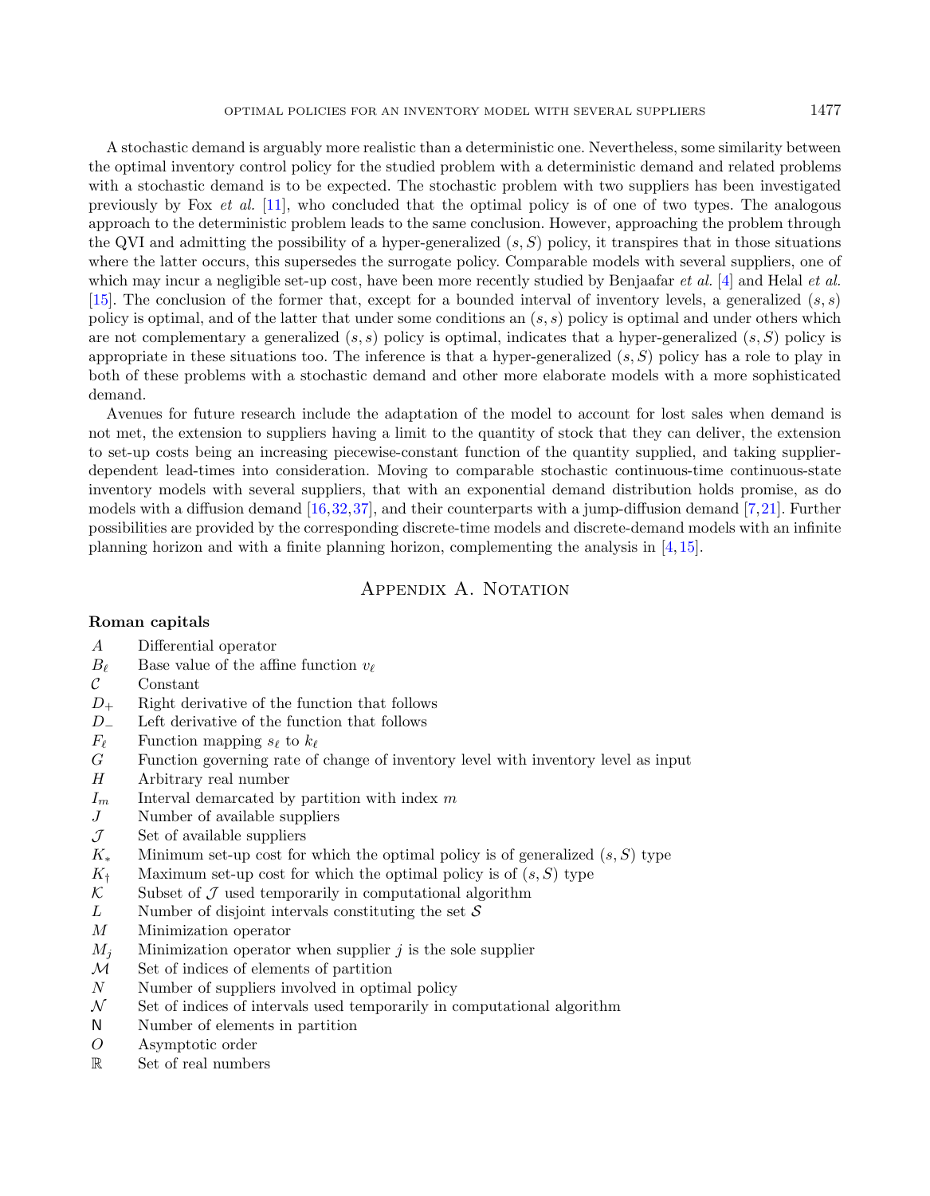A stochastic demand is arguably more realistic than a deterministic one. Nevertheless, some similarity between the optimal inventory control policy for the studied problem with a deterministic demand and related problems with a stochastic demand is to be expected. The stochastic problem with two suppliers has been investigated previously by Fox et al. [\[11\]](#page-36-7), who concluded that the optimal policy is of one of two types. The analogous approach to the deterministic problem leads to the same conclusion. However, approaching the problem through the QVI and admitting the possibility of a hyper-generalized  $(s, S)$  policy, it transpires that in those situations where the latter occurs, this supersedes the surrogate policy. Comparable models with several suppliers, one of which may incur a negligible set-up cost, have been more recently studied by Benjaafar *et al.* [\[4\]](#page-36-8) and Helal *et al.* [\[15\]](#page-37-15). The conclusion of the former that, except for a bounded interval of inventory levels, a generalized  $(s, s)$ policy is optimal, and of the latter that under some conditions an  $(s, s)$  policy is optimal and under others which are not complementary a generalized  $(s, s)$  policy is optimal, indicates that a hyper-generalized  $(s, S)$  policy is appropriate in these situations too. The inference is that a hyper-generalized  $(s, S)$  policy has a role to play in both of these problems with a stochastic demand and other more elaborate models with a more sophisticated demand.

Avenues for future research include the adaptation of the model to account for lost sales when demand is not met, the extension to suppliers having a limit to the quantity of stock that they can deliver, the extension to set-up costs being an increasing piecewise-constant function of the quantity supplied, and taking supplierdependent lead-times into consideration. Moving to comparable stochastic continuous-time continuous-state inventory models with several suppliers, that with an exponential demand distribution holds promise, as do models with a diffusion demand [\[16,](#page-37-18)[32,](#page-37-25)[37\]](#page-37-27), and their counterparts with a jump-diffusion demand [\[7,](#page-36-11)[21\]](#page-37-24). Further possibilities are provided by the corresponding discrete-time models and discrete-demand models with an infinite planning horizon and with a finite planning horizon, complementing the analysis in [\[4,](#page-36-8) [15\]](#page-37-15).

### APPENDIX A. NOTATION

### <span id="page-24-0"></span>Roman capitals

- Differential operator
- $B_{\ell}$  Base value of the affine function  $v_{\ell}$ <br>Constant
- Constant
- $D_{+}$  Right derivative of the function that follows
- <sup>−</sup> Left derivative of the function that follows
- $F_{\ell}$  Function mapping  $s_{\ell}$  to  $k_{\ell}$ <br>
G Function governing rate of
- Function governing rate of change of inventory level with inventory level as input
- Arbitrary real number
- $I_m$  Interval demarcated by partition with index m
- $J$  Number of available suppliers
- $\mathcal{J}$  Set of available suppliers
- $K_*$  Minimum set-up cost for which the optimal policy is of generalized  $(s, S)$  type
- $K_{\dagger}$  Maximum set-up cost for which the optimal policy is of  $(s, S)$  type  $\mathcal{K}$  Subset of  $\mathcal{J}$  used temporarily in computational algorithm
- Subset of  $\mathcal J$  used temporarily in computational algorithm
- $L$  Number of disjoint intervals constituting the set  $S$
- M Minimization operator
- $M_i$  Minimization operator when supplier *i* is the sole supplier
- M Set of indices of elements of partition
- $N$  Number of suppliers involved in optimal policy
- $\mathcal{N}$  Set of indices of intervals used temporarily in computational algorithm
- N Number of elements in partition
- Asymptotic order
- R Set of real numbers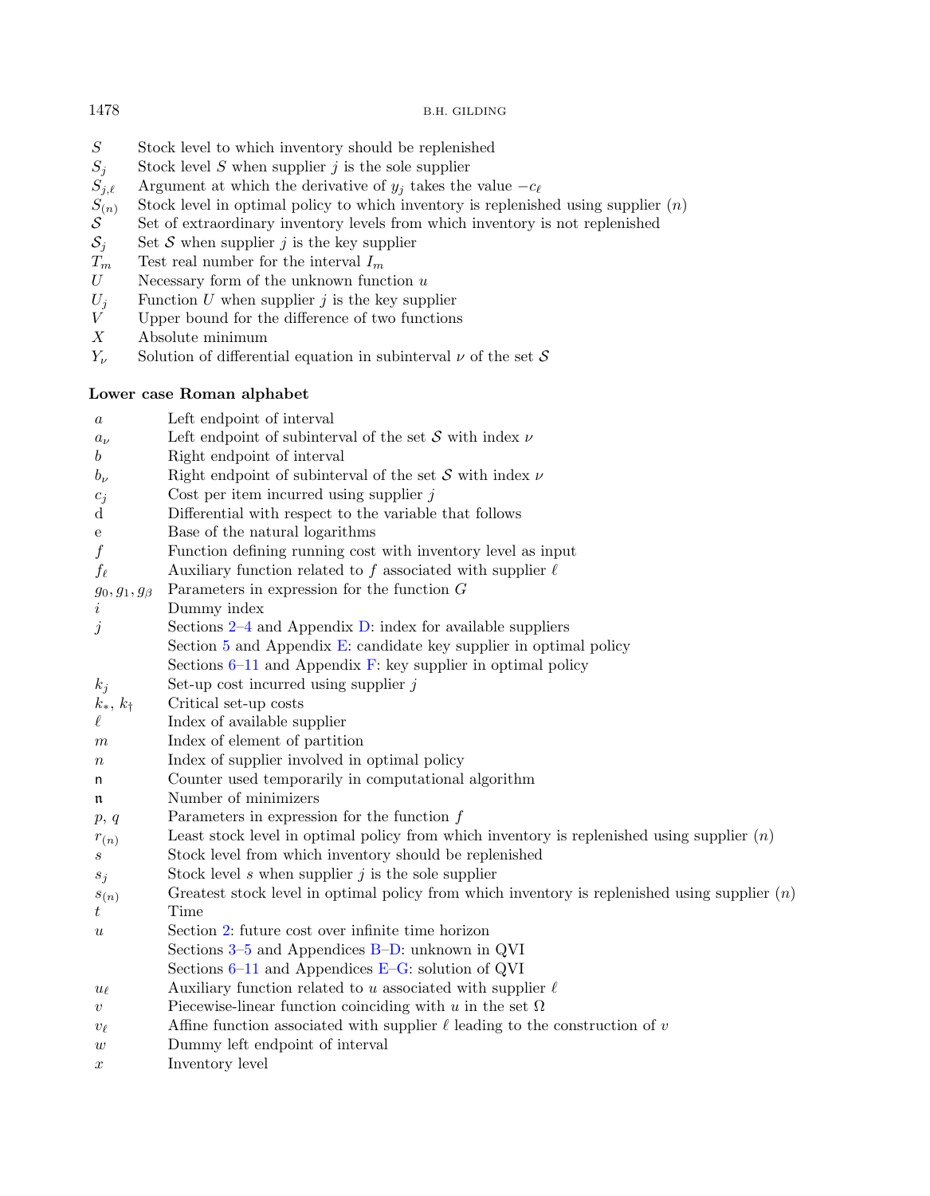- 
- Stock level  $S$  when supplier  $j$  is the sole supplier
- Argument at which the derivative of  $y_i$  takes the value  $-c_{\ell}$
- Stock level in optimal policy to which inventory is replenished using supplier  $(n)$
- $\begin{array}{ll} S & \text{Stock level to which inventory should be replenished} \\ S_j & \text{Stock level } S \text{ when supplier } j \text{ is the sole supplier} \\ S_{j,\ell} & \text{Argument at which the derivative of } y_j \text{ takes the val} \\ S_{(n)} & \text{Stock level in optimal policy to which inventory is re} \\ \mathcal{S} & \text{Set of extraordinary inventory levels from which invoke} \\ S_j & \text{Set } \mathcal{S} \text{ when supplier } j \text{ is the key supplier} \\ T_m & \text{Test real number for the interval } I_m \\ U & \text{Necessary form of the unknown function } u \end{array}$ Set of extraordinary inventory levels from which inventory is not replenished
- Set  $S$  when supplier  $j$  is the key supplier
- Test real number for the interval  ${\cal I}_m$
- *U* Necessary form of the unknown function  $u$ <br>*U<sub>j</sub>* Function *U* when supplier *j* is the key supp<br>*V* Upper bound for the difference of two func
- Function  $U$  when supplier  $j$  is the key supplier
- Upper bound for the difference of two functions
- $X$  Absolute minimum<br> $Y_{\nu}$  Solution of different
- Solution of differential equation in subinterval  $\nu$  of the set  $\mathcal S$

### Lower case Roman alphabet

| $\boldsymbol{a}$    | Left endpoint of interval                                                                       |
|---------------------|-------------------------------------------------------------------------------------------------|
| $a_{\nu}$           | Left endpoint of subinterval of the set $S$ with index $\nu$                                    |
| $\boldsymbol{b}$    | Right endpoint of interval                                                                      |
| $b_{\nu}$           | Right endpoint of subinterval of the set $S$ with index $\nu$                                   |
| $c_j$               | Cost per item incurred using supplier $j$                                                       |
| d                   | Differential with respect to the variable that follows                                          |
| е                   | Base of the natural logarithms                                                                  |
| $\boldsymbol{f}$    | Function defining running cost with inventory level as input                                    |
| $f_{\ell}$          | Auxiliary function related to f associated with supplier $\ell$                                 |
| $g_0, g_1, g_\beta$ | Parameters in expression for the function $G$                                                   |
| $\dot{\imath}$      | Dummy index                                                                                     |
| $\dot{\jmath}$      | Sections $2-4$ and Appendix D: index for available suppliers                                    |
|                     | Section 5 and Appendix E: candidate key supplier in optimal policy                              |
|                     | Sections $6-11$ and Appendix F: key supplier in optimal policy                                  |
| $k_j$               | Set-up cost incurred using supplier $j$                                                         |
| $k_*, k_{\dagger}$  | Critical set-up costs                                                                           |
| $\ell$              | Index of available supplier                                                                     |
| $_{m}$              | Index of element of partition                                                                   |
| $\, n$              | Index of supplier involved in optimal policy                                                    |
| n                   | Counter used temporarily in computational algorithm                                             |
| n                   | Number of minimizers                                                                            |
| p, q                | Parameters in expression for the function $f$                                                   |
| $r_{(n)}$           | Least stock level in optimal policy from which inventory is replenished using supplier $(n)$    |
| $\boldsymbol{s}$    | Stock level from which inventory should be replenished                                          |
| $s_j$               | Stock level s when supplier $j$ is the sole supplier                                            |
| $s_{(n)}$           | Greatest stock level in optimal policy from which inventory is replenished using supplier $(n)$ |
| $\,t$               | Time                                                                                            |
| $\boldsymbol{u}$    | Section 2: future cost over infinite time horizon                                               |
|                     | Sections $3-5$ and Appendices B-D: unknown in QVI                                               |
|                     | Sections $6-11$ and Appendices E-G: solution of QVI                                             |
| $u_{\ell}$          | Auxiliary function related to u associated with supplier $\ell$                                 |
| $\boldsymbol{v}$    | Piecewise-linear function coinciding with u in the set $\Omega$                                 |
| $v_{\ell}$          | Affine function associated with supplier $\ell$ leading to the construction of $v$              |
| $\boldsymbol{w}$    | Dummy left endpoint of interval                                                                 |
| $\boldsymbol{x}$    | Inventory level                                                                                 |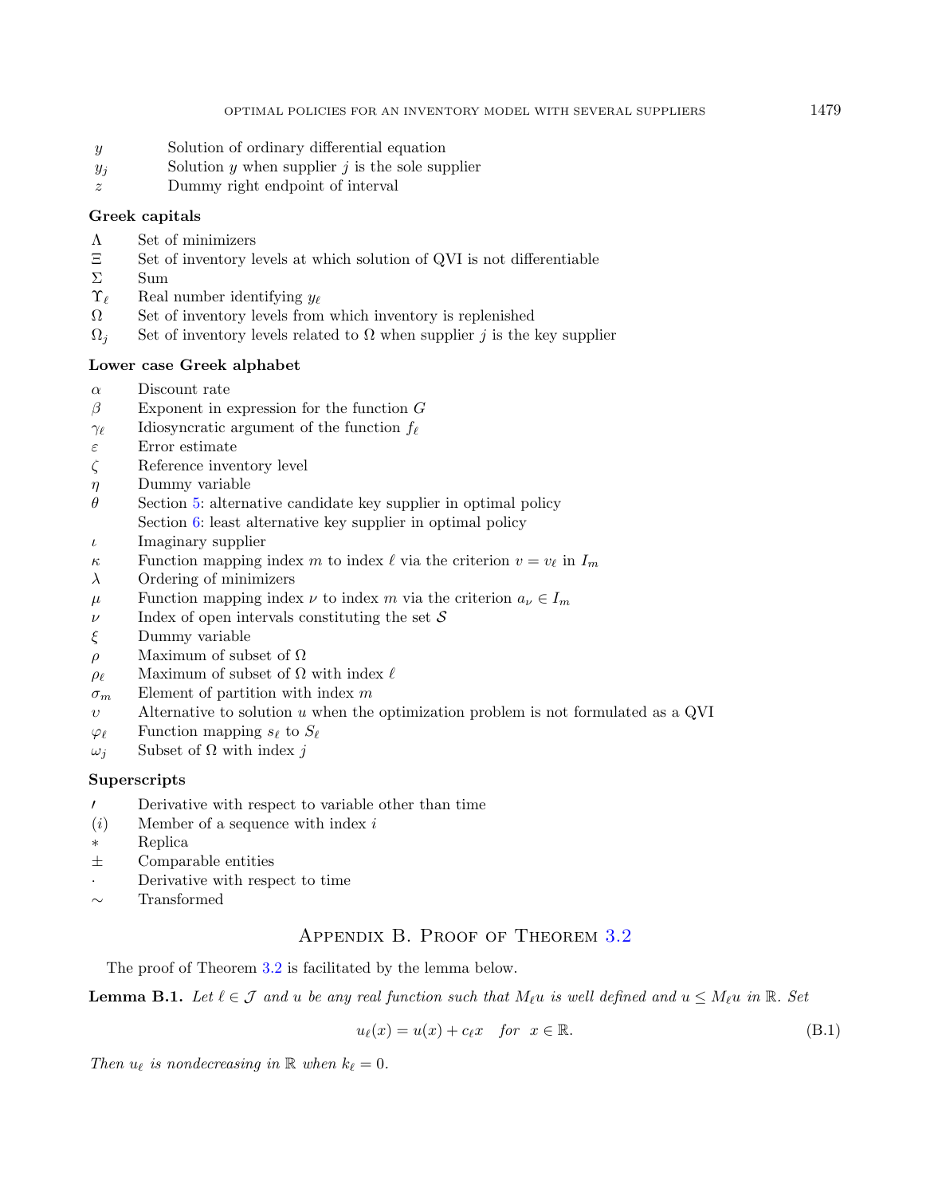- y Solution of ordinary differential equation
- $y_j$  Solution y when supplier j is the sole supplier
- Dummy right endpoint of interval

### Greek capitals

- Λ Set of minimizers
- $\Xi$  Set of inventory levels at which solution of QVI is not differentiable  $\Sigma$
- $Σ$  Sum<br>  $\Upsilon_{\ell}$  Real
- $\Upsilon_{\ell}$  Real number identifying  $y_{\ell}$ <br>  $\Omega$  Set of inventory levels from
- Ω Set of inventory levels from which inventory is replenished
- $\Omega_i$  Set of inventory levels related to  $\Omega$  when supplier *j* is the key supplier

### Lower case Greek alphabet

- $\alpha$  Discount rate
- $\beta$  Exponent in expression for the function G
- $\gamma_{\ell}$  Idiosyncratic argument of the function  $f_{\ell}$
- $\varepsilon$  Error estimate
- $\zeta$  Reference inventory level
- $\eta$  Dummy variable
- $\theta$  Section [5:](#page-6-9) alternative candidate key supplier in optimal policy Section [6:](#page-11-5) least alternative key supplier in optimal policy
- $\iota$  Imaginary supplier
- $\kappa$  Function mapping index *m* to index  $\ell$  via the criterion  $v = v_{\ell}$  in  $I_m$
- $\lambda$  Ordering of minimizers
- $\mu$  Function mapping index  $\nu$  to index m via the criterion  $a_{\nu} \in I_m$
- $\nu$  Index of open intervals constituting the set S
- $\xi$  Dummy variable
- $ρ$  Maximum of subset of Ω
- $\rho_{\ell}$  Maximum of subset of  $\Omega$  with index  $\ell$
- $\sigma_m$  Element of partition with index m
- $v$  Alternative to solution  $u$  when the optimization problem is not formulated as a QVI
- $\varphi_{\ell}$  Function mapping  $s_{\ell}$  to  $S_{\ell}$
- $ω_j$  Subset of Ω with index j

### **Superscripts**

- ′ Derivative with respect to variable other than time
- $(i)$  Member of a sequence with index i
- \* Replica
- ± Comparable entities
- · Derivative with respect to time
- <span id="page-26-0"></span>∼ Transformed

### <span id="page-26-1"></span>Appendix B. Proof of Theorem [3.2](#page-5-1)

The proof of Theorem [3.2](#page-5-1) is facilitated by the lemma below.

**Lemma B.1.** Let  $\ell \in \mathcal{J}$  and  $u$  be any real function such that  $M_{\ell}u$  is well defined and  $u \leq M_{\ell}u$  in  $\mathbb{R}$ . Set

<span id="page-26-2"></span>
$$
u_{\ell}(x) = u(x) + c_{\ell}x \quad \text{for} \ \ x \in \mathbb{R}.\tag{B.1}
$$

Then  $u_{\ell}$  is nondecreasing in  $\mathbb R$  when  $k_{\ell} = 0$ .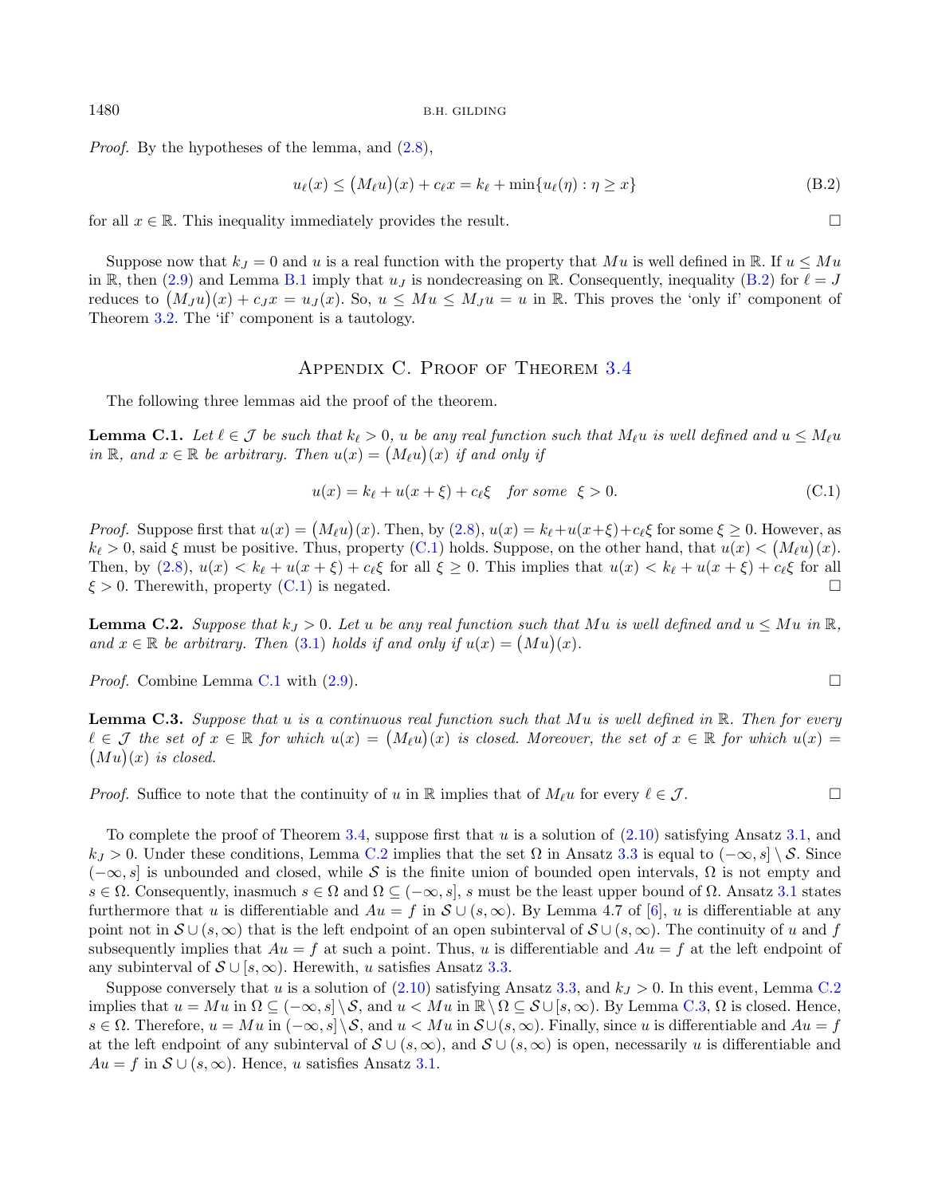*Proof.* By the hypotheses of the lemma, and  $(2.8)$ ,

<span id="page-27-3"></span><span id="page-27-2"></span><span id="page-27-1"></span>
$$
u_{\ell}(x) \le (M_{\ell}u)(x) + c_{\ell}x = k_{\ell} + \min\{u_{\ell}(\eta) : \eta \ge x\}
$$
\n(B.2)

for all  $x \in \mathbb{R}$ . This inequality immediately provides the result.

Suppose now that  $k_I = 0$  and u is a real function with the property that Mu is well defined in R. If  $u \leq Mu$ in R, then [\(2.9\)](#page-4-8) and Lemma [B.1](#page-26-1) imply that  $u<sub>J</sub>$  is nondecreasing on R. Consequently, inequality [\(B.2\)](#page-27-2) for  $\ell = J$ reduces to  $(M_J u)(x) + c_J x = u_J(x)$ . So,  $u \leq M u \leq M_J u = u$  in R. This proves the 'only if' component of Theorem [3.2.](#page-5-1) The 'if' component is a tautology.

### Appendix C. Proof of Theorem [3.4](#page-5-6)

<span id="page-27-0"></span>The following three lemmas aid the proof of the theorem.

**Lemma C.1.** Let  $\ell \in \mathcal{J}$  be such that  $k_{\ell} > 0$ ,  $u$  be any real function such that  $M_{\ell}u$  is well defined and  $u \leq M_{\ell}u$ in  $\mathbb{R}$ , and  $x \in \mathbb{R}$  be arbitrary. Then  $u(x) = (M_{\ell}u)(x)$  if and only if

$$
u(x) = k_{\ell} + u(x + \xi) + c_{\ell}\xi \quad \text{for some} \quad \xi > 0. \tag{C.1}
$$

*Proof.* Suppose first that  $u(x) = (M_\ell u)(x)$ . Then, by  $(2.8)$ ,  $u(x) = k_\ell + u(x+\xi) + c_\ell \xi$  for some  $\xi \ge 0$ . However, as  $k_{\ell} > 0$ , said  $\xi$  must be positive. Thus, property [\(C.1\)](#page-27-3) holds. Suppose, on the other hand, that  $u(x) < (M_{\ell}u)(x)$ . Then, by  $(2.8), u(x) < k_{\ell} + u(x + \xi) + c_{\ell} \xi$  $(2.8), u(x) < k_{\ell} + u(x + \xi) + c_{\ell} \xi$  for all  $\xi \ge 0$ . This implies that  $u(x) < k_{\ell} + u(x + \xi) + c_{\ell} \xi$  for all  $\xi > 0$ . Therewith, property [\(C.1\)](#page-27-3) is negated.

<span id="page-27-4"></span>**Lemma C.2.** Suppose that  $k_j > 0$ . Let u be any real function such that Mu is well defined and  $u \leq Mu$  in  $\mathbb{R}$ , and  $x \in \mathbb{R}$  be arbitrary. Then [\(3.1\)](#page-5-5) holds if and only if  $u(x) = (Mu)(x)$ .

*Proof.* Combine Lemma [C.1](#page-27-1) with  $(2.9)$ .

<span id="page-27-5"></span>**Lemma C.3.** Suppose that u is a continuous real function such that Mu is well defined in  $\mathbb{R}$ . Then for every  $\ell \in \mathcal{J}$  the set of  $x \in \mathbb{R}$  for which  $u(x) = (M_{\ell}u)(x)$  is closed. Moreover, the set of  $x \in \mathbb{R}$  for which  $u(x) =$  $(Mu)(x)$  is closed.

*Proof.* Suffice to note that the continuity of u in R implies that of  $M_{\ell}u$  for every  $\ell \in \mathcal{J}$ .

To complete the proof of Theorem [3.4,](#page-5-6) suppose first that  $u$  is a solution of  $(2.10)$  satisfying Ansatz [3.1,](#page-4-3) and  $k_J > 0$ . Under these conditions, Lemma [C.2](#page-27-4) implies that the set  $\Omega$  in Ansatz [3.3](#page-5-2) is equal to  $(-\infty, s] \setminus \mathcal{S}$ . Since  $(-\infty, s]$  is unbounded and closed, while S is the finite union of bounded open intervals,  $\Omega$  is not empty and  $s \in \Omega$ . Consequently, inasmuch  $s \in \Omega$  and  $\Omega \subseteq (-\infty, s]$ , s must be the least upper bound of  $\Omega$ . Ansatz [3.1](#page-4-3) states furthermore that u is differentiable and  $Au = f$  in  $S \cup (s, \infty)$ . By Lemma 4.7 of [\[6\]](#page-36-6), u is differentiable at any point not in  $S \cup (s,\infty)$  that is the left endpoint of an open subinterval of  $S \cup (s,\infty)$ . The continuity of u and f subsequently implies that  $Au = f$  at such a point. Thus, u is differentiable and  $Au = f$  at the left endpoint of any subinterval of  $S \cup [s, \infty)$ . Herewith, u satisfies Ansatz [3.3.](#page-5-2)

Suppose conversely that u is a solution of  $(2.10)$  satisfying Ansatz [3.3,](#page-5-2) and  $k<sub>I</sub> > 0$ . In this event, Lemma [C.2](#page-27-4) implies that  $u = Mu$  in  $\Omega \subseteq (-\infty, s] \setminus \mathcal{S}$ , and  $u < Mu$  in  $\mathbb{R} \setminus \Omega \subseteq \mathcal{S} \cup [s, \infty)$ . By Lemma [C.3,](#page-27-5)  $\Omega$  is closed. Hence,  $s \in \Omega$ . Therefore,  $u = Mu$  in  $(-\infty, s] \setminus \mathcal{S}$ , and  $u < Mu$  in  $\mathcal{S} \cup (s, \infty)$ . Finally, since u is differentiable and  $Au = f$ at the left endpoint of any subinterval of  $S \cup (s, \infty)$ , and  $S \cup (s, \infty)$  is open, necessarily u is differentiable and  $Au = f$  in  $S \cup (s, \infty)$ . Hence, u satisfies Ansatz [3.1.](#page-4-3)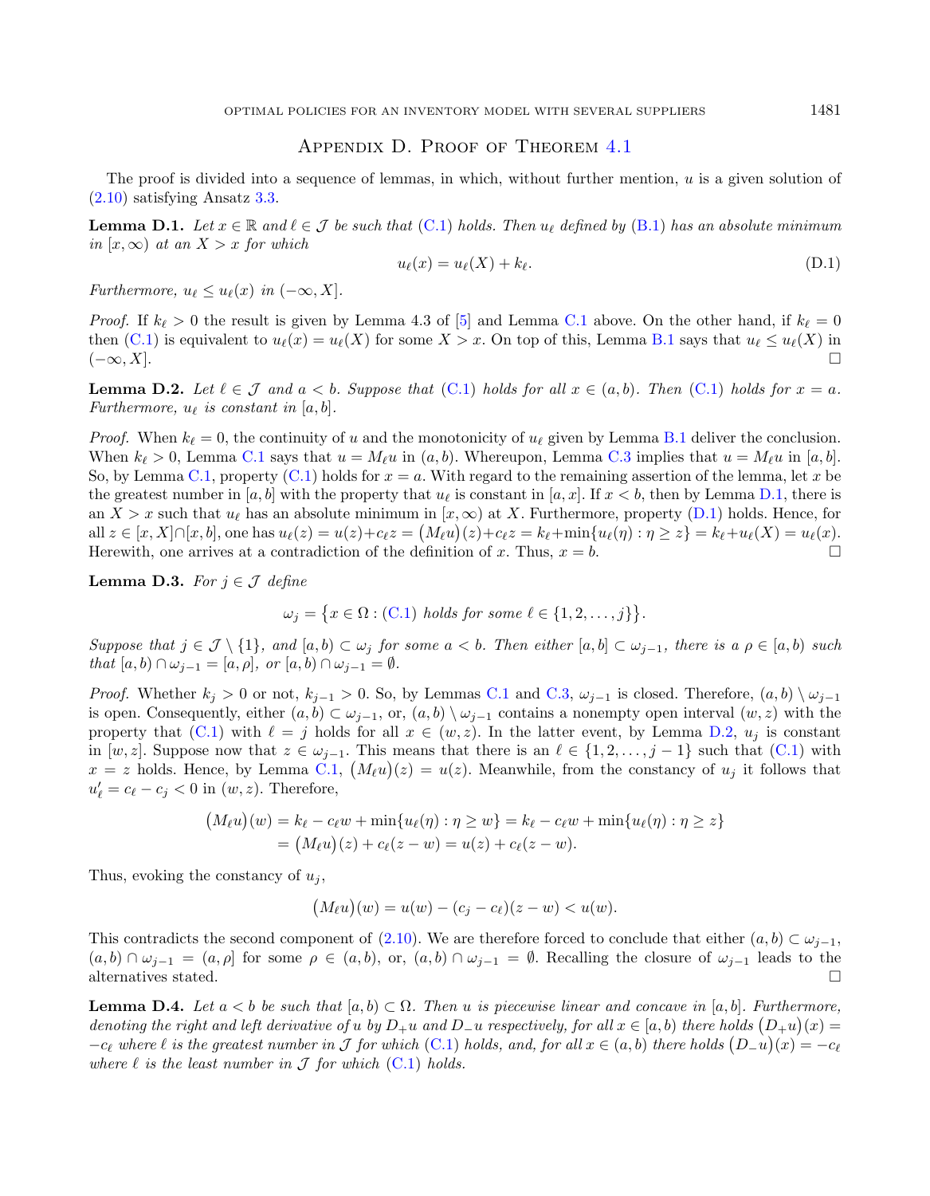### <span id="page-28-2"></span><span id="page-28-1"></span>Appendix D. Proof of Theorem [4.1](#page-5-3)

<span id="page-28-0"></span>The proof is divided into a sequence of lemmas, in which, without further mention,  $u$  is a given solution of [\(2.10\)](#page-4-1) satisfying Ansatz [3.3.](#page-5-2)

**Lemma D.1.** Let  $x \in \mathbb{R}$  and  $\ell \in \mathcal{J}$  be such that [\(C.1\)](#page-27-3) holds. Then  $u_{\ell}$  defined by [\(B.1\)](#page-26-2) has an absolute minimum in  $[x, \infty)$  at an  $X > x$  for which

$$
u_{\ell}(x) = u_{\ell}(X) + k_{\ell}.
$$
\n(D.1)

Furthermore,  $u_{\ell} \leq u_{\ell}(x)$  in  $(-\infty, X]$ .

*Proof.* If  $k_{\ell} > 0$  the result is given by Lemma 4.3 of [\[5\]](#page-36-5) and Lemma [C.1](#page-27-1) above. On the other hand, if  $k_{\ell} = 0$ then  $(C.1)$  is equivalent to  $u_{\ell}(x) = u_{\ell}(X)$  for some  $X > x$ . On top of this, Lemma [B.1](#page-26-1) says that  $u_{\ell} \leq u_{\ell}(X)$  in  $(-\infty, X]$ .

<span id="page-28-3"></span>**Lemma D.2.** Let  $\ell \in \mathcal{J}$  and  $a < b$ . Suppose that  $(C.1)$  holds for all  $x \in (a, b)$ . Then  $(C.1)$  holds for  $x = a$ . Furthermore,  $u_{\ell}$  is constant in [a, b].

*Proof.* When  $k_{\ell} = 0$ , the continuity of u and the monotonicity of  $u_{\ell}$  given by Lemma [B.1](#page-26-1) deliver the conclusion. When  $k_{\ell} > 0$ , Lemma [C.1](#page-27-1) says that  $u = M_{\ell}u$  in  $(a, b)$ . Whereupon, Lemma [C.3](#page-27-5) implies that  $u = M_{\ell}u$  in [a, b]. So, by Lemma [C.1,](#page-27-1) property [\(C.1\)](#page-27-3) holds for  $x = a$ . With regard to the remaining assertion of the lemma, let x be the greatest number in [a, b] with the property that  $u_{\ell}$  is constant in [a, x]. If  $x < b$ , then by Lemma [D.1,](#page-28-1) there is an  $X > x$  such that  $u_{\ell}$  has an absolute minimum in  $[x, \infty)$  at X. Furthermore, property [\(D.1\)](#page-28-2) holds. Hence, for all  $z \in [x, X] \cap [x, b]$ , one has  $u_{\ell}(z) = u(z) + c_{\ell}z = (M_{\ell}u)(z) + c_{\ell}z = k_{\ell} + \min\{u_{\ell}(\eta) : \eta \ge z\} = k_{\ell} + u_{\ell}(X) = u_{\ell}(x)$ . Herewith, one arrives at a contradiction of the definition of x. Thus,  $x = b$ .

<span id="page-28-4"></span>**Lemma D.3.** For  $i \in \mathcal{J}$  define

 $\omega_j = \{x \in \Omega : (\text{C.1}) \text{ holds for some } \ell \in \{1, 2, \ldots, j\}\}.$ 

Suppose that  $j \in \mathcal{J} \setminus \{1\}$ , and  $[a, b) \subset \omega_j$  for some  $a < b$ . Then either  $[a, b] \subset \omega_{j-1}$ , there is  $a \rho \in [a, b)$  such that  $[a, b) \cap \omega_{j-1} = [a, \rho], \text{ or } [a, b) \cap \omega_{j-1} = \emptyset.$ 

*Proof.* Whether  $k_j > 0$  or not,  $k_{j-1} > 0$ . So, by Lemmas [C.1](#page-27-1) and [C.3,](#page-27-5)  $\omega_{j-1}$  is closed. Therefore,  $(a, b) \setminus \omega_{j-1}$ is open. Consequently, either  $(a, b) \subset \omega_{i-1}$ , or,  $(a, b) \setminus \omega_{i-1}$  contains a nonempty open interval  $(w, z)$  with the property that [\(C.1\)](#page-27-3) with  $\ell = j$  holds for all  $x \in (w, z)$ . In the latter event, by Lemma [D.2,](#page-28-3)  $u_j$  is constant in  $[w, z]$ . Suppose now that  $z \in \omega_{j-1}$ . This means that there is an  $\ell \in \{1, 2, \ldots, j-1\}$  such that  $(C.1)$  with  $x = z$  holds. Hence, by Lemma [C.1,](#page-27-1)  $(M_{\ell}u)(z) = u(z)$ . Meanwhile, from the constancy of  $u_j$  it follows that  $u'_{\ell} = c_{\ell} - c_j < 0$  in  $(w, z)$ . Therefore,

$$
(M_{\ell}u)(w) = k_{\ell} - c_{\ell}w + \min\{u_{\ell}(\eta) : \eta \ge w\} = k_{\ell} - c_{\ell}w + \min\{u_{\ell}(\eta) : \eta \ge z\}
$$
  
= 
$$
(M_{\ell}u)(z) + c_{\ell}(z-w) = u(z) + c_{\ell}(z-w).
$$

Thus, evoking the constancy of  $u_i$ ,

$$
(M_{\ell}u)(w) = u(w) - (c_j - c_{\ell})(z - w) < u(w).
$$

This contradicts the second component of [\(2.10\)](#page-4-1). We are therefore forced to conclude that either  $(a, b) \subset \omega_{j-1}$ ,  $(a, b) \cap \omega_{i-1} = (a, \rho]$  for some  $\rho \in (a, b)$ , or,  $(a, b) \cap \omega_{i-1} = \emptyset$ . Recalling the closure of  $\omega_{i-1}$  leads to the alternatives stated.

<span id="page-28-5"></span>**Lemma D.4.** Let  $a < b$  be such that  $[a, b) \subset \Omega$ . Then u is piecewise linear and concave in  $[a, b]$ . Furthermore, denoting the right and left derivative of u by  $D_+u$  and  $D_-u$  respectively, for all  $x \in [a, b)$  there holds  $(D_+u)(x) =$  $-c_{\ell}$  where  $\ell$  is the greatest number in J for which [\(C.1\)](#page-27-3) holds, and, for all  $x \in (a, b)$  there holds  $(D_{-}u)(x) = -c_{\ell}$ where  $\ell$  is the least number in  $\mathcal J$  for which  $(C.1)$  holds.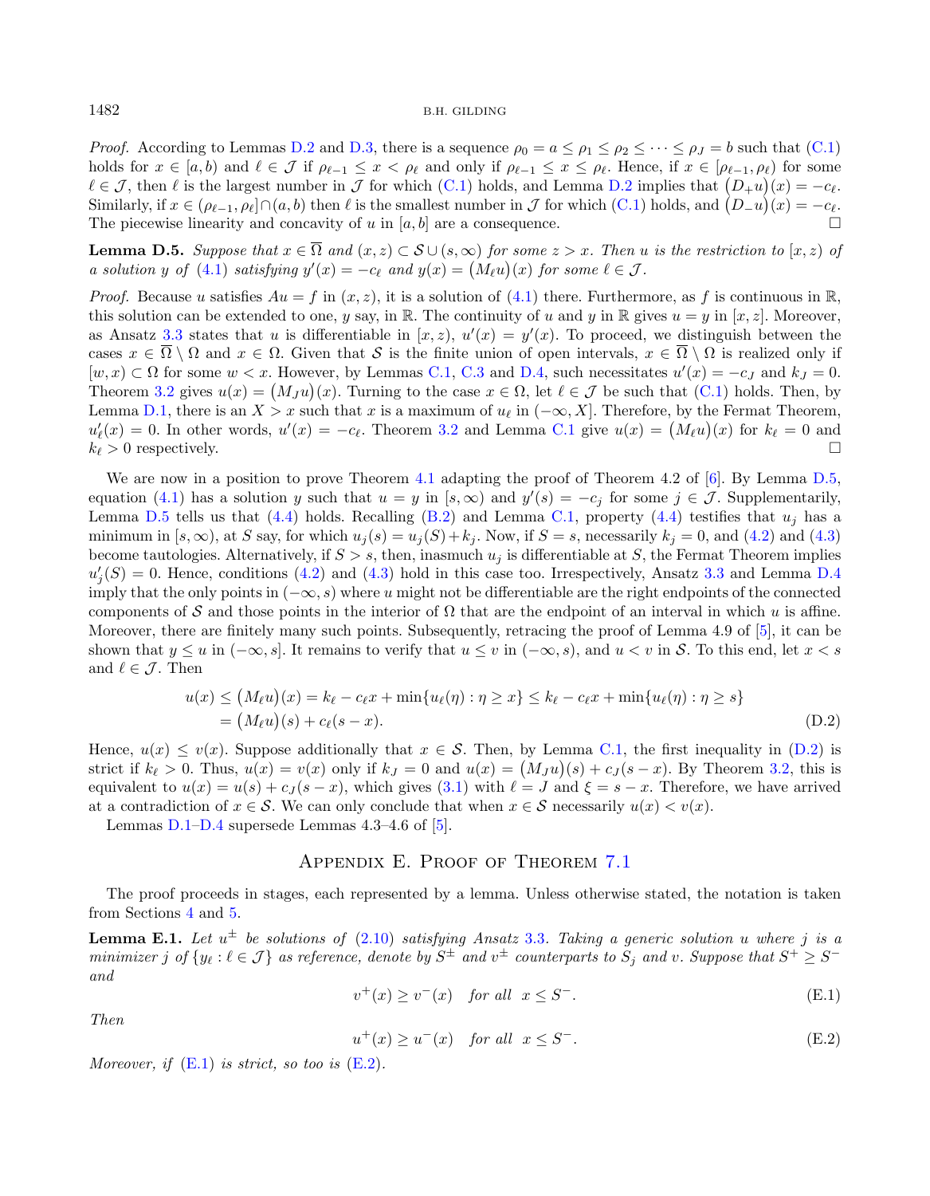*Proof.* According to Lemmas [D.2](#page-28-3) and [D.3,](#page-28-4) there is a sequence  $\rho_0 = a \leq \rho_1 \leq \rho_2 \leq \cdots \leq \rho_J = b$  such that [\(C.1\)](#page-27-3) holds for  $x \in [a, b)$  and  $\ell \in \mathcal{J}$  if  $\rho_{\ell-1} \leq x < \rho_{\ell}$  and only if  $\rho_{\ell-1} \leq x \leq \rho_{\ell}$ . Hence, if  $x \in [\rho_{\ell-1}, \rho_{\ell})$  for some  $\ell \in \mathcal{J}$ , then  $\ell$  is the largest number in  $\mathcal{J}$  for which [\(C.1\)](#page-27-3) holds, and Lemma [D.2](#page-28-3) implies that  $(D_{+}u)(x) = -c_{\ell}$ . Similarly, if  $x \in (\rho_{\ell-1}, \rho_\ell] \cap (a, b)$  then  $\ell$  is the smallest number in  $\mathcal J$  for which  $(C.1)$  holds, and  $(D_{-}u)(x) = -c_{\ell}$ . The piecewise linearity and concavity of u in  $[a, b]$  are a consequence.

<span id="page-29-1"></span>**Lemma D.5.** Suppose that  $x \in \overline{\Omega}$  and  $(x, z) \subset \mathcal{S} \cup (s, \infty)$  for some  $z > x$ . Then u is the restriction to  $[x, z)$  of a solution y of [\(4.1\)](#page-5-4) satisfying  $y'(x) = -c_{\ell}$  and  $y(x) = (M_{\ell}u)(x)$  for some  $\ell \in \mathcal{J}$ .

*Proof.* Because u satisfies  $Au = f$  in  $(x, z)$ , it is a solution of [\(4.1\)](#page-5-4) there. Furthermore, as f is continuous in R, this solution can be extended to one, y say, in R. The continuity of u and y in R gives  $u = y$  in [x, z]. Moreover, as Ansatz [3.3](#page-5-2) states that u is differentiable in  $[x, z)$ ,  $u'(x) = y'(x)$ . To proceed, we distinguish between the cases  $x \in \overline{\Omega} \setminus \Omega$  and  $x \in \Omega$ . Given that S is the finite union of open intervals,  $x \in \overline{\Omega} \setminus \Omega$  is realized only if  $[w, x) \subset \Omega$  for some  $w < x$ . However, by Lemmas [C.1,](#page-27-1) [C.3](#page-27-5) and [D.4,](#page-28-5) such necessitates  $u'(x) = -c_j$  and  $k_j = 0$ . Theorem [3.2](#page-5-1) gives  $u(x) = (M_J u)(x)$ . Turning to the case  $x \in \Omega$ , let  $\ell \in \mathcal{J}$  be such that  $(C.1)$  holds. Then, by Lemma [D.1,](#page-28-1) there is an  $X > x$  such that x is a maximum of  $u_\ell$  in  $(-\infty, X]$ . Therefore, by the Fermat Theorem,  $u'_{\ell}(x) = 0$ . In other words,  $u'(x) = -c_{\ell}$ . Theorem [3.2](#page-5-1) and Lemma [C.1](#page-27-1) give  $u(x) = (M_{\ell}u)(x)$  for  $k_{\ell} = 0$  and  $k_{\ell} > 0$  respectively.

We are now in a position to prove Theorem [4.1](#page-5-3) adapting the proof of Theorem 4.2 of [\[6\]](#page-36-6). By Lemma [D.5,](#page-29-1) equation [\(4.1\)](#page-5-4) has a solution y such that  $u = y$  in  $[s, \infty)$  and  $y'(s) = -c_j$  for some  $j \in \mathcal{J}$ . Supplementarily, Lemma [D.5](#page-29-1) tells us that [\(4.4\)](#page-6-10) holds. Recalling [\(B.2\)](#page-27-2) and Lemma [C.1,](#page-27-1) property (4.4) testifies that  $u_i$  has a minimum in  $[s, \infty)$ , at S say, for which  $u_j(s) = u_j(S) + k_j$ . Now, if  $S = s$ , necessarily  $k_j = 0$ , and [\(4.2\)](#page-6-2) and [\(4.3\)](#page-6-3) become tautologies. Alternatively, if  $S > s$ , then, inasmuch  $u_j$  is differentiable at S, the Fermat Theorem implies  $u'_{j}(S) = 0$ . Hence, conditions [\(4.2\)](#page-6-2) and [\(4.3\)](#page-6-3) hold in this case too. Irrespectively, Ansatz [3.3](#page-5-2) and Lemma [D.4](#page-28-5) imply that the only points in  $(-\infty, s)$  where u might not be differentiable are the right endpoints of the connected components of S and those points in the interior of  $\Omega$  that are the endpoint of an interval in which u is affine. Moreover, there are finitely many such points. Subsequently, retracing the proof of Lemma 4.9 of [\[5\]](#page-36-5), it can be shown that  $y \le u$  in  $(-\infty, s]$ . It remains to verify that  $u \le v$  in  $(-\infty, s)$ , and  $u < v$  in S. To this end, let  $x < s$ and  $\ell \in \mathcal{J}$ . Then

<span id="page-29-5"></span><span id="page-29-2"></span>
$$
u(x) \le (M_{\ell}u)(x) = k_{\ell} - c_{\ell}x + \min\{u_{\ell}(\eta) : \eta \ge x\} \le k_{\ell} - c_{\ell}x + \min\{u_{\ell}(\eta) : \eta \ge s\}
$$
  
=  $(M_{\ell}u)(s) + c_{\ell}(s - x).$  (D.2)

<span id="page-29-3"></span>Hence,  $u(x) \le v(x)$ . Suppose additionally that  $x \in S$ . Then, by Lemma [C.1,](#page-27-1) the first inequality in [\(D.2\)](#page-29-2) is strict if  $k_{\ell} > 0$ . Thus,  $u(x) = v(x)$  only if  $k_J = 0$  and  $u(x) = (M_J u)(s) + c_J(s - x)$ . By Theorem [3.2,](#page-5-1) this is equivalent to  $u(x) = u(s) + c<sub>J</sub>(s - x)$ , which gives [\(3.1\)](#page-5-5) with  $\ell = J$  and  $\xi = s - x$ . Therefore, we have arrived at a contradiction of  $x \in \mathcal{S}$ . We can only conclude that when  $x \in \mathcal{S}$  necessarily  $u(x) < v(x)$ .

<span id="page-29-4"></span><span id="page-29-0"></span>Lemmas  $D.1-D.4$  $D.1-D.4$  supersede Lemmas 4.3–4.6 of [\[5\]](#page-36-5).

### Appendix E. Proof of Theorem [7.1](#page-13-2)

The proof proceeds in stages, each represented by a lemma. Unless otherwise stated, the notation is taken from Sections [4](#page-5-0) and [5.](#page-6-9)

**Lemma E.1.** Let  $u^{\pm}$  be solutions of [\(2.10\)](#page-4-1) satisfying Ansatz [3.3](#page-5-2). Taking a generic solution u where j is a  $minimizer~j~of~\{y_\ell : \ell \in \mathcal{J}\}$  as reference, denote by  $S^\pm$  and  $v^\pm$  counterparts to  $S_j$  and  $v.$  Suppose that  $S^+ \geq S^$ and

$$
v^{+}(x) \ge v^{-}(x) \quad \text{for all} \quad x \le S^{-}.
$$
\n(E.1)

Then

$$
u^+(x) \ge u^-(x) \quad \text{for all} \quad x \le S^-.
$$
 (E.2)

Moreover, if  $(E.1)$  is strict, so too is  $(E.2)$ .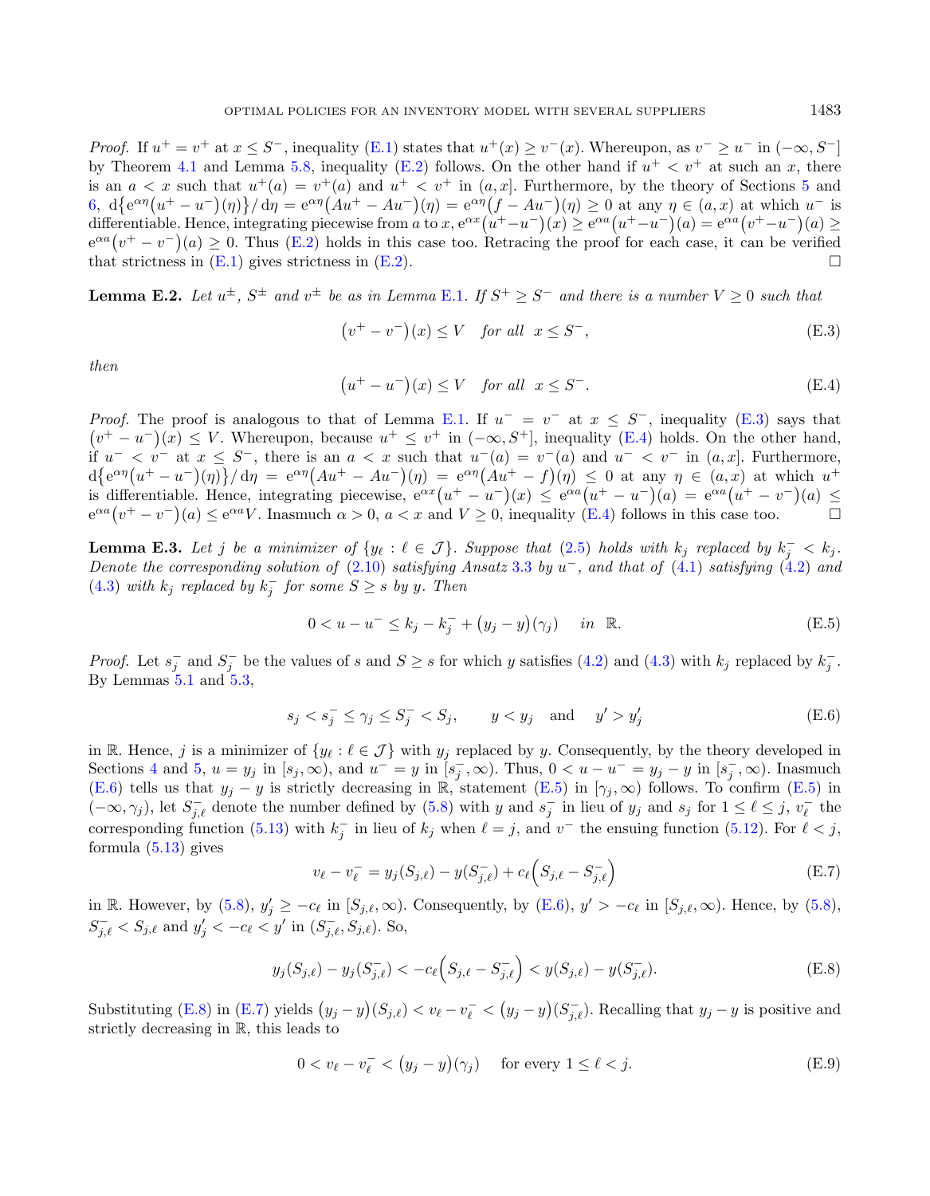<span id="page-30-1"></span>*Proof.* If  $u^+ = v^+$  at  $x \leq S^-$ , inequality [\(E.1\)](#page-29-3) states that  $u^+(x) \geq v^-(x)$ . Whereupon, as  $v^- \geq u^-$  in  $(-\infty, S^-]$ by Theorem [4.1](#page-5-3) and Lemma [5.8,](#page-9-1) inequality [\(E.2\)](#page-29-4) follows. On the other hand if  $u^+ < v^+$  at such an x, there is an  $a < x$  such that  $u^+(a) = v^+(a)$  and  $u^+ < v^+$  in  $(a, x]$ . Furthermore, by the theory of Sections [5](#page-6-9) and [6,](#page-11-5)  $d\{e^{\alpha\eta}(u^+ - u^-)(\eta)\}/d\eta = e^{\alpha\eta}(Au^+ - Au^-)(\eta) = e^{\alpha\eta}(f - Au^-)(\eta) \ge 0$  at any  $\eta \in (a, x)$  at which  $u^-$  is differentiable. Hence, integrating piecewise from a to  $x, e^{\alpha x}(u^+ - u^-)(x) \ge e^{\alpha a}(u^+ - u^-)(a) = e^{\alpha a}(v^+ - u^-)(a) \ge$  $e^{\alpha a}(v^+ - v^-)(a) \ge 0$ . Thus [\(E.2\)](#page-29-4) holds in this case too. Retracing the proof for each case, it can be verified that strictness in  $(E.1)$  gives strictness in  $(E.2)$ .

<span id="page-30-7"></span>**Lemma E.2.** Let  $u^{\pm}$ ,  $S^{\pm}$  and  $v^{\pm}$  be as in Lemma [E.1](#page-29-5). If  $S^+ \geq S^-$  and there is a number  $V \geq 0$  such that

<span id="page-30-0"></span>
$$
(v^+ - v^-)(x) \le V \quad \text{for all} \ \ x \le S^-, \tag{E.3}
$$

then

<span id="page-30-3"></span><span id="page-30-2"></span>
$$
(u^+ - u^-)(x) \le V \quad \text{for all} \quad x \le S^-.
$$
 (E.4)

*Proof.* The proof is analogous to that of Lemma [E.1.](#page-29-5) If  $u^- = v^-$  at  $x \leq S^-$ , inequality [\(E.3\)](#page-30-0) says that  $(v^+ - u^-)(x) \leq V$ . Whereupon, because  $u^+ \leq v^+$  in  $(-\infty, S^+]$ , inequality [\(E.4\)](#page-30-1) holds. On the other hand, if  $u^{-} < v^{-}$  at  $x \leq S^{-}$ , there is an  $a < x$  such that  $u^{-}(a) = v^{-}(a)$  and  $u^{-} < v^{-}$  in  $(a, x]$ . Furthermore,  $d\{e^{\alpha\eta}(u^+ - u^-)(\eta)\}/d\eta = e^{\alpha\eta}(Au^+ - Au^-)(\eta) = e^{\alpha\eta}(Au^+ - f)(\eta) \leq 0$  at any  $\eta \in (a, x)$  at which  $u^+$ is differentiable. Hence, integrating piecewise,  $e^{\alpha x}(u^+ - u^-)(x) \le e^{\alpha a}(u^+ - u^-)(a) = e^{\alpha a}(u^+ - v^-)(a) \le$  $e^{\alpha a}(v^+ - v^-)(a) \le e^{\alpha a}V$ . Inasmuch  $\alpha > 0$ ,  $a < x$  and  $V \ge 0$ , inequality [\(E.4\)](#page-30-1) follows in this case too.

<span id="page-30-8"></span>**Lemma E.3.** Let j be a minimizer of  $\{y_\ell : \ell \in \mathcal{J}\}\$ . Suppose that  $(2.5)$  holds with  $k_j$  replaced by  $k_j^- < k_j$ . Denote the corresponding solution of  $(2.10)$  satisfying Ansatz [3.3](#page-5-2) by  $u^-$ , and that of  $(4.1)$  satisfying  $(4.2)$  and [\(4.3\)](#page-6-3) with  $k_j$  replaced by  $k_j^-$  for some  $S \geq s$  by y. Then

<span id="page-30-5"></span>
$$
0 < u - u^{-} \leq k_j - k_j^{-} + (y_j - y)(\gamma_j) \quad \text{in } \mathbb{R}.\tag{E.5}
$$

*Proof.* Let  $s_j^-$  and  $S_j^-$  be the values of s and  $S \geq s$  for which y satisfies [\(4.2\)](#page-6-2) and [\(4.3\)](#page-6-3) with  $k_j$  replaced by  $k_j^-$ . By Lemmas [5.1](#page-6-4) and [5.3,](#page-7-2)

<span id="page-30-4"></span>
$$
s_j < s_j^- \le \gamma_j \le S_j^- < S_j, \qquad y < y_j \quad \text{and} \quad y' > y_j' \tag{E.6}
$$

in R. Hence, j is a minimizer of  $\{y_{\ell} : \ell \in \mathcal{J}\}\$  with  $y_j$  replaced by y. Consequently, by the theory developed in Sections [4](#page-5-0) and [5,](#page-6-9)  $u = y_j$  in  $[s_j, \infty)$ , and  $u^- = y$  in  $[s_j^-,\infty)$ . Thus,  $0 < u - u^- = y_j - y$  in  $[s_j^-,\infty)$ . Inasmuch [\(E.6\)](#page-30-2) tells us that  $y_j - y$  is strictly decreasing in R, statement [\(E.5\)](#page-30-3) in  $[\gamma_j, \infty)$  follows. To confirm (E.5) in  $(-\infty, \gamma_j)$ , let  $S_{j,\ell}^-$  denote the number defined by [\(5.8\)](#page-8-7) with y and  $s_j^-$  in lieu of  $y_j$  and  $s_j$  for  $1 \leq \ell \leq j$ ,  $v_\ell^-$  the corresponding function [\(5.13\)](#page-8-5) with  $k_j^-$  in lieu of  $k_j$  when  $\ell = j$ , and  $v^-$  the ensuing function [\(5.12\)](#page-8-4). For  $\ell < j$ , formula [\(5.13\)](#page-8-5) gives

<span id="page-30-6"></span>
$$
v_{\ell} - v_{\ell}^- = y_j(S_{j,\ell}) - y(S_{j,\ell}^-) + c_{\ell}(S_{j,\ell} - S_{j,\ell}^-)
$$
\n(E.7)

in R. However, by  $(5.8)$ ,  $y'_j \geq -c_\ell$  in  $[S_{j,\ell},\infty)$ . Consequently, by  $(E.6)$ ,  $y' > -c_\ell$  in  $[S_{j,\ell},\infty)$ . Hence, by  $(5.8)$ ,  $S_{j,\ell}^- < S_{j,\ell}$  and  $y'_j < -c_\ell < y'$  in  $(S_{j,\ell}^-, S_{j,\ell})$ . So,

$$
y_j(S_{j,\ell}) - y_j(S_{j,\ell}^-) < -c_\ell \left( S_{j,\ell} - S_{j,\ell}^- \right) < y(S_{j,\ell}) - y(S_{j,\ell}^-). \tag{E.8}
$$

Substituting [\(E.8\)](#page-30-4) in [\(E.7\)](#page-30-5) yields  $(y_j - y)(S_{j,\ell}) < v_\ell - v_\ell^- < (y_j - y)(S_{j,\ell}^-)$ . Recalling that  $y_j - y$  is positive and strictly decreasing in R, this leads to

$$
0 < v_{\ell} - v_{\ell}^- < (y_j - y)(\gamma_j) \quad \text{for every } 1 \le \ell < j. \tag{E.9}
$$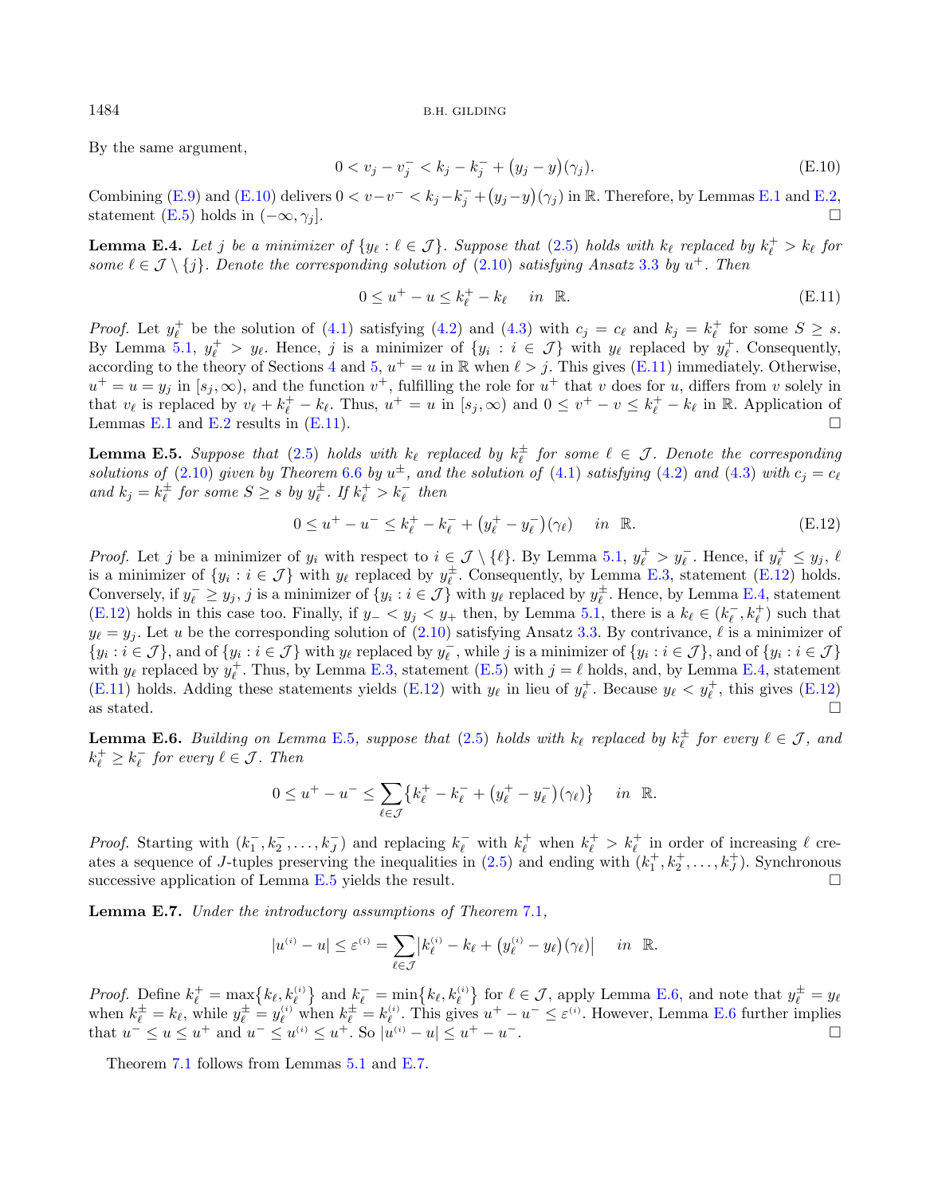By the same argument,

<span id="page-31-1"></span>
$$
0 < v_j - v_j^- < k_j - k_j^- + (y_j - y)(\gamma_j). \tag{E.10}
$$

Combining [\(E.9\)](#page-30-6) and [\(E.10\)](#page-31-0) delivers  $0 < v - v^- < k_j - k_j^- + (y_j - y)(\gamma_j)$  in R. Therefore, by Lemmas [E.1](#page-29-5) and [E.2,](#page-30-7) statement [\(E.5\)](#page-30-3) holds in  $(-\infty, \gamma_i]$ .

<span id="page-31-3"></span>**Lemma E.4.** Let j be a minimizer of  $\{y_\ell : \ell \in \mathcal{J}\}\$ . Suppose that  $(2.5)$  holds with  $k_\ell$  replaced by  $k_\ell^+ > k_\ell$  for some  $\ell \in \mathcal{J} \setminus \{j\}$ . Denote the corresponding solution of  $(2.10)$  satisfying Ansatz [3.3](#page-5-2) by  $u^+$ . Then

<span id="page-31-2"></span>
$$
0 \le u^+ - u \le k_\ell^+ - k_\ell \quad \text{in } \mathbb{R}.\tag{E.11}
$$

*Proof.* Let  $y_{\ell}^+$  be the solution of [\(4.1\)](#page-5-4) satisfying [\(4.2\)](#page-6-2) and [\(4.3\)](#page-6-3) with  $c_j = c_{\ell}$  and  $k_j = k_{\ell}^+$  for some  $S \geq s$ . By Lemma [5.1,](#page-6-4)  $y_{\ell}^+ > y_{\ell}$ . Hence, j is a minimizer of  $\{y_i : i \in \mathcal{J}\}\$  with  $y_{\ell}$  replaced by  $y_{\ell}^+$ . Consequently, according to the theory of Sections [4](#page-5-0) and [5,](#page-6-9)  $u^+ = u$  in R when  $\ell > j$ . This gives [\(E.11\)](#page-31-1) immediately. Otherwise,  $u^+ = u = y_j$  in  $[s_j, \infty)$ , and the function  $v^+$ , fulfilling the role for  $u^+$  that v does for u, differs from v solely in that  $v_{\ell}$  is replaced by  $v_{\ell} + k_{\ell}^+ - k_{\ell}$ . Thus,  $u^+ = u$  in  $[s_j, \infty)$  and  $0 \le v^+ - v \le k_{\ell}^+ - k_{\ell}$  in R. Application of Lemmas [E.1](#page-29-5) and [E.2](#page-30-7) results in [\(E.11\)](#page-31-1).

<span id="page-31-4"></span>**Lemma E.5.** Suppose that [\(2.5\)](#page-4-2) holds with  $k_{\ell}$  replaced by  $k_{\ell}^{\pm}$  for some  $\ell \in \mathcal{J}$ . Denote the corresponding solutions of [\(2.10\)](#page-4-1) given by Theorem [6.6](#page-12-2) by  $u^{\pm}$ , and the solution of [\(4.1\)](#page-5-4) satisfying [\(4.2\)](#page-6-2) and [\(4.3\)](#page-6-3) with  $c_j = c_{\ell}$ and  $k_j = k_\ell^{\pm}$  for some  $S \geq s$  by  $y_\ell^{\pm}$ . If  $k_\ell^+ > k_\ell^-$  then

$$
0 \le u^+ - u^- \le k_\ell^+ - k_\ell^- + \left(y_\ell^+ - y_\ell^-\right)(\gamma_\ell) \quad \text{in } \mathbb{R}.
$$
 (E.12)

*Proof.* Let j be a minimizer of  $y_i$  with respect to  $i \in \mathcal{J} \setminus \{\ell\}$ . By Lemma [5.1,](#page-6-4)  $y_{\ell}^+ > y_{\ell}^-$ . Hence, if  $y_{\ell}^+ \leq y_j$ ,  $\ell$ is a minimizer of  $\{y_i : i \in \mathcal{J}\}\$  with  $y_\ell$  replaced by  $y_\ell^{\pm}$ . Consequently, by Lemma [E.3,](#page-30-8) statement [\(E.12\)](#page-31-2) holds. Conversely, if  $y_{\ell}^{-} \geq y_j$ , j is a minimizer of  $\{y_i : i \in \mathcal{J}\}\$  with  $y_{\ell}$  replaced by  $y_{\ell}^{\pm}$ . Hence, by Lemma [E.4,](#page-31-3) statement [\(E.12\)](#page-31-2) holds in this case too. Finally, if  $y_- < y_j < y_+$  then, by Lemma [5.1,](#page-6-4) there is a  $k_{\ell} \in (k_{\ell}^-, k_{\ell}^+)$  such that  $y_{\ell} = y_i$ . Let u be the corresponding solution of [\(2.10\)](#page-4-1) satisfying Ansatz [3.3.](#page-5-2) By contrivance,  $\ell$  is a minimizer of  $\{y_i : i \in \mathcal{J}\}\$ , and of  $\{y_i : i \in \mathcal{J}\}\$  with  $y_{\ell}$  replaced by  $y_{\ell}^-$ , while j is a minimizer of  $\{y_i : i \in \mathcal{J}\}\$ , and of  $\{y_i : i \in \mathcal{J}\}\$ with  $y_{\ell}$  replaced by  $y_{\ell}^{+}$ . Thus, by Lemma [E.3,](#page-30-8) statement [\(E.5\)](#page-30-3) with  $j = \ell$  holds, and, by Lemma [E.4,](#page-31-3) statement [\(E.11\)](#page-31-1) holds. Adding these statements yields [\(E.12\)](#page-31-2) with  $y_{\ell}$  in lieu of  $y_{\ell}^+$ . Because  $y_{\ell} < y_{\ell}^+$ , this gives (E.12) as stated.  $\Box$ 

<span id="page-31-5"></span>**Lemma E.6.** Building on Lemma [E.5](#page-31-4), suppose that  $(2.5)$  holds with  $k_{\ell}$  replaced by  $k_{\ell}^{\pm}$  for every  $\ell \in \mathcal{J}$ , and  $k_{\ell}^{+} \geq k_{\ell}^{-}$  for every  $\ell \in \mathcal{J}$ . Then

$$
0 \le u^+ - u^- \le \sum_{\ell \in \mathcal{J}} \{ k^+_{\ell} - k^-_{\ell} + (y^+_{\ell} - y^-_{\ell})(\gamma_{\ell}) \} \quad in \ \ \mathbb{R}.
$$

*Proof.* Starting with  $(k_1^-, k_2^-, \ldots, k_J^-)$  and replacing  $k_{\ell}^-$  with  $k_{\ell}^+$  when  $k_{\ell}^+ > k_{\ell}^+$  in order of increasing  $\ell$  creates a sequence of *J*-tuples preserving the inequalities in  $(2.5)$  and ending with  $(k_1^+, k_2^+, \ldots, k_J^+)$ . Synchronous successive application of Lemma [E.5](#page-31-4) yields the result.

<span id="page-31-6"></span>Lemma E.7. Under the introductory assumptions of Theorem [7.1](#page-13-2),

$$
|u^{(i)}-u|\leq \varepsilon^{(i)}=\sum_{\ell\in\mathcal{J}}\left|k^{(i)}_\ell-k_\ell+\big(y^{(i)}_\ell-y_\ell\big)(\gamma_\ell)\right|\quad\text{ in }\;\mathbb{R}.
$$

Proof. Define  $k_{\ell}^{+} = \max\left\{k_{\ell}, k_{\ell}^{(i)}\right\}$  and  $k_{\ell}^{-} = \min\left\{k_{\ell}, k_{\ell}^{(i)}\right\}$  for  $\ell \in \mathcal{J}$ , apply Lemma [E.6,](#page-31-5) and note that  $y_{\ell}^{\pm} = y_{\ell}$ when  $k_{\ell}^{\pm} = k_{\ell}$ , while  $y_{\ell}^{\pm} = y_{\ell}^{(i)}$  when  $k_{\ell}^{\pm} = k_{\ell}^{(i)}$ . This gives  $u^{+} - u^{-} \leq \varepsilon^{(i)}$ . However, Lemma [E.6](#page-31-5) further implies that  $u^{-} \leq u \leq u^{+}$  and  $u^{-} \leq u^{(i)} \leq u^{+}$ . So  $|u^{(i)} - u| \leq u^{+} - u^{-}$ .

Theorem [7.1](#page-13-2) follows from Lemmas [5.1](#page-6-4) and [E.7.](#page-31-6)

<span id="page-31-0"></span>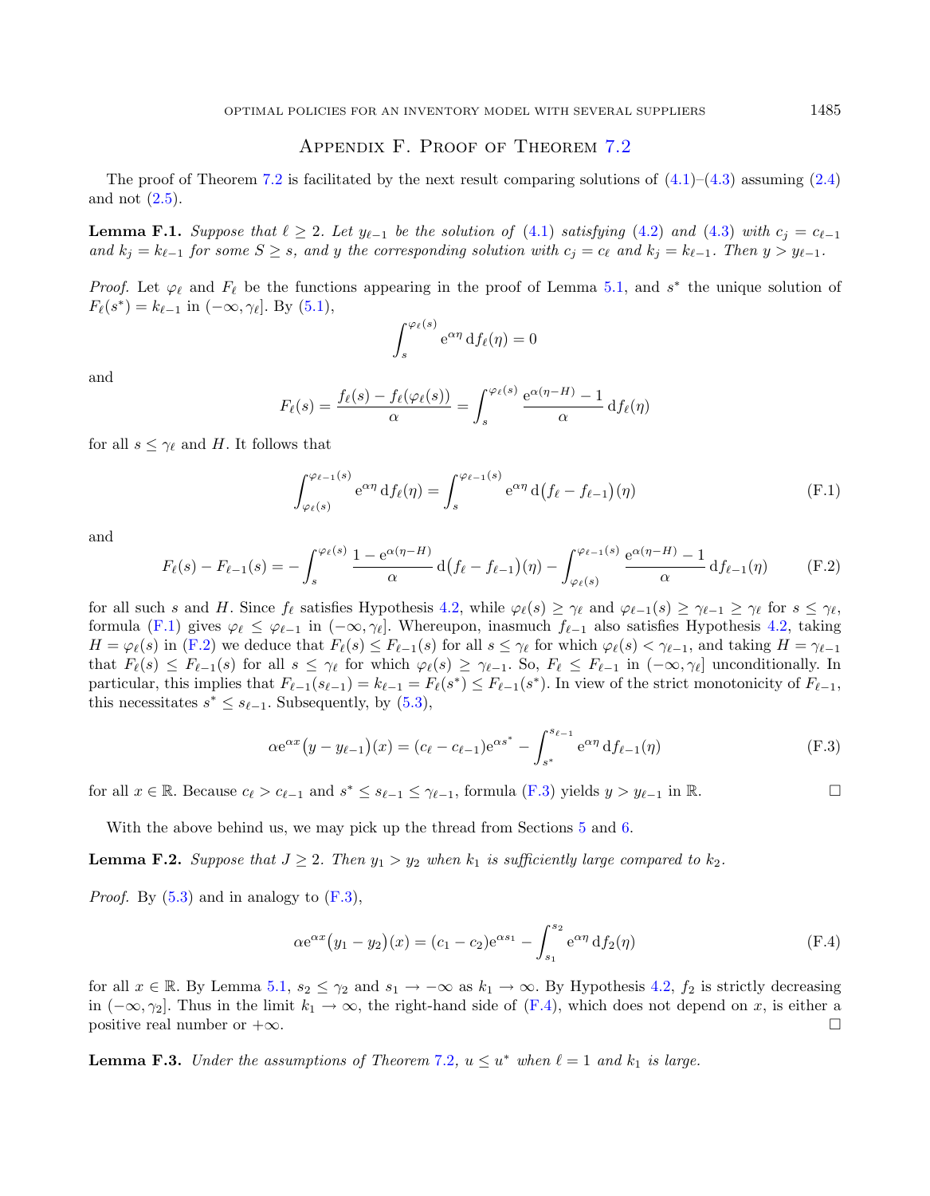### <span id="page-32-6"></span><span id="page-32-1"></span>Appendix F. Proof of Theorem [7.2](#page-13-3)

<span id="page-32-0"></span>The proof of Theorem [7.2](#page-13-3) is facilitated by the next result comparing solutions of  $(4.1)$ – $(4.3)$  assuming  $(2.4)$ and not  $(2.5)$ .

**Lemma F.1.** Suppose that  $\ell \geq 2$ . Let  $y_{\ell-1}$  be the solution of [\(4.1\)](#page-5-4) satisfying [\(4.2\)](#page-6-2) and [\(4.3\)](#page-6-3) with  $c_j = c_{\ell-1}$ and  $k_j = k_{\ell-1}$  for some  $S \geq s$ , and y the corresponding solution with  $c_j = c_{\ell}$  and  $k_j = k_{\ell-1}$ . Then  $y > y_{\ell-1}$ .

<span id="page-32-2"></span>*Proof.* Let  $\varphi_{\ell}$  and  $F_{\ell}$  be the functions appearing in the proof of Lemma [5.1,](#page-6-4) and  $s^*$  the unique solution of  $F_{\ell}(s^*) = k_{\ell-1} \text{ in } (-\infty, \gamma_{\ell}].$  By  $(5.1),$  $(5.1),$ 

$$
\int_s^{\varphi_\ell(s)} e^{\alpha \eta} df_\ell(\eta) = 0
$$

and

$$
F_{\ell}(s) = \frac{f_{\ell}(s) - f_{\ell}(\varphi_{\ell}(s))}{\alpha} = \int_s^{\varphi_{\ell}(s)} \frac{e^{\alpha(\eta - H)} - 1}{\alpha} df_{\ell}(\eta)
$$

for all  $s \leq \gamma_{\ell}$  and H. It follows that

<span id="page-32-5"></span><span id="page-32-3"></span>
$$
\int_{\varphi_{\ell}(s)}^{\varphi_{\ell-1}(s)} e^{\alpha \eta} df_{\ell}(\eta) = \int_s^{\varphi_{\ell-1}(s)} e^{\alpha \eta} d(f_{\ell} - f_{\ell-1})(\eta)
$$
(F.1)

and

$$
F_{\ell}(s) - F_{\ell-1}(s) = -\int_s^{\varphi_{\ell}(s)} \frac{1 - e^{\alpha(\eta - H)}}{\alpha} d(f_{\ell} - f_{\ell-1})(\eta) - \int_{\varphi_{\ell}(s)}^{\varphi_{\ell-1}(s)} \frac{e^{\alpha(\eta - H)} - 1}{\alpha} df_{\ell-1}(\eta)
$$
(F.2)

for all such s and H. Since  $f_{\ell}$  satisfies Hypothesis [4.2,](#page-6-0) while  $\varphi_{\ell}(s) \geq \gamma_{\ell}$  and  $\varphi_{\ell-1}(s) \geq \gamma_{\ell-1} \geq \gamma_{\ell}$  for  $s \leq \gamma_{\ell}$ , formula [\(F.1\)](#page-32-1) gives  $\varphi_{\ell} \leq \varphi_{\ell-1}$  in  $(-\infty, \gamma_{\ell}]$ . Whereupon, inasmuch  $f_{\ell-1}$  also satisfies Hypothesis [4.2,](#page-6-0) taking  $H = \varphi_{\ell}(s)$  in [\(F.2\)](#page-32-2) we deduce that  $F_{\ell}(s) \leq F_{\ell-1}(s)$  for all  $s \leq \gamma_{\ell}$  for which  $\varphi_{\ell}(s) < \gamma_{\ell-1}$ , and taking  $H = \gamma_{\ell-1}$ that  $F_{\ell}(s) \leq F_{\ell-1}(s)$  for all  $s \leq \gamma_{\ell}$  for which  $\varphi_{\ell}(s) \geq \gamma_{\ell-1}$ . So,  $F_{\ell} \leq F_{\ell-1}$  in  $(-\infty, \gamma_{\ell}]$  unconditionally. In particular, this implies that  $F_{\ell-1}(s_{\ell-1}) = k_{\ell-1} = F_{\ell}(s^*) \leq F_{\ell-1}(s^*)$ . In view of the strict monotonicity of  $F_{\ell-1}$ , this necessitates  $s^* \leq s_{\ell-1}$ . Subsequently, by  $(5.3)$ ,

<span id="page-32-4"></span>
$$
\alpha e^{\alpha x} (y - y_{\ell-1})(x) = (c_{\ell} - c_{\ell-1}) e^{\alpha s^*} - \int_{s^*}^{s_{\ell-1}} e^{\alpha \eta} df_{\ell-1}(\eta)
$$
(F.3)

for all  $x \in \mathbb{R}$ . Because  $c_{\ell} > c_{\ell-1}$  and  $s^* \leq s_{\ell-1} \leq \gamma_{\ell-1}$ , formula  $(F.3)$  yields  $y > y_{\ell-1}$  in  $\mathbb{R}$ .

With the above behind us, we may pick up the thread from Sections [5](#page-6-9) and [6.](#page-11-5)

**Lemma F.2.** Suppose that  $J \geq 2$ . Then  $y_1 > y_2$  when  $k_1$  is sufficiently large compared to  $k_2$ .

*Proof.* By  $(5.3)$  and in analogy to  $(F.3)$ ,

$$
\alpha e^{\alpha x} (y_1 - y_2)(x) = (c_1 - c_2)e^{\alpha s_1} - \int_{s_1}^{s_2} e^{\alpha \eta} df_2(\eta)
$$
 (F.4)

for all  $x \in \mathbb{R}$ . By Lemma [5.1,](#page-6-4)  $s_2 \leq \gamma_2$  and  $s_1 \to -\infty$  as  $k_1 \to \infty$ . By Hypothesis [4.2,](#page-6-0)  $f_2$  is strictly decreasing in  $(-\infty, \gamma_2]$ . Thus in the limit  $k_1 \to \infty$ , the right-hand side of  $(F.4)$ , which does not depend on x, is either a positive real number or  $+\infty$ .

<span id="page-32-7"></span>**Lemma F.3.** Under the assumptions of Theorem [7.2](#page-13-3),  $u \le u^*$  when  $\ell = 1$  and  $k_1$  is large.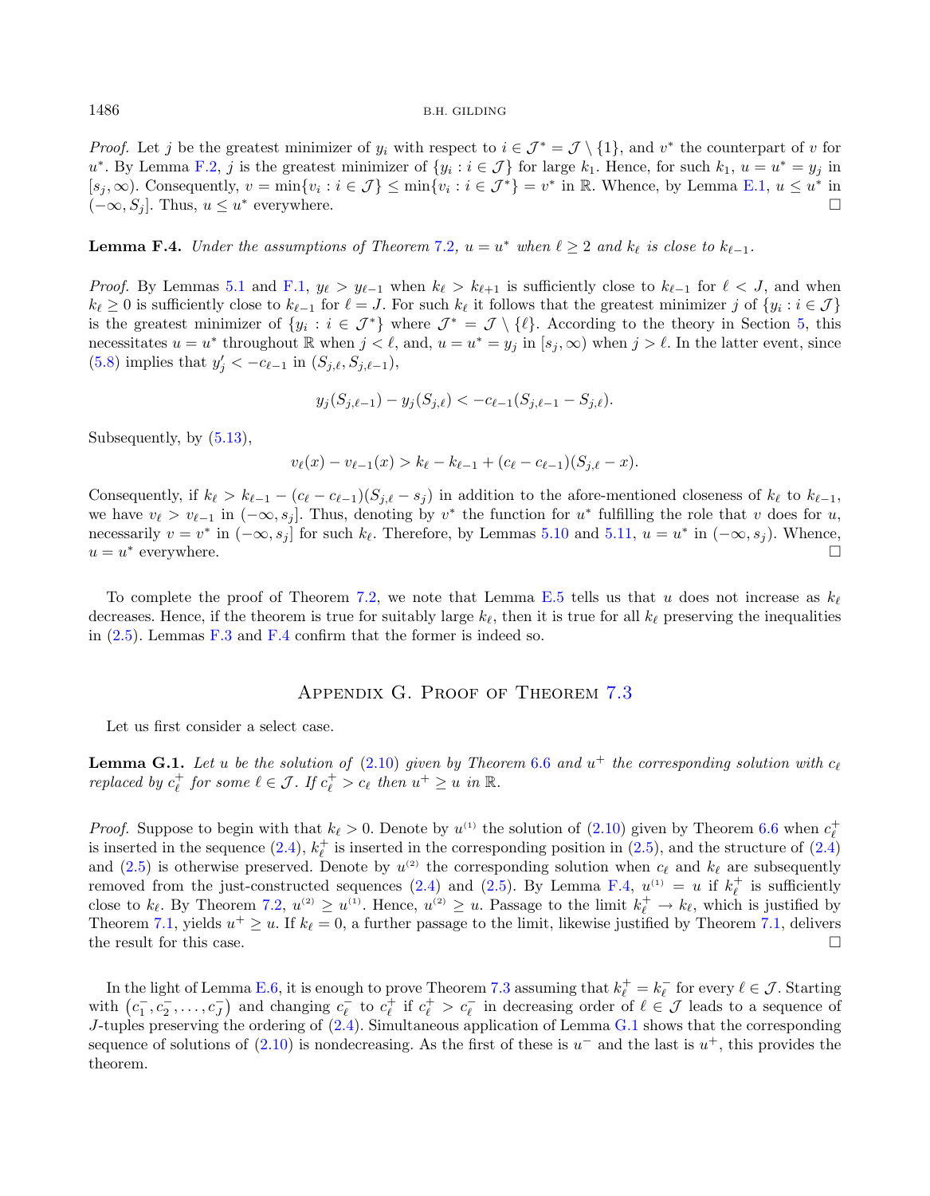*Proof.* Let j be the greatest minimizer of  $y_i$  with respect to  $i \in \mathcal{J}^* = \mathcal{J} \setminus \{1\}$ , and  $v^*$  the counterpart of v for  $u^*$ . By Lemma [F.2,](#page-32-5) j is the greatest minimizer of  $\{y_i : i \in \mathcal{J}\}\)$  for large  $k_1$ . Hence, for such  $k_1, u = u^* = y_j$  in  $[s_j, \infty)$ . Consequently,  $v = \min\{v_i : i \in \mathcal{J}\}\leq \min\{v_i : i \in \mathcal{J}^*\} = v^*$  in R. Whence, by Lemma [E.1,](#page-29-5)  $u \leq u^*$  in  $(-\infty, S_j]$ . Thus,  $u \leq u^*$  everywhere.

<span id="page-33-1"></span>**Lemma F.4.** Under the assumptions of Theorem [7.2](#page-13-3),  $u = u^*$  when  $\ell \geq 2$  and  $k_{\ell}$  is close to  $k_{\ell-1}$ .

*Proof.* By Lemmas [5.1](#page-6-4) and [F.1,](#page-32-6)  $y_{\ell} > y_{\ell-1}$  when  $k_{\ell} > k_{\ell+1}$  is sufficiently close to  $k_{\ell-1}$  for  $\ell < J$ , and when  $k_{\ell} \geq 0$  is sufficiently close to  $k_{\ell-1}$  for  $\ell = J$ . For such  $k_{\ell}$  it follows that the greatest minimizer j of  $\{y_i : i \in J\}$ is the greatest minimizer of  $\{y_i : i \in \mathcal{J}^*\}\$  where  $\mathcal{J}^* = \mathcal{J} \setminus \{\ell\}$ . According to the theory in Section [5,](#page-6-9) this necessitates  $u = u^*$  throughout  $\mathbb R$  when  $j < \ell$ , and,  $u = u^* = y_j$  in  $[s_j, \infty)$  when  $j > \ell$ . In the latter event, since [\(5.8\)](#page-8-7) implies that  $y'_{j} < -c_{\ell-1}$  in  $(S_{j,\ell}, S_{j,\ell-1}),$ 

$$
y_j(S_{j,\ell-1}) - y_j(S_{j,\ell}) < -c_{\ell-1}(S_{j,\ell-1} - S_{j,\ell}).
$$

Subsequently, by [\(5.13\)](#page-8-5),

<span id="page-33-2"></span>
$$
v_{\ell}(x) - v_{\ell-1}(x) > k_{\ell} - k_{\ell-1} + (c_{\ell} - c_{\ell-1})(S_{j,\ell} - x).
$$

Consequently, if  $k_{\ell} > k_{\ell-1} - (c_{\ell} - c_{\ell-1})(S_{i,\ell} - s_i)$  in addition to the afore-mentioned closeness of  $k_{\ell}$  to  $k_{\ell-1}$ , we have  $v_{\ell} > v_{\ell-1}$  in  $(-\infty, s_j]$ . Thus, denoting by  $v^*$  the function for  $u^*$  fulfilling the role that v does for u, necessarily  $v = v^*$  in  $(-\infty, s_j]$  for such  $k_{\ell}$ . Therefore, by Lemmas [5.10](#page-9-2) and [5.11,](#page-10-0)  $u = u^*$  in  $(-\infty, s_j)$ . Whence,  $u = u^*$ everywhere.

To complete the proof of Theorem [7.2,](#page-13-3) we note that Lemma [E.5](#page-31-4) tells us that u does not increase as  $k_{\ell}$ decreases. Hence, if the theorem is true for suitably large  $k_{\ell}$ , then it is true for all  $k_{\ell}$  preserving the inequalities in [\(2.5\)](#page-4-2). Lemmas [F.3](#page-32-7) and [F.4](#page-33-1) confirm that the former is indeed so.

### Appendix G. Proof of Theorem [7.3](#page-13-1)

<span id="page-33-0"></span>Let us first consider a select case.

**Lemma G.1.** Let u be the solution of  $(2.10)$  given by Theorem [6.6](#page-12-2) and  $u^+$  the corresponding solution with  $c_{\ell}$ replaced by  $c_{\ell}^+$  for some  $\ell \in \mathcal{J}$ . If  $c_{\ell}^+ > c_{\ell}$  then  $u^+ \geq u$  in  $\mathbb{R}$ .

*Proof.* Suppose to begin with that  $k_{\ell} > 0$ . Denote by  $u^{(1)}$  the solution of  $(2.10)$  given by Theorem [6.6](#page-12-2) when  $c_{\ell}^+$ is inserted in the sequence [\(2.4\)](#page-4-4),  $k_{\ell}^{+}$  is inserted in the corresponding position in [\(2.5\)](#page-4-2), and the structure of (2.4) and [\(2.5\)](#page-4-2) is otherwise preserved. Denote by  $u^{(2)}$  the corresponding solution when  $c_{\ell}$  and  $k_{\ell}$  are subsequently removed from the just-constructed sequences [\(2.4\)](#page-4-4) and [\(2.5\)](#page-4-2). By Lemma [F.4,](#page-33-1)  $u^{(1)} = u$  if  $k_{\ell}^{+}$  is sufficiently close to  $k_{\ell}$ . By Theorem [7.2,](#page-13-3)  $u^{(2)} \geq u^{(1)}$ . Hence,  $u^{(2)} \geq u$ . Passage to the limit  $k_{\ell}^{+} \to k_{\ell}$ , which is justified by Theorem [7.1,](#page-13-2) yields  $u^+ \geq u$ . If  $k_{\ell} = 0$ , a further passage to the limit, likewise justified by Theorem 7.1, delivers the result for this case.  $\Box$ 

In the light of Lemma [E.6,](#page-31-5) it is enough to prove Theorem [7.3](#page-13-1) assuming that  $k_{\ell}^+ = k_{\ell}^-$  for every  $\ell \in \mathcal{J}$ . Starting with  $(c_1^-, c_2^-, \ldots, c_J^-)$  and changing  $c_{\ell}^-$  to  $c_{\ell}^+$  if  $c_{\ell}^+ > c_{\ell}^-$  in decreasing order of  $\ell \in \mathcal{J}$  leads to a sequence of  $J$ -tuples preserving the ordering of  $(2.4)$ . Simultaneous application of Lemma [G.1](#page-33-2) shows that the corresponding sequence of solutions of  $(2.10)$  is nondecreasing. As the first of these is  $u^-$  and the last is  $u^+$ , this provides the theorem.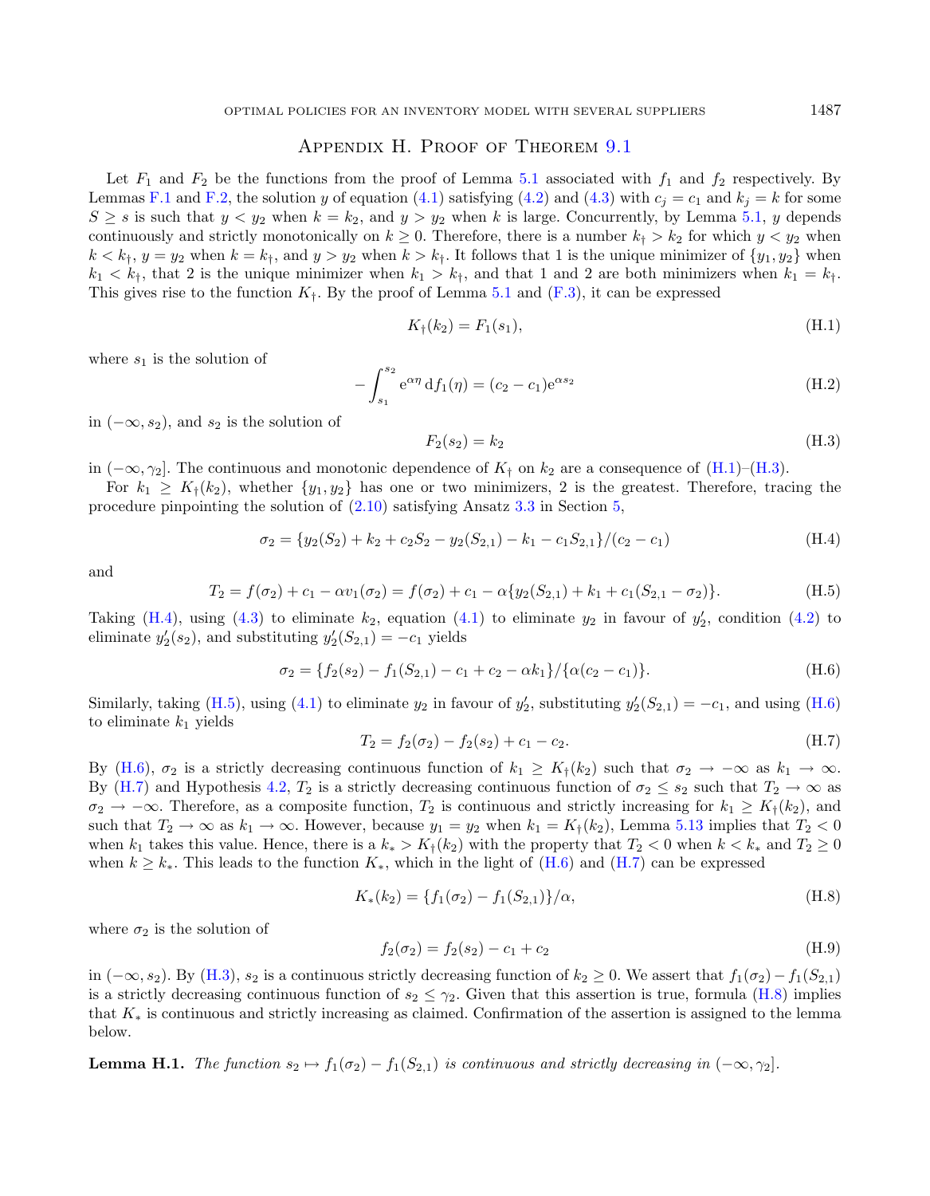### <span id="page-34-2"></span>APPENDIX H. PROOF OF THEOREM [9.1](#page-16-0)

<span id="page-34-0"></span>Let  $F_1$  and  $F_2$  be the functions from the proof of Lemma [5.1](#page-6-4) associated with  $f_1$  and  $f_2$  respectively. By Lemmas [F.1](#page-32-6) and [F.2,](#page-32-5) the solution y of equation [\(4.1\)](#page-5-4) satisfying [\(4.2\)](#page-6-2) and [\(4.3\)](#page-6-3) with  $c_i = c_1$  and  $k_i = k$  for some  $S \geq s$  is such that  $y < y_2$  when  $k = k_2$ , and  $y > y_2$  when k is large. Concurrently, by Lemma [5.1,](#page-6-4) y depends continuously and strictly monotonically on  $k \geq 0$ . Therefore, there is a number  $k_1 > k_2$  for which  $y < y_2$  when  $k < k_1$ ,  $y = y_2$  when  $k = k_1$ , and  $y > y_2$  when  $k > k_1$ . It follows that 1 is the unique minimizer of  $\{y_1, y_2\}$  when  $k_1 < k_t$ , that 2 is the unique minimizer when  $k_1 > k_t$ , and that 1 and 2 are both minimizers when  $k_1 = k_t$ . This gives rise to the function  $K_{\dagger}$ . By the proof of Lemma [5.1](#page-6-4) and [\(F.3\)](#page-32-3), it can be expressed

<span id="page-34-3"></span><span id="page-34-1"></span>
$$
K_{\dagger}(k_2) = F_1(s_1), \tag{H.1}
$$

<span id="page-34-4"></span>where  $s_1$  is the solution of

$$
-\int_{s_1}^{s_2} e^{\alpha \eta} df_1(\eta) = (c_2 - c_1) e^{\alpha s_2}
$$
\n(H.2)

in  $(-\infty, s_2)$ , and  $s_2$  is the solution of

<span id="page-34-7"></span><span id="page-34-5"></span>
$$
F_2(s_2) = k_2 \tag{H.3}
$$

in  $(-\infty, \gamma_2]$ . The continuous and monotonic dependence of  $K_t$  on  $k_2$  are a consequence of [\(H.1\)](#page-34-1)–[\(H.3\)](#page-34-2).

For  $k_1 \geq K_1(k_2)$ , whether  $\{y_1, y_2\}$  has one or two minimizers, 2 is the greatest. Therefore, tracing the procedure pinpointing the solution of  $(2.10)$  satisfying Ansatz [3.3](#page-5-2) in Section [5,](#page-6-9)

<span id="page-34-6"></span>
$$
\sigma_2 = \{y_2(S_2) + k_2 + c_2 S_2 - y_2(S_{2,1}) - k_1 - c_1 S_{2,1}\} / (c_2 - c_1)
$$
\n(H.4)

and

$$
T_2 = f(\sigma_2) + c_1 - \alpha v_1(\sigma_2) = f(\sigma_2) + c_1 - \alpha \{ y_2(S_{2,1}) + k_1 + c_1(S_{2,1} - \sigma_2) \}. \tag{H.5}
$$

Taking [\(H.4\)](#page-34-3), using [\(4.3\)](#page-6-3) to eliminate  $k_2$ , equation [\(4.1\)](#page-5-4) to eliminate  $y_2$  in favour of  $y_2'$ , condition [\(4.2\)](#page-6-2) to eliminate  $y_2'(s_2)$ , and substituting  $y_2'(S_{2,1}) = -c_1$  yields

<span id="page-34-8"></span>
$$
\sigma_2 = \{ f_2(s_2) - f_1(S_{2,1}) - c_1 + c_2 - \alpha k_1 \} / \{ \alpha (c_2 - c_1) \}.
$$
\n(H.6)

Similarly, taking [\(H.5\)](#page-34-4), using [\(4.1\)](#page-5-4) to eliminate  $y_2$  in favour of  $y_2'$ , substituting  $y_2'(S_{2,1}) = -c_1$ , and using [\(H.6\)](#page-34-5) to eliminate  $k_1$  yields

$$
T_2 = f_2(\sigma_2) - f_2(s_2) + c_1 - c_2.
$$
\n(H.7)

By [\(H.6\)](#page-34-5),  $\sigma_2$  is a strictly decreasing continuous function of  $k_1 \ge K_1(k_2)$  such that  $\sigma_2 \to -\infty$  as  $k_1 \to \infty$ . By [\(H.7\)](#page-34-6) and Hypothesis [4.2,](#page-6-0)  $T_2$  is a strictly decreasing continuous function of  $\sigma_2 \leq s_2$  such that  $T_2 \to \infty$  as  $\sigma_2 \to -\infty$ . Therefore, as a composite function,  $T_2$  is continuous and strictly increasing for  $k_1 \geq K_1(k_2)$ , and such that  $T_2 \to \infty$  as  $k_1 \to \infty$ . However, because  $y_1 = y_2$  when  $k_1 = K_{\dagger}(k_2)$ , Lemma [5.13](#page-10-6) implies that  $T_2 < 0$ when  $k_1$  takes this value. Hence, there is a  $k_* > K_{\dagger}(k_2)$  with the property that  $T_2 < 0$  when  $k < k_*$  and  $T_2 \ge 0$ when  $k \geq k_*$ . This leads to the function  $K_*$ , which in the light of [\(H.6\)](#page-34-5) and [\(H.7\)](#page-34-6) can be expressed

$$
K_*(k_2) = \{f_1(\sigma_2) - f_1(S_{2,1})\}/\alpha,
$$
\n(H.8)

where  $\sigma_2$  is the solution of

$$
f_2(\sigma_2) = f_2(s_2) - c_1 + c_2 \tag{H.9}
$$

in  $(-\infty, s_2)$ . By [\(H.3\)](#page-34-2),  $s_2$  is a continuous strictly decreasing function of  $k_2 \geq 0$ . We assert that  $f_1(\sigma_2) - f_1(S_{2,1})$ is a strictly decreasing continuous function of  $s_2 \leq \gamma_2$ . Given that this assertion is true, formula [\(H.8\)](#page-34-7) implies that  $K_*$  is continuous and strictly increasing as claimed. Confirmation of the assertion is assigned to the lemma below.

**Lemma H.1.** The function  $s_2 \mapsto f_1(\sigma_2) - f_1(S_{2,1})$  is continuous and strictly decreasing in  $(-\infty, \gamma_2]$ .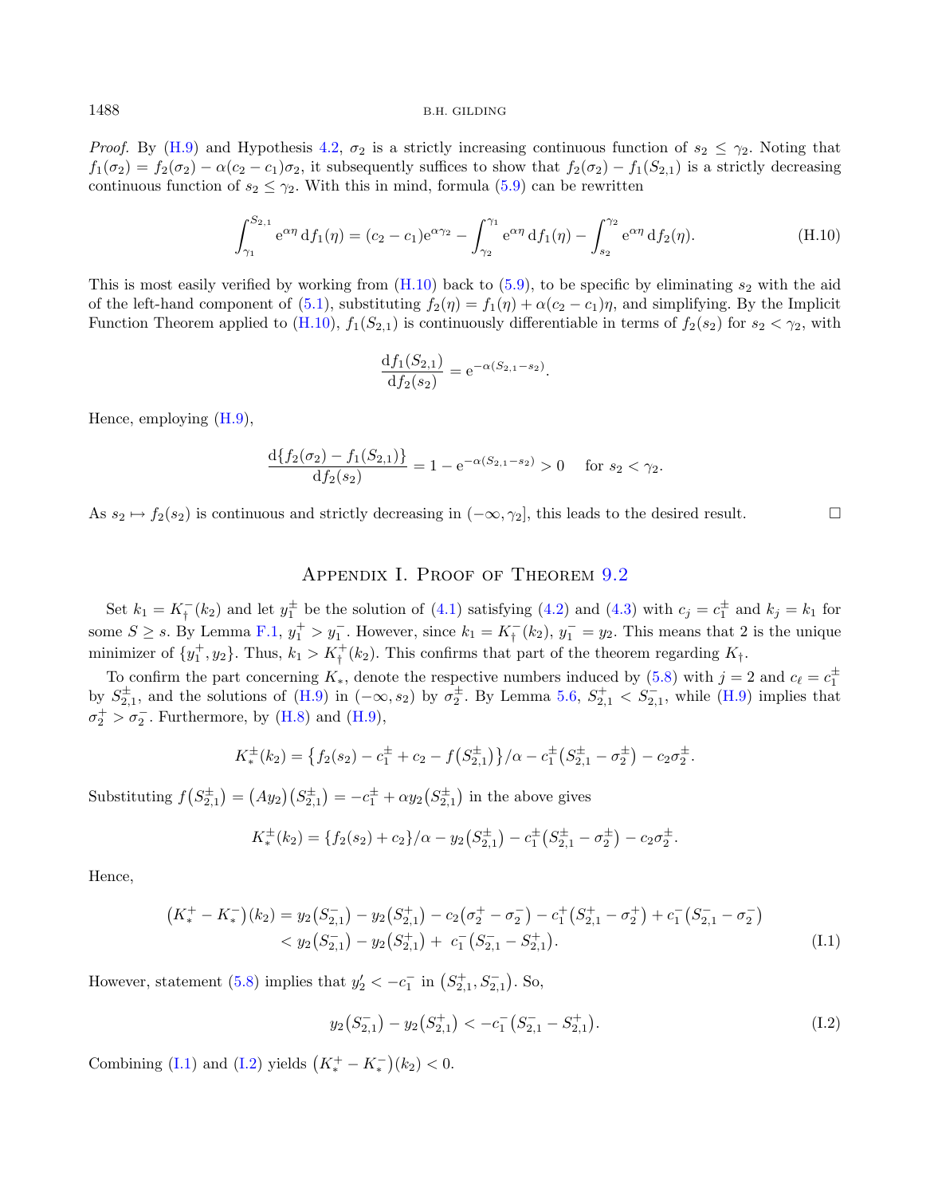*Proof.* By [\(H.9\)](#page-34-8) and Hypothesis [4.2,](#page-6-0)  $\sigma_2$  is a strictly increasing continuous function of  $s_2 \leq \gamma_2$ . Noting that  $f_1(\sigma_2) = f_2(\sigma_2) - \alpha(c_2 - c_1)\sigma_2$ , it subsequently suffices to show that  $f_2(\sigma_2) - f_1(S_{2,1})$  is a strictly decreasing continuous function of  $s_2 \leq \gamma_2$ . With this in mind, formula [\(5.9\)](#page-8-2) can be rewritten

$$
\int_{\gamma_1}^{S_{2,1}} e^{\alpha \eta} df_1(\eta) = (c_2 - c_1) e^{\alpha \gamma_2} - \int_{\gamma_2}^{\gamma_1} e^{\alpha \eta} df_1(\eta) - \int_{s_2}^{\gamma_2} e^{\alpha \eta} df_2(\eta).
$$
 (H.10)

This is most easily verified by working from  $(H.10)$  back to  $(5.9)$ , to be specific by eliminating  $s_2$  with the aid of the left-hand component of [\(5.1\)](#page-6-5), substituting  $f_2(\eta) = f_1(\eta) + \alpha(c_2 - c_1)\eta$ , and simplifying. By the Implicit Function Theorem applied to  $(H.10)$ ,  $f_1(S_{2,1})$  is continuously differentiable in terms of  $f_2(s_2)$  for  $s_2 < \gamma_2$ , with

<span id="page-35-0"></span>
$$
\frac{\mathrm{d}f_1(S_{2,1})}{\mathrm{d}f_2(s_2)} = \mathrm{e}^{-\alpha(S_{2,1}-s_2)}.
$$

Hence, employing [\(H.9\)](#page-34-8),

$$
\frac{\mathrm{d}\{f_2(\sigma_2) - f_1(S_{2,1})\}}{\mathrm{d}f_2(s_2)} = 1 - \mathrm{e}^{-\alpha(S_{2,1} - s_2)} > 0 \quad \text{for } s_2 < \gamma_2.
$$

As  $s_2 \mapsto f_2(s_2)$  is continuous and strictly decreasing in  $(-\infty, \gamma_2]$ , this leads to the desired result.

### APPENDIX I. PROOF OF THEOREM [9.2](#page-16-1)

Set  $k_1 = K_1^-(k_2)$  and let  $y_1^{\pm}$  be the solution of [\(4.1\)](#page-5-4) satisfying [\(4.2\)](#page-6-2) and [\(4.3\)](#page-6-3) with  $c_j = c_1^{\pm}$  and  $k_j = k_1$  for some  $S \geq s$ . By Lemma [F.1,](#page-32-6)  $y_1^+ > y_1^-$ . However, since  $k_1 = K_{\dagger}^-(k_2)$ ,  $y_1^- = y_2$ . This means that 2 is the unique minimizer of  $\{y_1^+, y_2\}$ . Thus,  $k_1 > K^+_{\dagger}(k_2)$ . This confirms that part of the theorem regarding  $K_{\dagger}$ .

To confirm the part concerning  $K_*$ , denote the respective numbers induced by [\(5.8\)](#page-8-7) with  $j = 2$  and  $c_{\ell} = c_1^{\pm}$ by  $S_{2,1}^{\pm}$ , and the solutions of  $(H.9)$  in  $(-\infty, s_2)$  by  $\sigma_2^{\pm}$ . By Lemma [5.6,](#page-8-3)  $S_{2,1}^{\pm} < S_{2,1}^{-}$ , while  $(H.9)$  implies that  $\sigma_2^+ > \sigma_2^-$ . Furthermore, by [\(H.8\)](#page-34-7) and [\(H.9\)](#page-34-8),

$$
K^{\pm}_{*}(k_2) = \left\{ f_2(s_2) - c_1^{\pm} + c_2 - f(S_{2,1}^{\pm}) \right\} / \alpha - c_1^{\pm} (S_{2,1}^{\pm} - \sigma_2^{\pm}) - c_2 \sigma_2^{\pm}.
$$

Substituting  $f(S_{2,1}^{\pm}) = (Ay_2)(S_{2,1}^{\pm}) = -c_1^{\pm} + \alpha y_2(S_{2,1}^{\pm})$  in the above gives

<span id="page-35-2"></span>
$$
K_*^{\pm}(k_2) = \{f_2(s_2) + c_2\}/\alpha - y_2(S_{2,1}^{\pm}) - c_1^{\pm}(S_{2,1}^{\pm} - \sigma_2^{\pm}) - c_2\sigma_2^{\pm}.
$$

Hence,

<span id="page-35-1"></span>
$$
(K_{*}^{+} - K_{*}^{-})(k_{2}) = y_{2}(S_{2,1}^{-}) - y_{2}(S_{2,1}^{+}) - c_{2}(\sigma_{2}^{+} - \sigma_{2}^{-}) - c_{1}^{+}(S_{2,1}^{+} - \sigma_{2}^{+}) + c_{1}^{-}(S_{2,1}^{-} - \sigma_{2}^{-})
$$
  

$$
< y_{2}(S_{2,1}^{-}) - y_{2}(S_{2,1}^{+}) + c_{1}^{-}(S_{2,1}^{-} - S_{2,1}^{+}).
$$
 (I.1)

However, statement [\(5.8\)](#page-8-7) implies that  $y_2' < -c_1^-$  in  $(S_{2,1}^+, S_{2,1}^-)$ . So,

$$
y_2(S_{2,1}^-) - y_2(S_{2,1}^+) < -c_1^-(S_{2,1}^- - S_{2,1}^+).
$$
\n(1.2)

Combining [\(I.1\)](#page-35-1) and [\(I.2\)](#page-35-2) yields  $(K_*^+ - K_*^-)(k_2) < 0$ .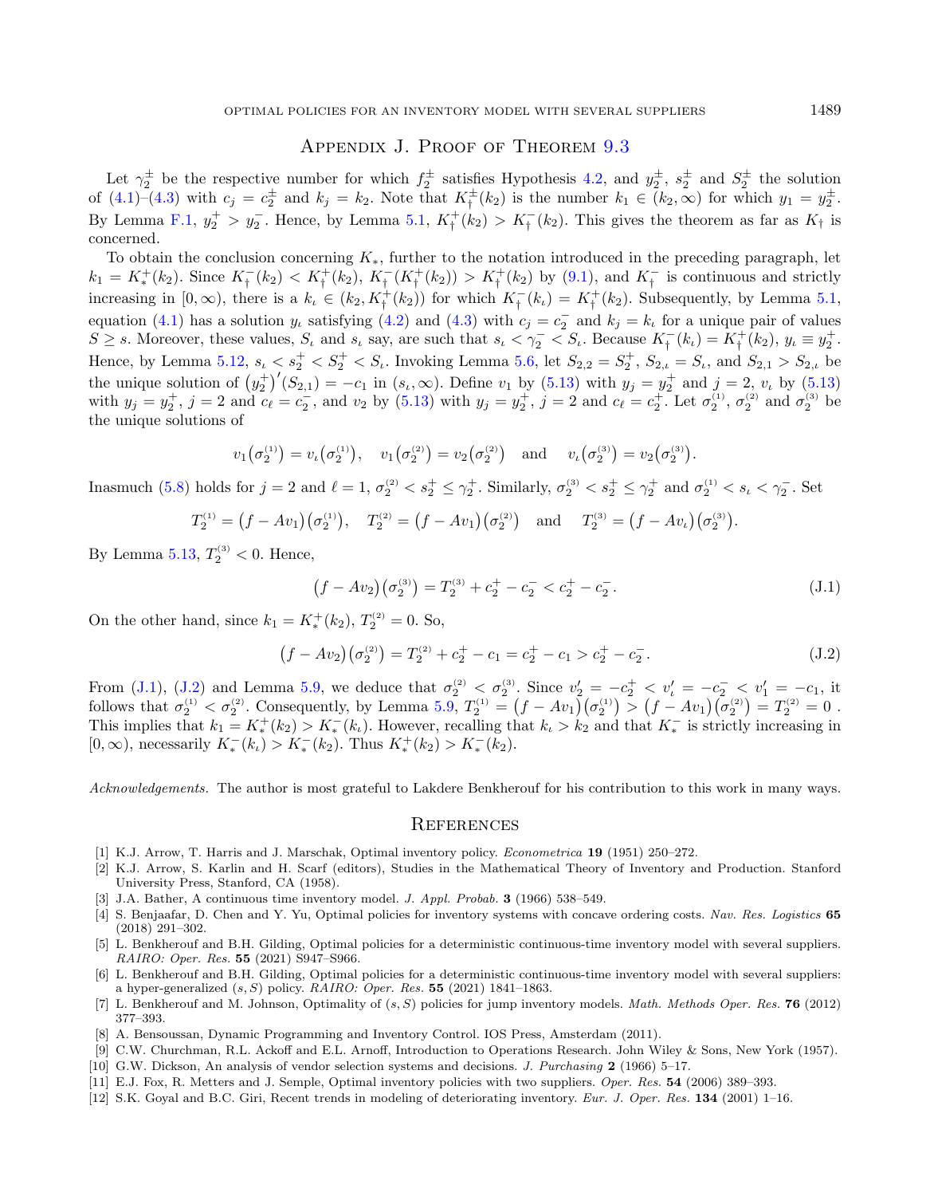### APPENDIX J. PROOF OF THEOREM [9.3](#page-16-2)

<span id="page-36-12"></span>Let  $\gamma_2^{\pm}$  be the respective number for which  $f_2^{\pm}$  satisfies Hypothesis [4.2,](#page-6-0) and  $y_2^{\pm}$ ,  $s_2^{\pm}$  and  $S_2^{\pm}$  the solution of  $(4.1)-(4.3)$  $(4.1)-(4.3)$  $(4.1)-(4.3)$  with  $c_j = c_2^{\pm}$  and  $k_j = k_2$ . Note that  $K_{\dagger}^{\pm}(k_2)$  is the number  $k_1 \in (k_2,\infty)$  for which  $y_1 = y_2^{\pm}$ . By Lemma [F.1,](#page-32-6)  $y_2^+ > y_2^-$ . Hence, by Lemma [5.1,](#page-6-4)  $K^+_\dagger(k_2) > K^-_\dagger(k_2)$ . This gives the theorem as far as  $K_\dagger$  is concerned.

To obtain the conclusion concerning  $K_{*}$ , further to the notation introduced in the preceding paragraph, let  $k_1 = K_*^+(k_2)$ . Since  $K_{\dagger}^-(k_2) < K_{\dagger}^+(k_2)$ ,  $K_{\dagger}^-(K_{\dagger}^+(k_2)) > K_{\dagger}^+(k_2)$  by [\(9.1\)](#page-16-3), and  $K_{\dagger}^-$  is continuous and strictly increasing in  $[0, \infty)$ , there is a  $k_{\iota} \in (k_2, K^+_{\dagger}(k_2))$  for which  $K^-_{\dagger}(k_{\iota}) = K^+_{\dagger}(k_2)$ . Subsequently, by Lemma [5.1,](#page-6-4) equation [\(4.1\)](#page-5-4) has a solution  $y_t$  satisfying [\(4.2\)](#page-6-2) and [\(4.3\)](#page-6-3) with  $c_j = c_2^-$  and  $k_j = k_t$  for a unique pair of values  $S \geq s$ . Moreover, these values,  $S_t$  and  $s_t$  say, are such that  $s_t < \gamma_2^- < S_t$ . Because  $K_f^-(k_t) = K_f^+(k_2)$ ,  $y_t \equiv y_2^+$ . Hence, by Lemma [5.12,](#page-10-1)  $s_t < s_2^+ < S_t^+ < S_t$ . Invoking Lemma [5.6,](#page-8-3) let  $S_{2,2} = S_2^+$ ,  $S_{2,t} = S_t$ , and  $S_{2,1} > S_{2,t}$  be the unique solution of  $(y_2^{\dagger})'(S_{2,1}) = -c_1$  in  $(s_t, \infty)$ . Define  $v_1$  by  $(5.13)$  with  $y_j = y_2^{\dagger}$  and  $j = 2, v_t$  by  $(5.13)$ with  $y_j = y_2^+, j = 2$  and  $c_{\ell} = c_2^-,$  and  $v_2$  by [\(5.13\)](#page-8-5) with  $y_j = y_2^+, j = 2$  and  $c_{\ell} = c_2^+.$  Let  $\sigma_2^{(1)}, \sigma_2^{(2)}$  and  $\sigma_2^{(3)}$  be the unique solutions of

<span id="page-36-14"></span><span id="page-36-13"></span>
$$
v_1(\sigma_2^{(1)}) = v_\iota(\sigma_2^{(1)}), \quad v_1(\sigma_2^{(2)}) = v_2(\sigma_2^{(2)}) \quad \text{and} \quad v_\iota(\sigma_2^{(3)}) = v_2(\sigma_2^{(3)}).
$$

Inasmuch [\(5.8\)](#page-8-7) holds for  $j = 2$  and  $\ell = 1$ ,  $\sigma_2^{(2)} < s_2^+ \leq \gamma_2^+$ . Similarly,  $\sigma_2^{(3)} < s_2^+ \leq \gamma_2^+$  and  $\sigma_2^{(1)} < s_\ell < \gamma_2^-$ . Set

$$
T_2^{(1)} = (f - Av_1)(\sigma_2^{(1)}), \quad T_2^{(2)} = (f - Av_1)(\sigma_2^{(2)}) \quad \text{and} \quad T_2^{(3)} = (f - Av_t)(\sigma_2^{(3)}).
$$

By Lemma [5.13,](#page-10-6)  $T_2^{(3)} < 0$ . Hence,

$$
(f - Av_2)(\sigma_2^{(3)}) = T_2^{(3)} + c_2^+ - c_2^- < c_2^+ - c_2^-.
$$
\n(J.1)

<span id="page-36-3"></span><span id="page-36-0"></span>On the other hand, since  $k_1 = K_*^+(k_2)$ ,  $T_2^{(2)} = 0$ . So,

$$
(f - Av_2)(\sigma_2^{(2)}) = T_2^{(2)} + c_2^+ - c_1 = c_2^+ - c_1 > c_2^+ - c_2^-.
$$
\n(J.2)

<span id="page-36-9"></span><span id="page-36-8"></span><span id="page-36-5"></span>From [\(J.1\)](#page-36-13), [\(J.2\)](#page-36-14) and Lemma [5.9,](#page-9-0) we deduce that  $\sigma_2^{(2)} < \sigma_2^{(3)}$ . Since  $v_2' = -c_2^+ < v_1' = -c_2^- < v_1' = -c_1$ , it follows that  $\sigma_2^{(1)} < \sigma_2^{(2)}$ . Consequently, by Lemma [5.9,](#page-9-0)  $T_2^{(1)} = (f - Av_1)(\sigma_2^{(1)}) > (f - Av_1)(\sigma_2^{(2)}) = T_2^{(2)} = 0$ . This implies that  $k_1 = K_*^+(k_2) > K_*^-(k_1)$ . However, recalling that  $k_1 > k_2$  and that  $K_*^-$  is strictly increasing in  $[0, \infty)$ , necessarily  $K_*^-(k_1) > K_*^-(k_2)$ . Thus  $K_*^+(k_2) > K_*^-(k_2)$ .

<span id="page-36-11"></span><span id="page-36-6"></span><span id="page-36-4"></span>Acknowledgements. The author is most grateful to Lakdere Benkherouf for his contribution to this work in many ways.

#### **REFERENCES**

- <span id="page-36-7"></span><span id="page-36-2"></span><span id="page-36-1"></span>[1] K.J. Arrow, T. Harris and J. Marschak, Optimal inventory policy. Econometrica 19 (1951) 250–272.
- <span id="page-36-10"></span>[2] K.J. Arrow, S. Karlin and H. Scarf (editors), Studies in the Mathematical Theory of Inventory and Production. Stanford University Press, Stanford, CA (1958).
- [3] J.A. Bather, A continuous time inventory model. J. Appl. Probab. 3 (1966) 538–549.
- [4] S. Benjaafar, D. Chen and Y. Yu, Optimal policies for inventory systems with concave ordering costs. Nav. Res. Logistics 65 (2018) 291–302.
- [5] L. Benkherouf and B.H. Gilding, Optimal policies for a deterministic continuous-time inventory model with several suppliers. RAIRO: Oper. Res. 55 (2021) S947–S966.
- [6] L. Benkherouf and B.H. Gilding, Optimal policies for a deterministic continuous-time inventory model with several suppliers: a hyper-generalized  $(s, S)$  policy. RAIRO: Oper. Res. 55 (2021) 1841–1863.
- [7] L. Benkherouf and M. Johnson, Optimality of  $(s, S)$  policies for jump inventory models. *Math. Methods Oper. Res.* **76** (2012) 377–393.
- [8] A. Bensoussan, Dynamic Programming and Inventory Control. IOS Press, Amsterdam (2011).
- [9] C.W. Churchman, R.L. Ackoff and E.L. Arnoff, Introduction to Operations Research. John Wiley & Sons, New York (1957).
- [10] G.W. Dickson, An analysis of vendor selection systems and decisions. J. Purchasing 2 (1966) 5–17.
- [11] E.J. Fox, R. Metters and J. Semple, Optimal inventory policies with two suppliers. Oper. Res. 54 (2006) 389–393.
- [12] S.K. Goyal and B.C. Giri, Recent trends in modeling of deteriorating inventory. Eur. J. Oper. Res. 134 (2001) 1–16.